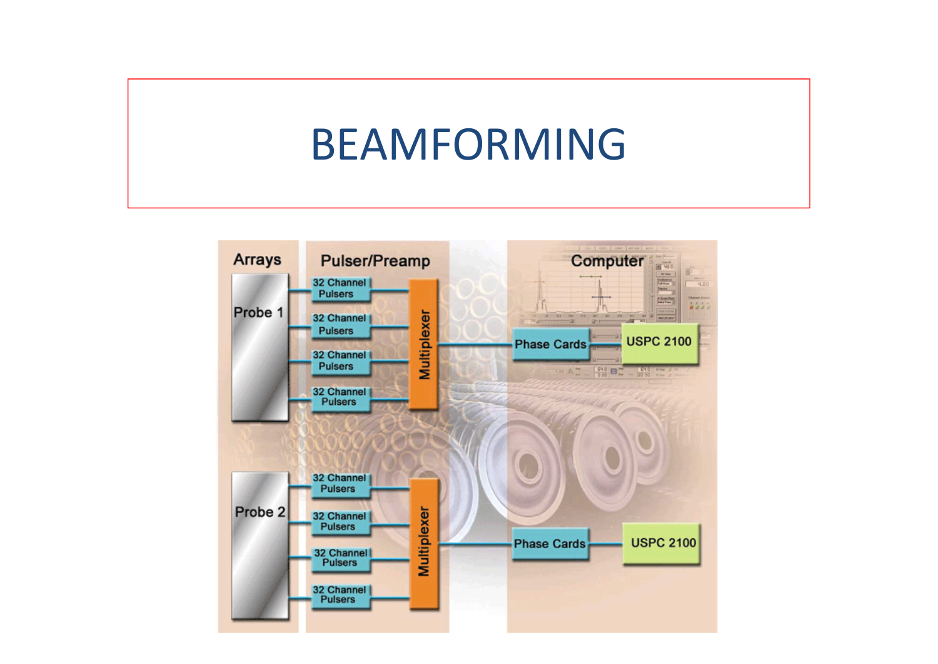#### BEAMFORMING

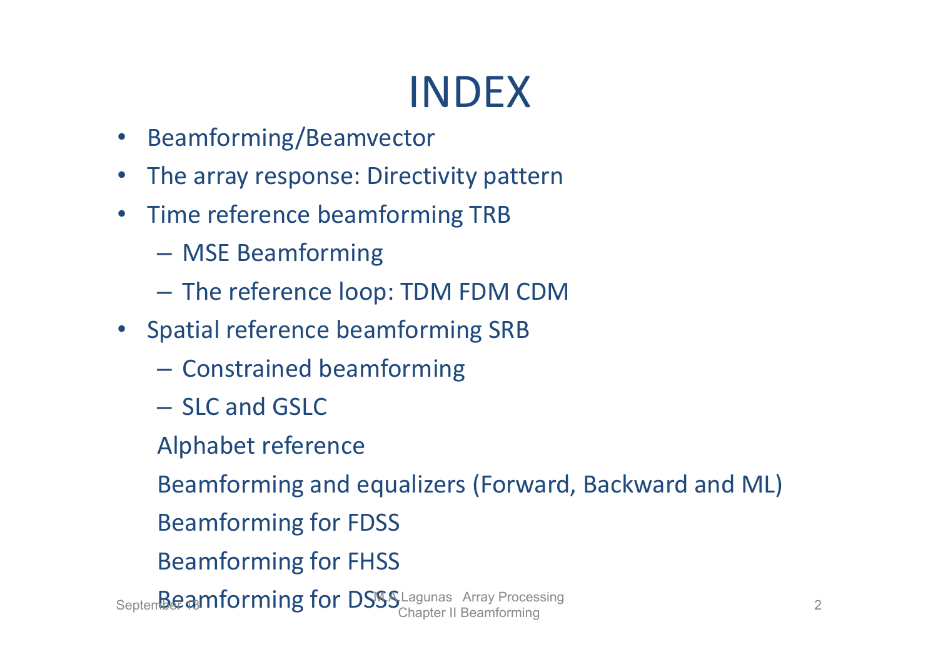- Beamforming/Beamvector
- $\bullet$ The array response: Directivity pattern
- •• Time reference beamforming TRB
	- MSE Beamforming
	- $-$  The reference loop: TDM FDM CDM
- Spatial reference beamforming SRB
	- $-$  Constrained beamforming
	- SLC and GSLC
	- Alphabet reference

Beamforming and equalizers (Forward, Backward and ML)

- Beamforming for FDSS
- Beamforming for FHSS

Septem**beamforming for DSSS** Lagunas Array Processing 2<br>Chapter II Beamforming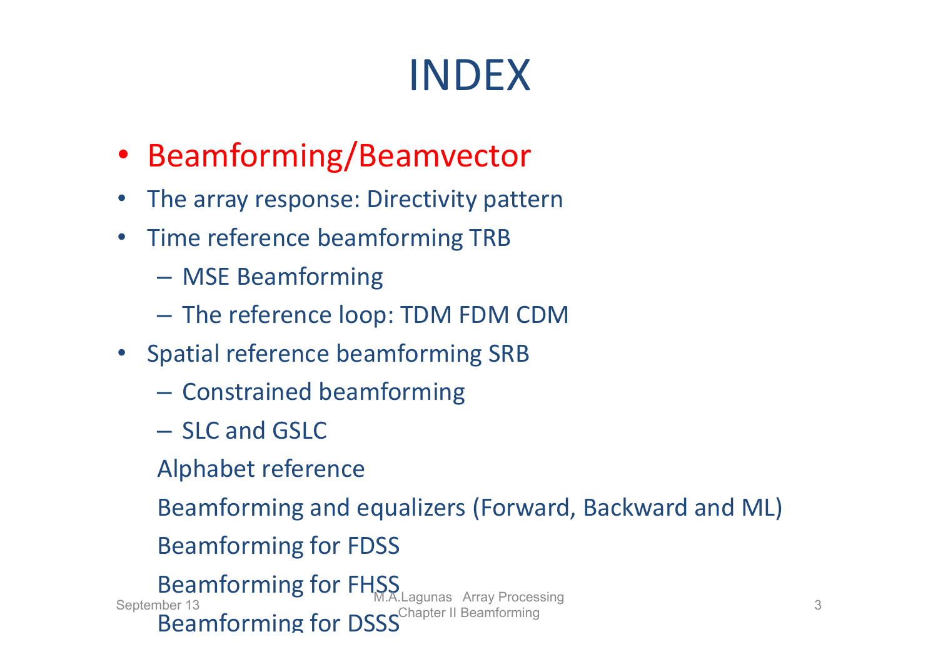- Beamforming/Beamvector
- $\bullet$ The array response: Directivity pattern
- •• Time reference beamforming TRB
	- MSE Beamforming
	- The reference loop: TDM FDM CDM
- Spatial reference beamforming SRB
	- $-$  Constrained beamforming
	- SLC and GSLC
	- Alphabet reference

Beamforming and equalizers (Forward, Backward and ML)

Beamforming for FDSS

Beamforming for FHSS Beamforming for DSSS<sup>Chapter II Beamforming</sup> September 13<br>September 13 **M.A.Lagunas Array Processing 3** 3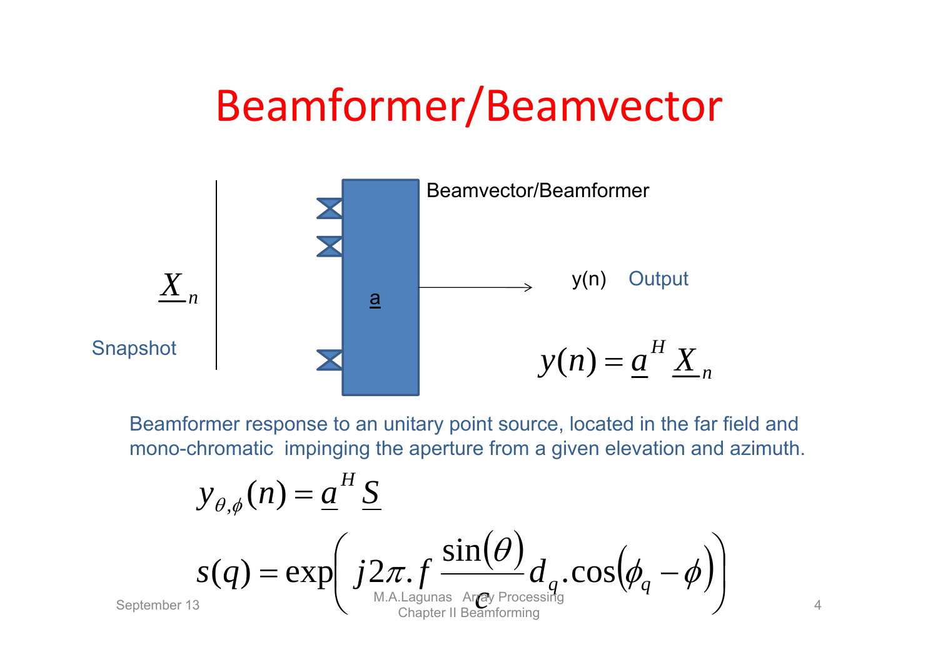## Beamformer/Beamvector



Beamformer response to an unitary point source, located in the far field and mono-chromatic impinging the aperture from a given elevation and azimuth.

$$
y_{\theta,\phi}(n) = \underbrace{\boldsymbol{a}}_{\mathcal{S}}^H \underbrace{\boldsymbol{S}}_{\mathcal{S}(\boldsymbol{q}) = \exp\left(j2\pi.\boldsymbol{f} \underbrace{\sin(\boldsymbol{\theta})}_{\text{MA.Lagunas Argy Processing}} \boldsymbol{d}_{\boldsymbol{q}}.\cos(\boldsymbol{\phi}_{\boldsymbol{q}} - \boldsymbol{\phi})\right)}
$$

4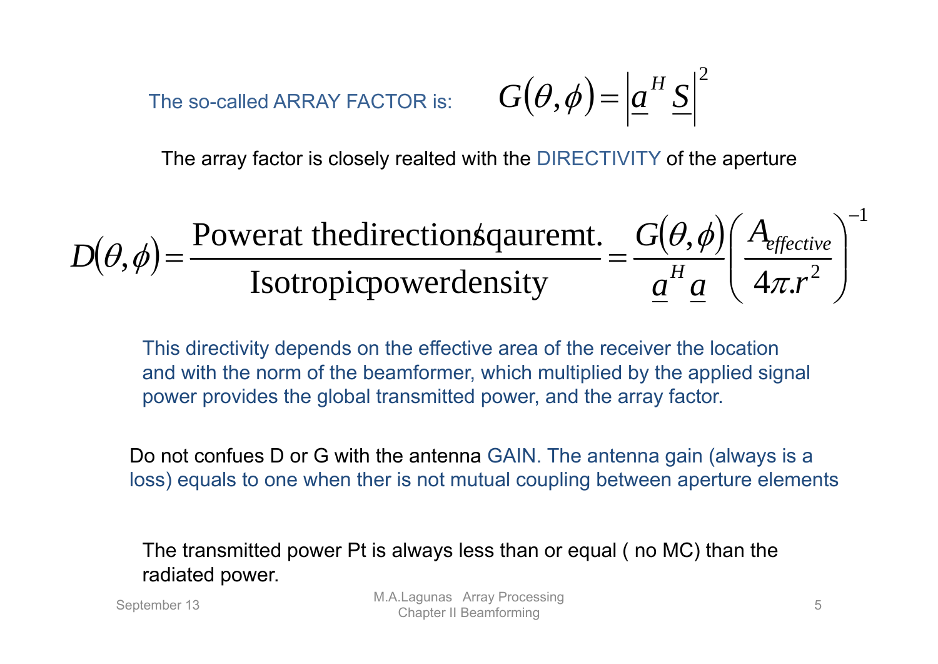The so-called ARRAY FACTOR is:

$$
G(\theta,\phi) = \left| \underline{a}^H \underline{S} \right|^2
$$

The array factor is closely realted with the DIRECTIVITY of the aperture

$$
D(\theta, \phi) = \frac{\text{Powerat the direction} \text{square} \cdot \text{E}}{\text{Isotropic power density}} = \frac{G(\theta, \phi)}{\underline{a}^H \underline{a}} \left(\frac{A_{effective}}{4\pi r^2}\right)^{-1}
$$

This directivity depends on the effective area of the receiver the location and with the norm of the beamformer, which multiplied by the applied signal power provides the global transmitted power, and the array factor.

Do not confues D or G with the antenna GAIN. The antenna gain (always is a loss) equals to one when ther is not mutual coupling between aperture elements

The transmitted power Pt is always less than or equal ( no MC) than the radiated power.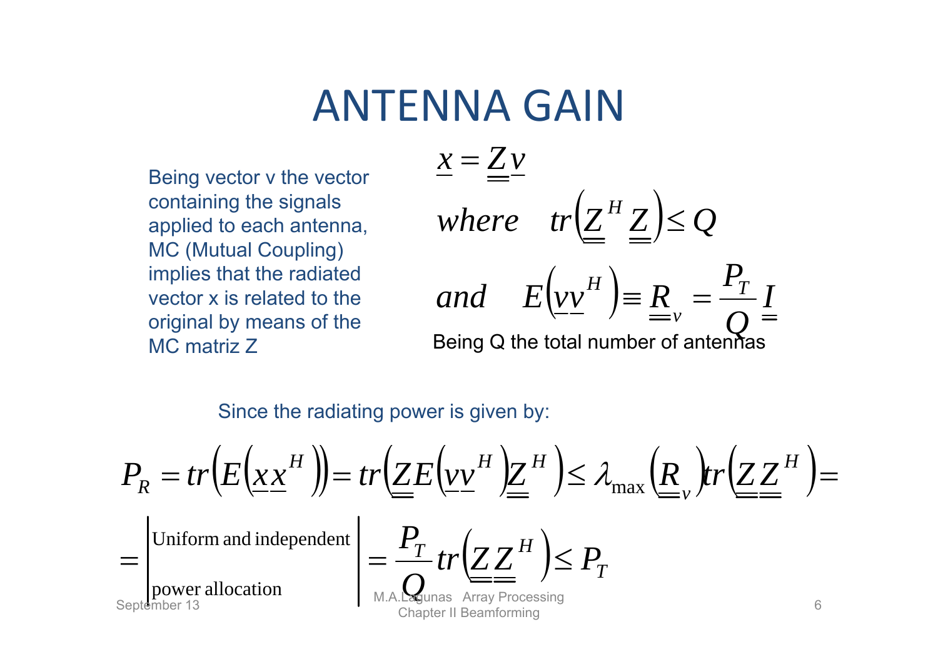#### ANTENNA GAIN

Being vector v the vector containing the signals applied to each antenna, MC (Mutual Coupling) implies that the radiated vector x is related to the original by means of the MC matriz Z

$$
\underline{x} = \underline{Z} \underline{v}
$$
  
where  $tr(\underline{Z}^H \underline{Z}) \leq Q$   
and  $E(\underline{v} \underline{v}^H) \equiv \underline{R}_v = \frac{P_T}{Q} \underline{I}$   
Being Q the total number of antennas

Since the radiating power is given by:

$$
P_R = tr(E(\underline{x}\underline{x}^H)) = tr(\underline{Z}E(\underline{v}\underline{v}^H)\underline{Z}^H) \leq \lambda_{\max}(\underline{R}, tr(\underline{Z}\underline{Z}^H)) =
$$
  
=\n
$$
\begin{vmatrix}\n\text{Uniform and independent} \\
\text{power allocation} \\
\text{September 13}\n\end{vmatrix} = \frac{P_T}{\sum_{\text{MAP} \text{ Processing}} tr(\underline{Z}\underline{Z}^H) \leq P_T
$$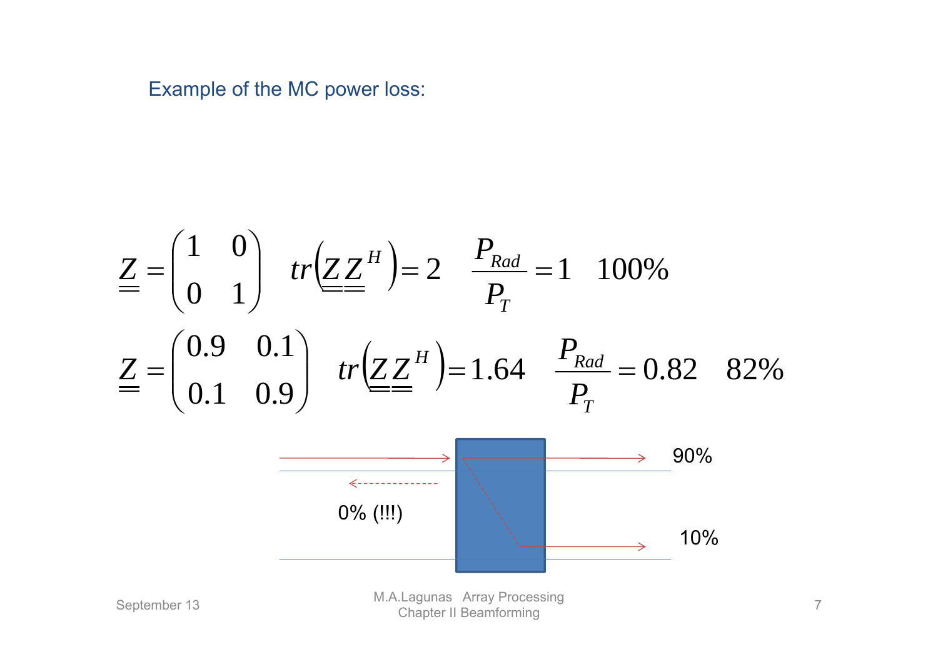Example of the MC power loss:

$$
\underline{Z} = \begin{pmatrix} 1 & 0 \\ 0 & 1 \end{pmatrix} \quad tr(\underline{Z} \underline{Z}^H) = 2 \quad \frac{P_{Rad}}{P_T} = 1 \quad 100\%
$$
\n
$$
\underline{Z} = \begin{pmatrix} 0.9 & 0.1 \\ 0.1 & 0.9 \end{pmatrix} \quad tr(\underline{Z} \underline{Z}^H) = 1.64 \quad \frac{P_{Rad}}{P_T} = 0.82 \quad 82\%
$$
\n
$$
\xrightarrow{\text{Spectrum of (III)}} \qquad \text{Solution}
$$
\n
$$
\xrightarrow{\text{Spectrum of (III)}} \qquad \text{Solution}
$$
\n
$$
\xrightarrow{\text{MALagunas Array Processing}} \qquad \text{Solution}
$$
\n
$$
\xrightarrow{\text{MALagunas Array Processing}} \qquad \text{Solution}
$$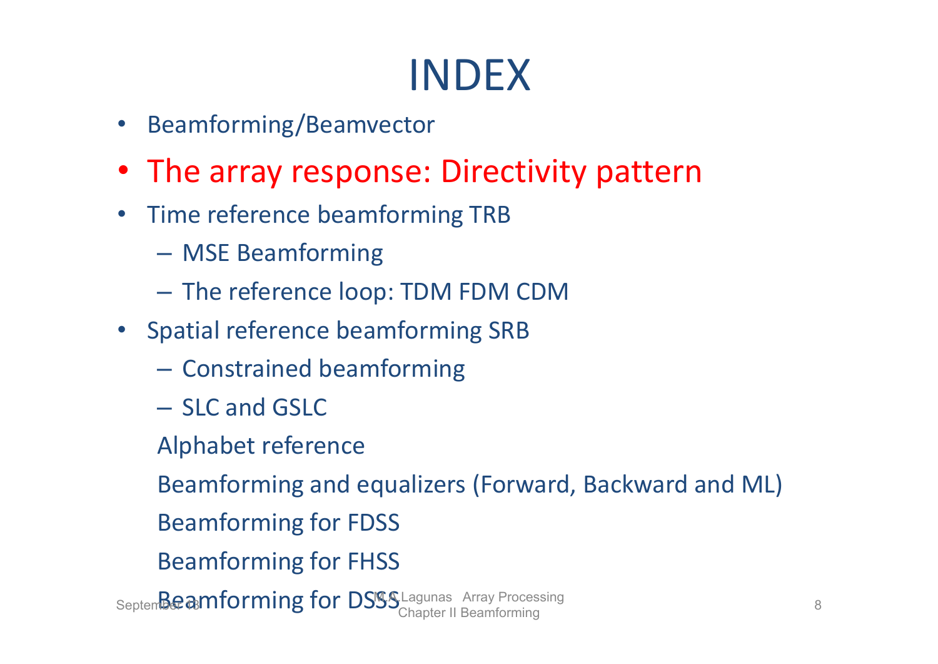- •Beamforming/Beamvector
- The array response: Directivity pattern
- $\bullet$ • Time reference beamforming TRB
	- MSE Beamforming
	- The reference loop: TDM FDM CDM
- Spatial reference beamforming SRB
	- $-$  Constrained beamforming
	- SLC and GSLC
	- Alphabet reference

Beamforming and equalizers (Forward, Backward and ML)

- Beamforming for FDSS
- Beamforming for FHSS

Septem**beamforming for DSSS** Lagunas Array Processing 8<br>Chapter II Beamforming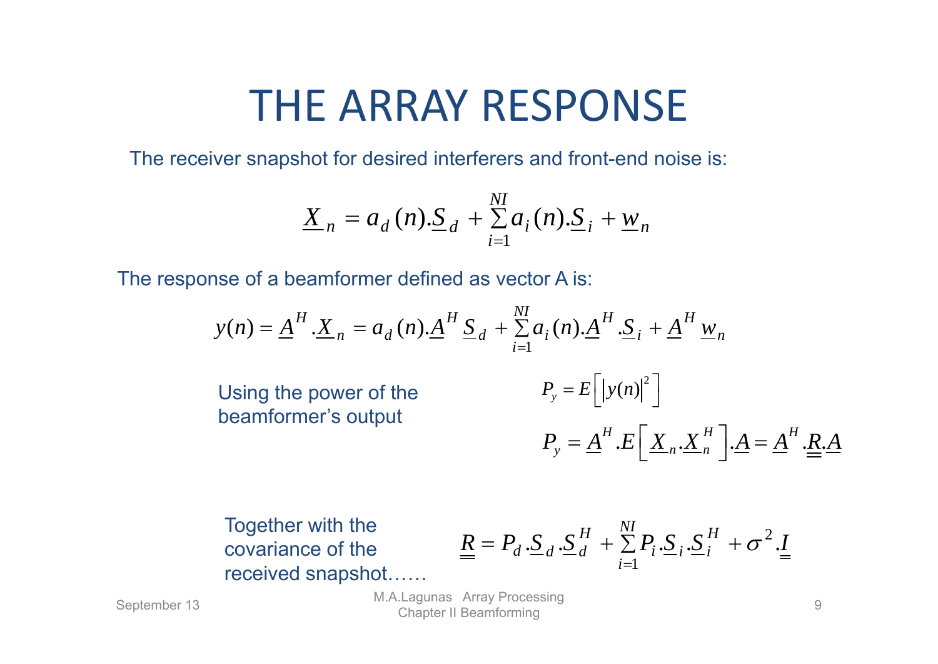## THE ARRAY RESPONSE

The receiver snapshot for desired interferers and front-end noise is:

$$
\underline{X}_{n} = a_{d}(n) \cdot \underline{S}_{d} + \sum_{i=1}^{NI} a_{i}(n) \cdot \underline{S}_{i} + \underline{w}_{n}
$$

The response of a beamformer defined as vector A is:

$$
y(n) = \underline{A}^{H} \cdot \underline{X}_{n} = a_{d}(n) \cdot \underline{A}^{H} \underline{S}_{d} + \sum_{i=1}^{N} a_{i}(n) \cdot \underline{A}^{H} \cdot \underline{S}_{i} + \underline{A}^{H} \underline{w}_{n}
$$
  
Using the power of the  
beamformer's output  

$$
P_{y} = \underline{A}^{H} \cdot E \left[ \underline{X}_{n} \cdot \underline{X}_{n}^{H} \right] \cdot \underline{A} = \underline{A}^{H} \cdot \underline{R} \cdot \underline{A}
$$

Together with the covariance of the received snapshot……

$$
\underline{\underline{R}} = P_d \cdot \underline{\underline{S}}_d \cdot \underline{\underline{S}}_d^H + \sum_{i=1}^{N} P_i \cdot \underline{\underline{S}}_i \cdot \underline{\underline{S}}_i^H + \sigma^2 \cdot \underline{\underline{I}}
$$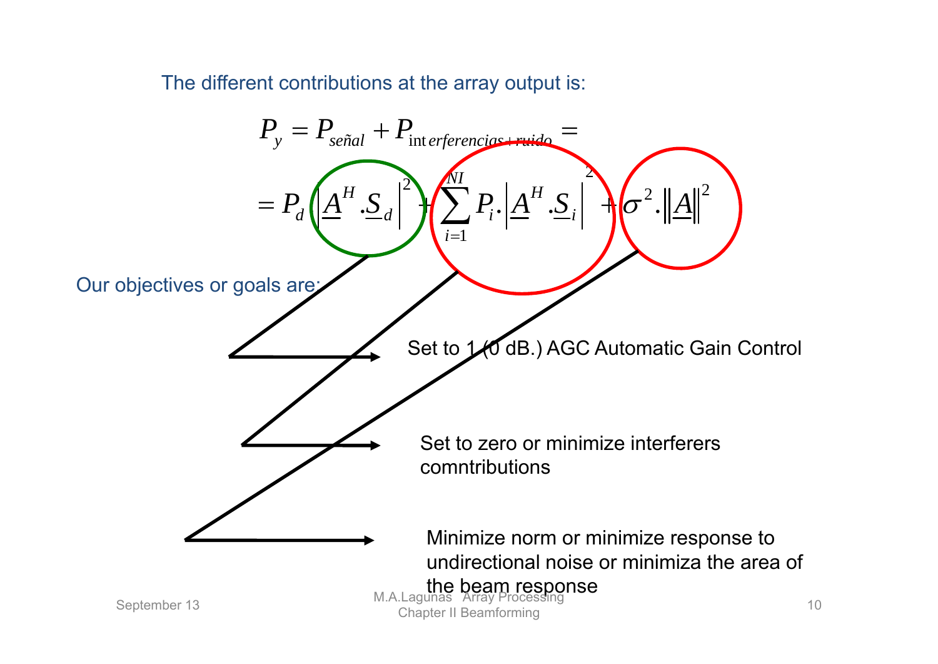The different contributions at the array output is:

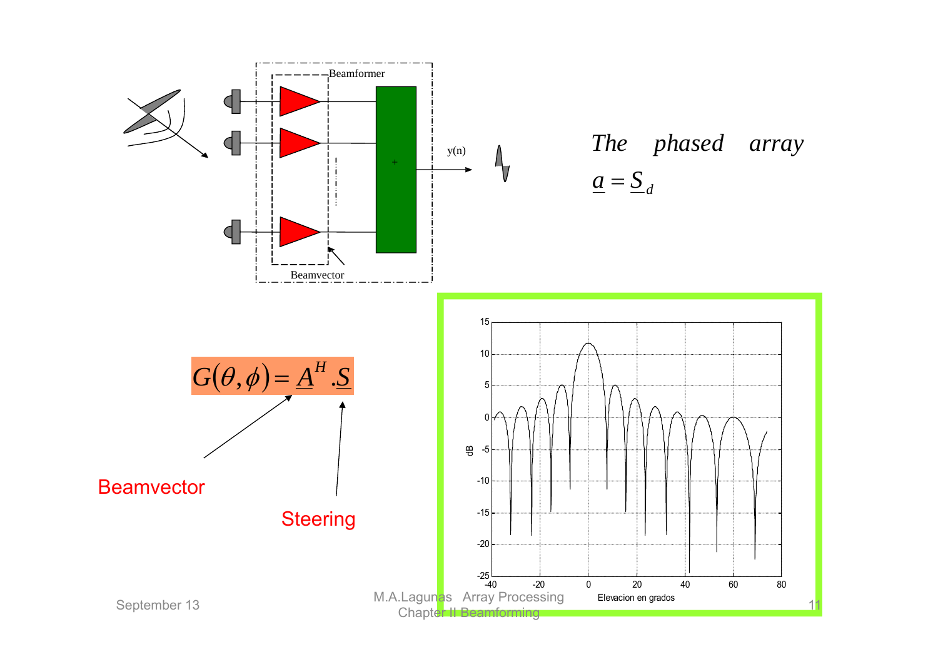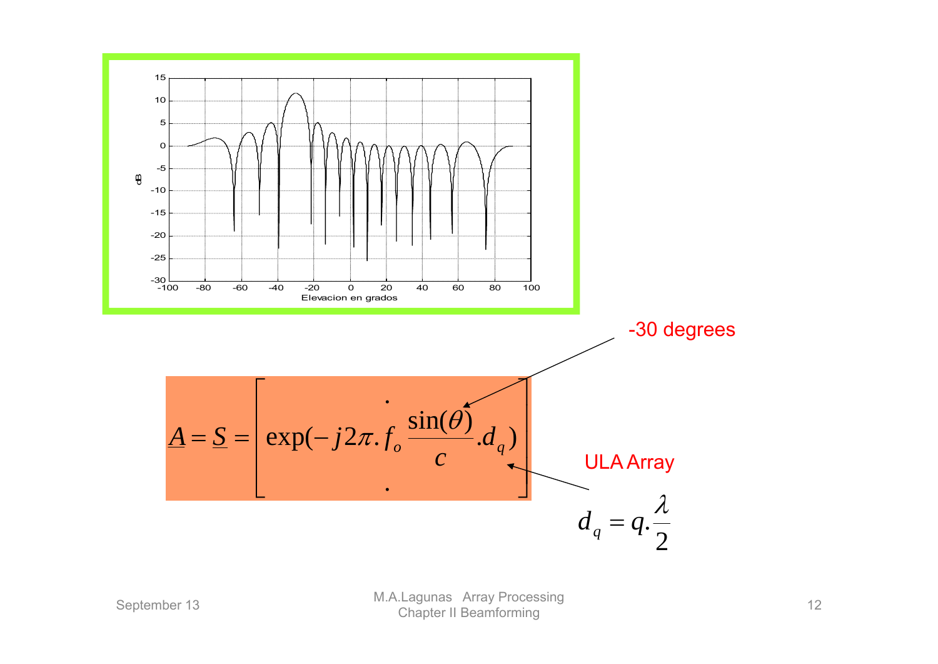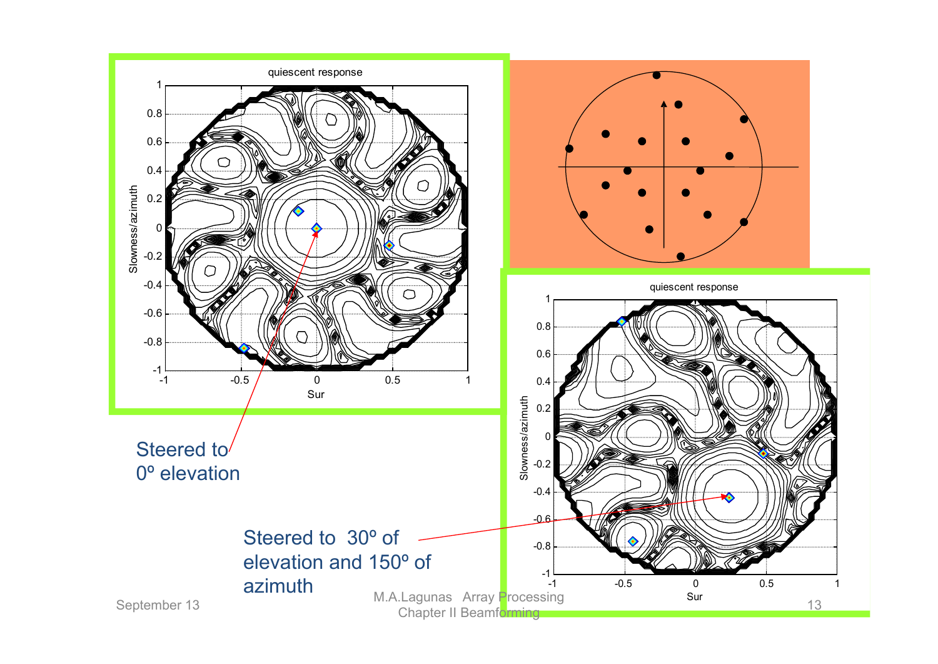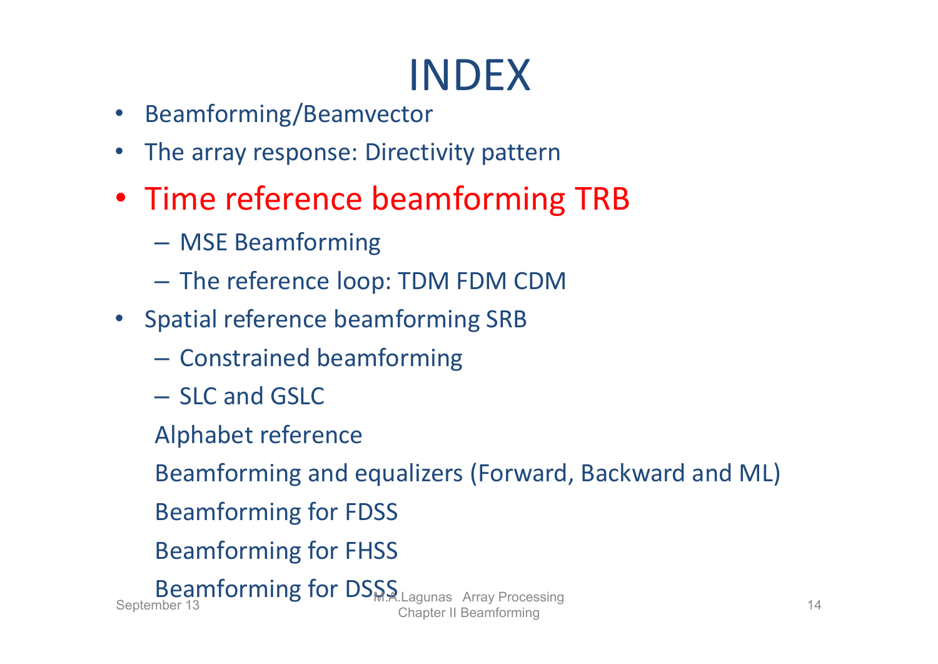- •Beamforming/Beamvector
- The array response: Directivity pattern
- Time reference beamforming TRB
	- MSE Beamforming
	- $-$  The reference loop: TDM FDM CDM
- Spatial reference beamforming SRB
	- $-$  Constrained beamforming
	- SLC and GSLC
	- Alphabet reference
	- Beamforming and equalizers (Forward, Backward and ML)
	- Beamforming for FDSS
	- Beamforming for FHSS

Beamforming for DSSS Lagunas Array Processing<br>Chapter II Beamforming 14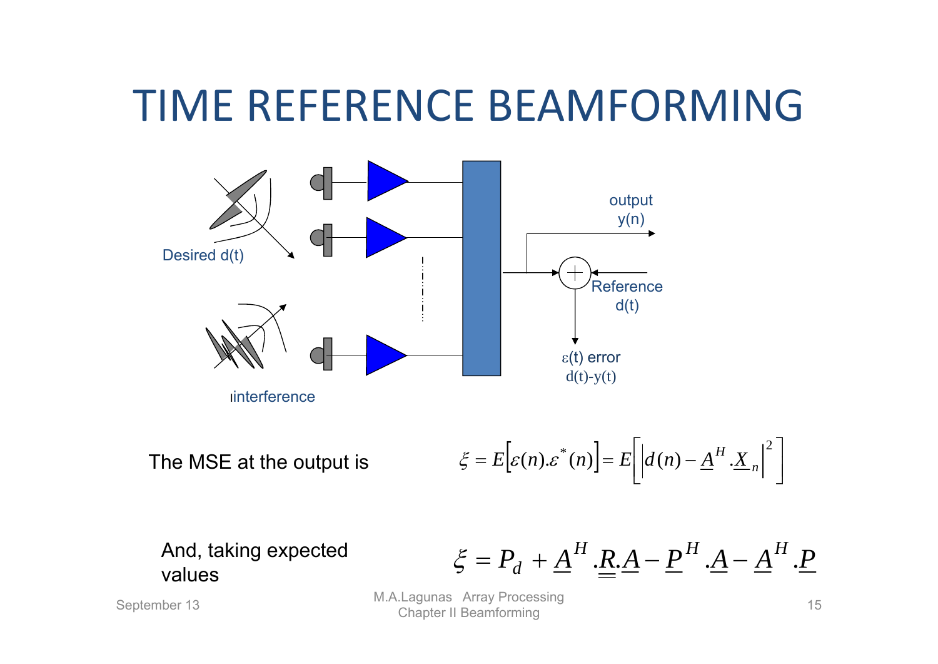## TIME REFERENCE BEAMFORMING



The MSE at the output is  $\xi = E\Big[\varepsilon(n).\varepsilon^*(n)\Big] = E\Big[\Big|d(n) - \underline{A}^H \cdot \underline{X}_n\Big|^2\Big]$ 

values

And, taking expected 
$$
\xi = P_d + \underline{A}^H \cdot \underline{R} \cdot \underline{A} - \underline{P}^H \cdot \underline{A} - \underline{A}^H \cdot \underline{P}
$$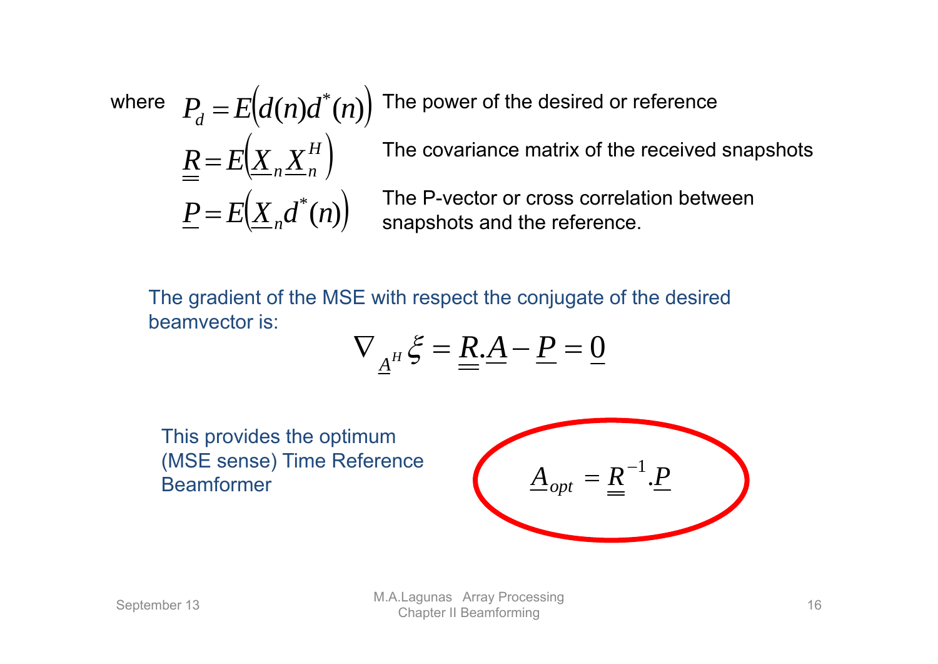The power of the desired or reference The covariance matrix of the received snapshots The P-vector or cross correlation between snapshots and the reference.  $\bigg($  $\bigg)$  $\left(\! \underline{X}_n \underline{X}^H_n \right)$  $\underline{P} = E(\underline{X}_n d^*(n))$  $P_d = E(d(n)d^*(n))$  $R = E[X, X]$ *H n n* Ξ  $\equiv$ 

The gradient of the MSE with respect the conjugate of the desired beamvector is:

$$
\nabla_{\underline{A}^H}\xi = \underline{R}.\underline{A} - \underline{P} = \underline{0}
$$

This provides the optimum (MSE sense) Time Reference Beamformer

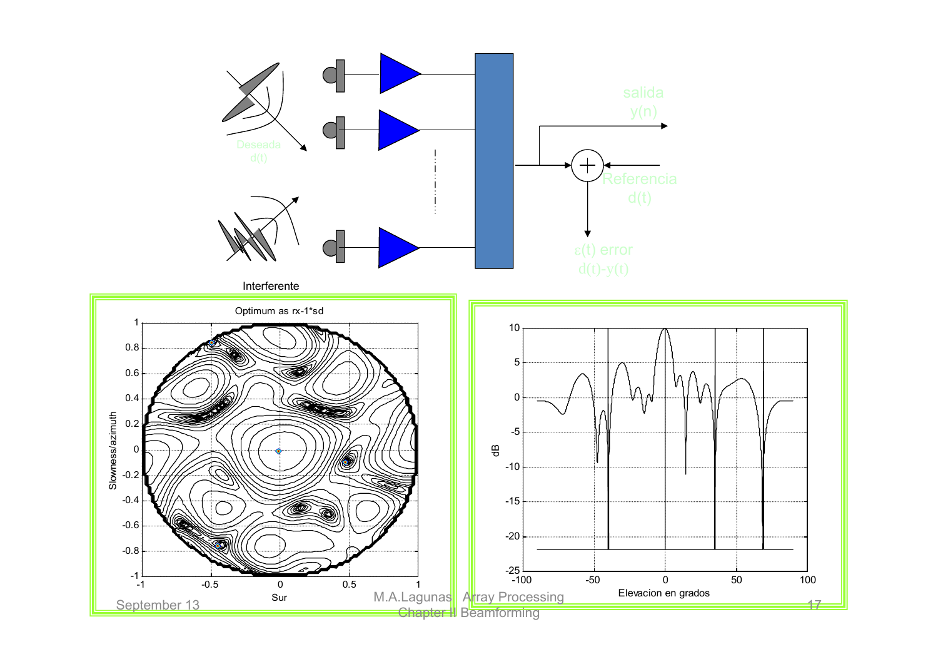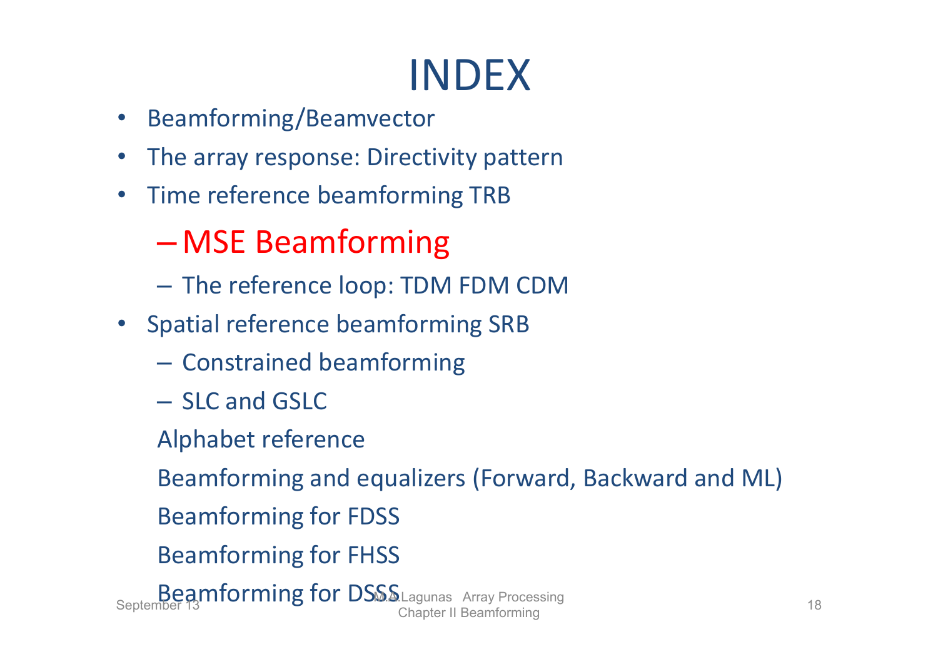- •Beamforming/Beamvector
- •The array response: Directivity pattern
- •• Time reference beamforming TRB

#### –MSE Beamforming

- $-$  The reference loop: TDM FDM CDM
- Spatial reference beamforming SRB
	- $-$  Constrained beamforming
	- SLC and GSLC
	- Alphabet reference

Beamforming and equalizers (Forward, Backward and ML)

- Beamforming for FDSS
- Beamforming for FHSS

Beamforming for DSSS Lagunas Array Processing<br>Chapter II Beamforming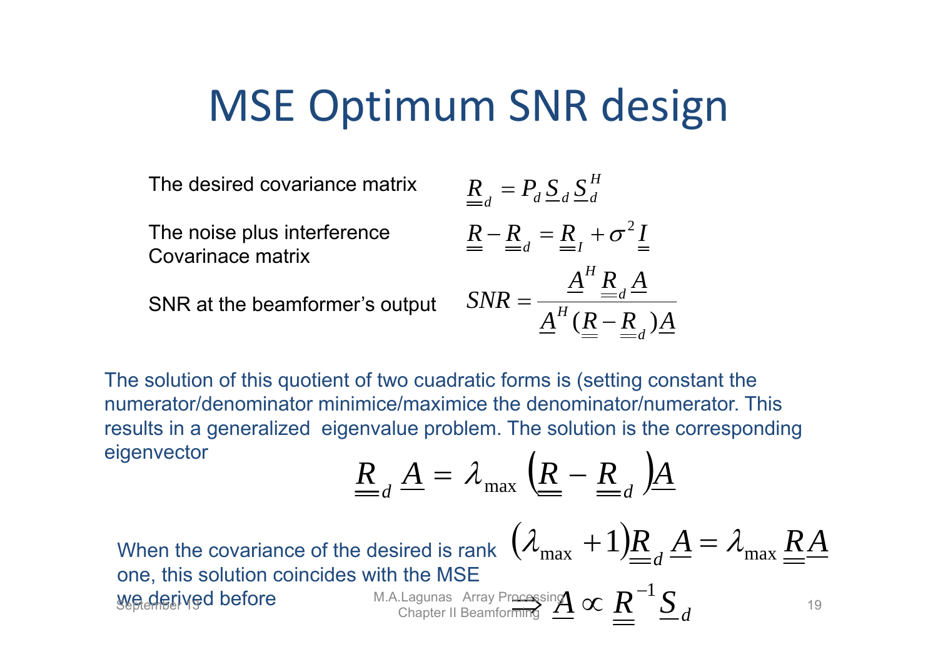#### MSE Optimum SNR design

The desired covariance matrix

The noise plus interference Covarinace matrix

SNR at the beamformer's output

$$
\underline{R}_{d} = P_{d} \underline{S}_{d} \underline{S}_{d}^{H}
$$
\n
$$
\underline{R} - \underline{R}_{d} = \underline{R}_{I} + \sigma^{2} \underline{I}
$$
\n
$$
SNR = \frac{\underline{A}^{H} \underline{R}_{d} \underline{A}}{\underline{A}^{H} (\underline{R} - \underline{R}_{d}) \underline{A}}
$$

The solution of this quotient of two cuadratic forms is (setting constant the numerator/denominator minimice/maximice the denominator/numerator. This results in a generalized eigenvalue problem. The solution is the corresponding  $eigenvector$ 

$$
\underline{\underline{R}}_d \underline{A} = \lambda_{\text{max}} \left( \underline{\underline{R}} - \underline{\underline{R}}_d \right) \underline{A}
$$

When the covariance of the desired is rank  $\,\,\left( \mathcal{X}_{\text{max}}\, +1\right)\!\!\underline{R}_{d}^{\phantom{\dag}}\,\,\,$ one, this solution coincides with the MSE we derived before *d* **A superfigured before** M.A.Lagunas Array Processing  $\alpha R^{-1} \frac{S}{d}$  19  $\lambda_{\text{max}} + 1$ ) $R_A A = \lambda_{\text{max}} R A$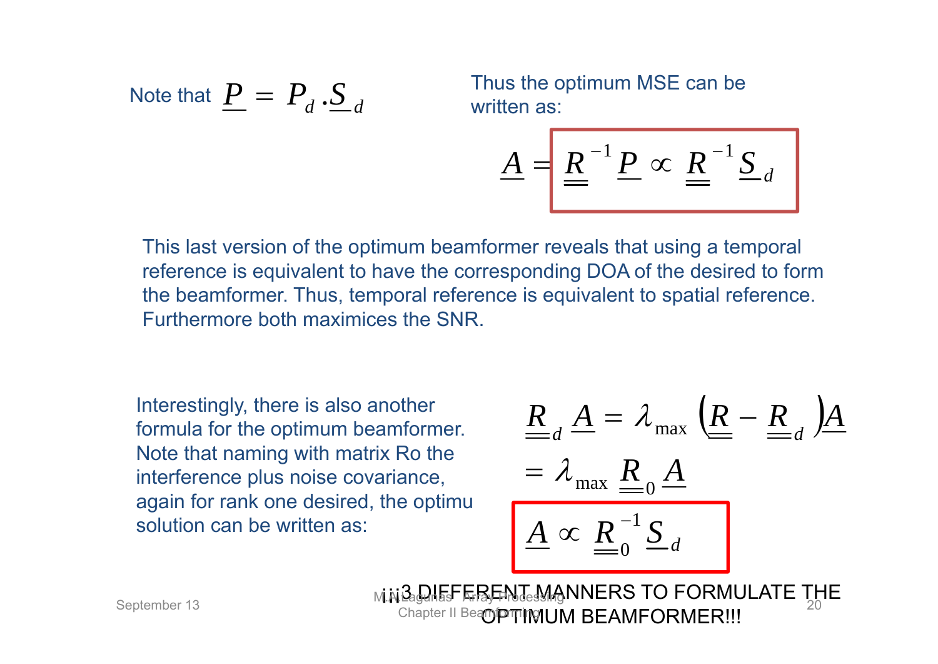Note that 
$$
\underline{P} = P_d \cdot \underline{S}_d
$$

Thus the optimum MSE can be written as:

$$
\underline{A} = \underline{R}^{-1} \underline{P} \propto \underline{R}^{-1} \underline{S}_d
$$

This last version of the optimum beamformer reveals that using a temporal reference is equivalent to have the corresponding DOA of the desired to form the beamformer. Thus, temporal reference is equivalent to spatial reference. Furthermore both maximices the SNR.

Interestingly, there is also another formula for the optimum beamformer. Note that naming with matrix Ro the interference plus noise covariance, again for rank one desired, the optimu solution can be written as:

$$
\underline{\underline{R}}_d \underline{A} = \lambda_{\text{max}} \underline{\underline{R}}_0 \underline{\underline{A}}
$$
  
=  $\lambda_{\text{max}} \underline{\underline{R}}_0 \underline{\underline{A}}$   

$$
\underline{\underline{A}} \propto \underline{\underline{R}}_0^{-1} \underline{S}_d
$$

ابة السلام المسلم المسلم المسلم المسلم المسلم المسلم المسلم المسلم المسلم المسلم المسلم المسلم المسلم المسلم<br>Chapter II Bea**mpthMUM BEAMFORMER!!!** Chapter II Beampming I JM BFAMFORMER!!!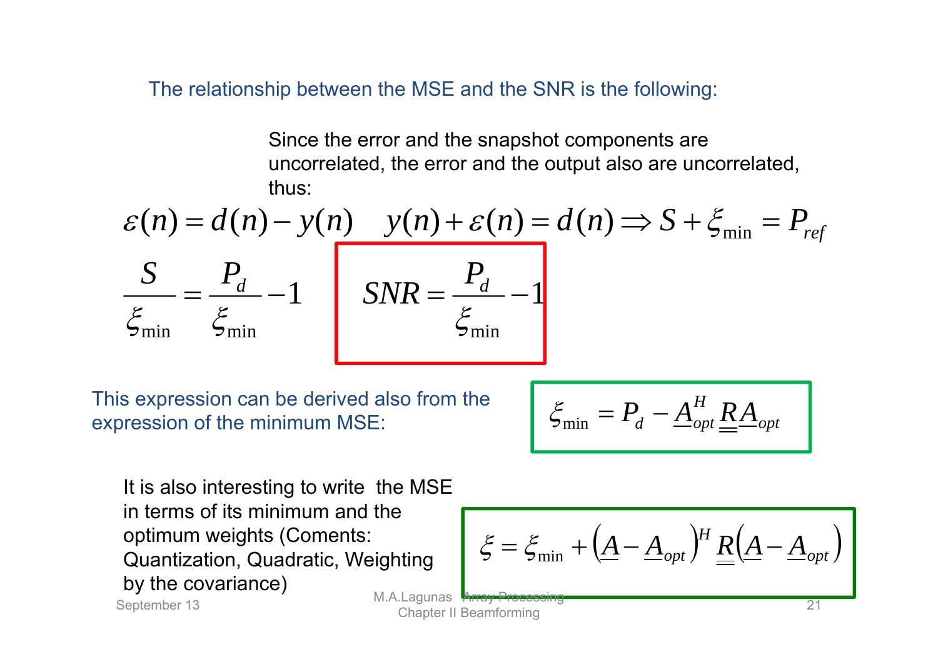The relationship between the MSE and the SNR is the following:

Since the error and the snapshot components are uncorrelated, the error and the output also are uncorrelated, thus:

$$
\mathcal{E}(n) = d(n) - y(n) \qquad y(n) + \mathcal{E}(n) = d(n) \Rightarrow S + \xi_{\min} = P_{ref}
$$

$$
\frac{S}{\xi_{\min}} = \frac{P_d}{\xi_{\min}} - 1 \qquad SNR = \frac{P_d}{\xi_{\min}} - 1
$$

This expression can be derived also from the expression of the minimum MSE:

$$
\xi_{\min} = P_d - \underline{A}_{opt}^H \underline{R} \underline{A}_{opt}
$$

It is also interesting to write the MSE in terms of its minimum and the optimum weights (Coments: Quantization, Quadratic, Weighting by the covariance)

 *opt H* min*AAopt RAA*September 13 M.A.Lagunas Array Processing Chapter II Beamforming <sup>21</sup>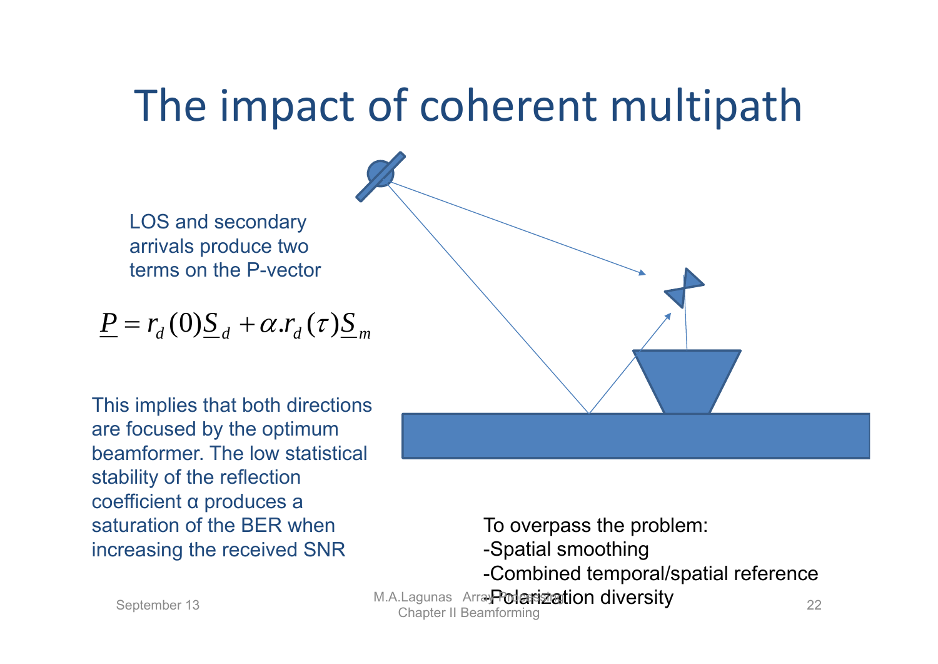## The impact of coherent multipath

LOS and secondary arrivals produce two terms on the P-vector

$$
\underline{P} = r_d(0)\underline{S}_d + \alpha.r_d(\tau)\underline{S}_m
$$

This implies that both directions are focused by the optimum beamformer. The low statistical stability of the reflection coefficient α produces a saturation of the BER when increasing the received SNR



To overpass the problem: -Spatial smoothing -Combined temporal/spatial reference eptember 13 M.A.Lagunas Array Polarization diversity<br>Chapter II Beamforming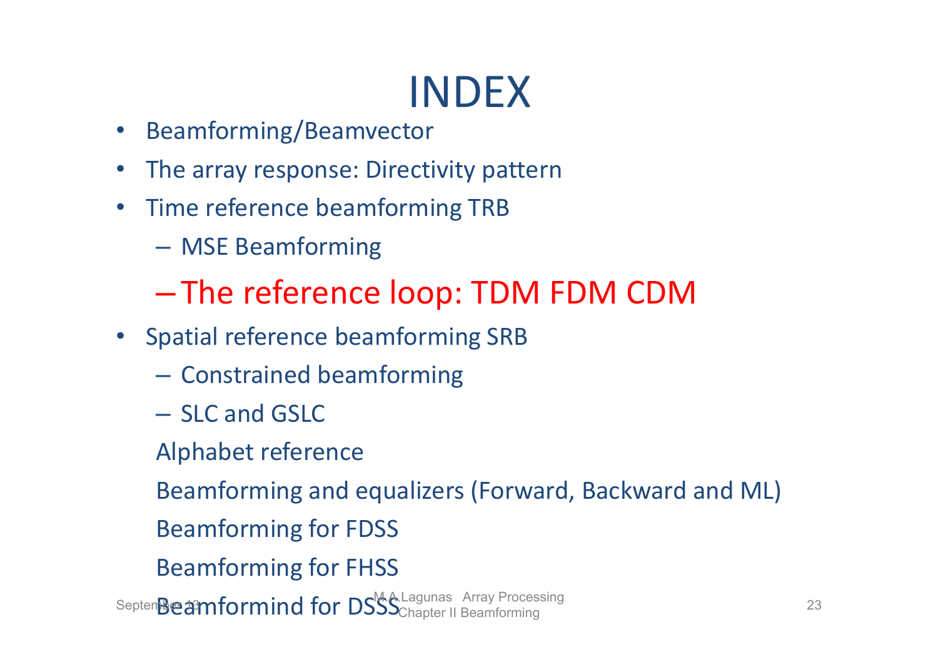- •Beamforming/Beamvector
- $\bullet$ • The array response: Directivity pattern
- $\bullet$ • Time reference beamforming TRB
	- –MSE Beamforming
	- <u>– Liberty Company</u> The reference loop: TDM FDM CDM
- Spatial reference beamforming SRB
	- $-$  Constrained beamforming
	- SLC and GSLC
	- Alphabet reference
	- Beamforming and equalizers (Forward, Backward and ML)
	- Beamforming for FDSS
	- Beamforming for FHSS

Septem $\mathbf B$ e $\mathbf A$ mformind for DS $\mathsf S$ S $\mathsf C$ hapter II Beamforming  $\mathsf C$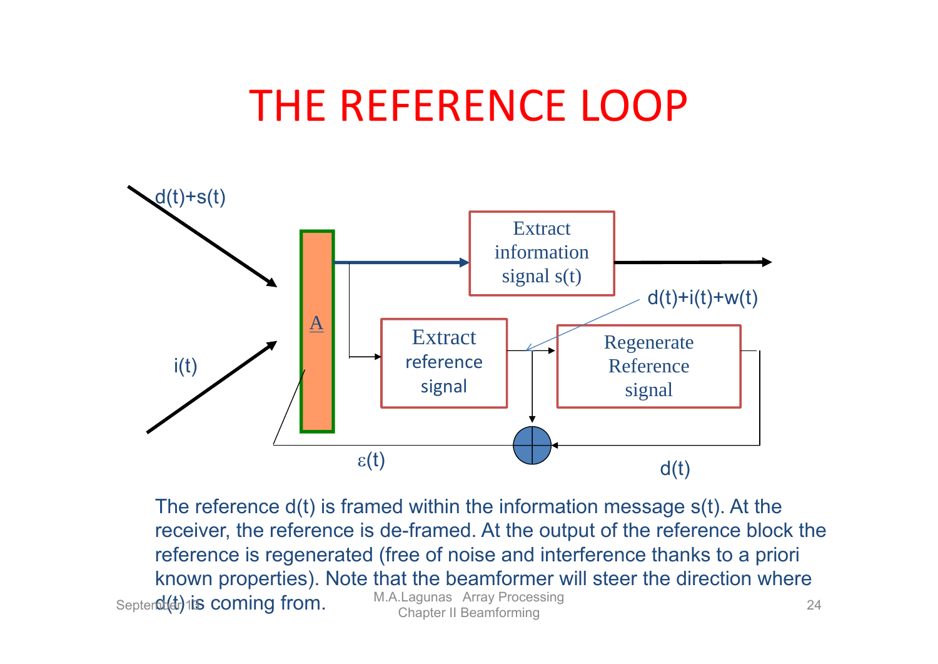## THE REFERENCE LOOP



The reference d(t) is framed within the information message s(t). At the receiver, the reference is de-framed. At the output of the reference block the reference is regenerated (free of noise and interference thanks to a priori known properties). Note that the beamformer will steer the direction where Septer 0: (dr) is coming from. M.A.Lagunas Array Processing 24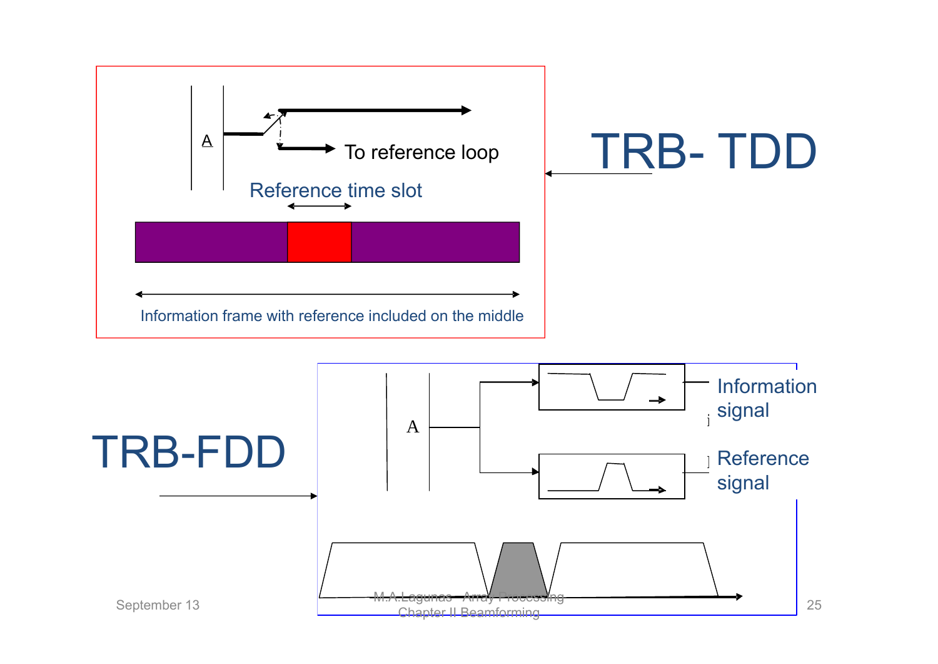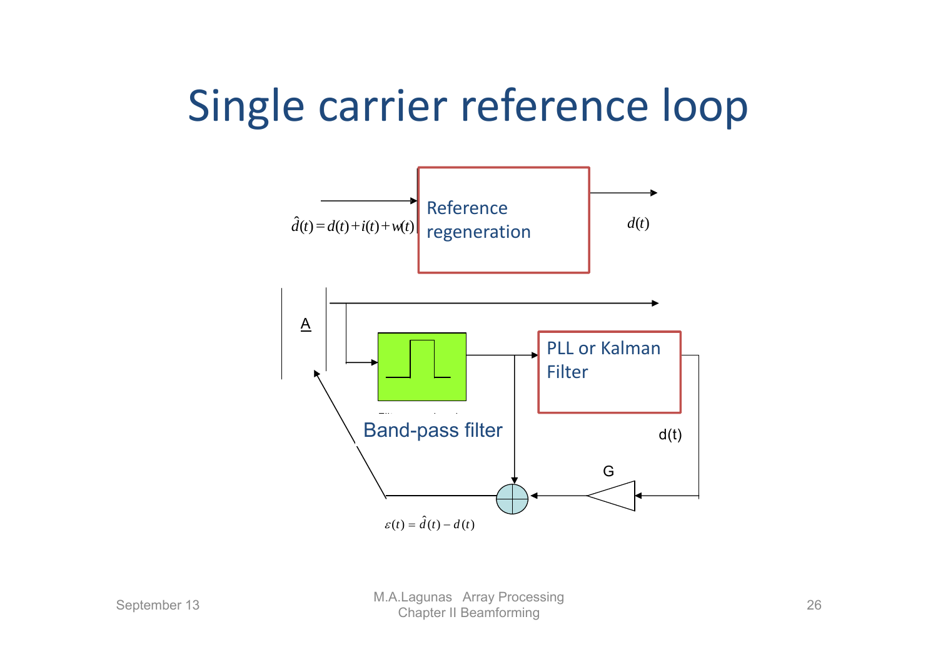## Single carrier reference loop

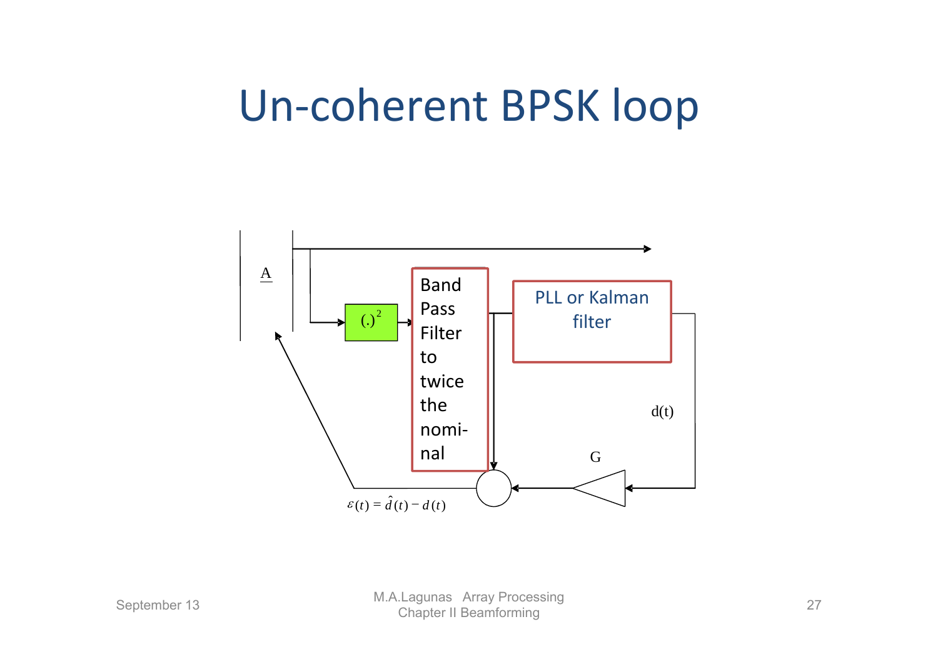## Un‐coherent BPSK loop

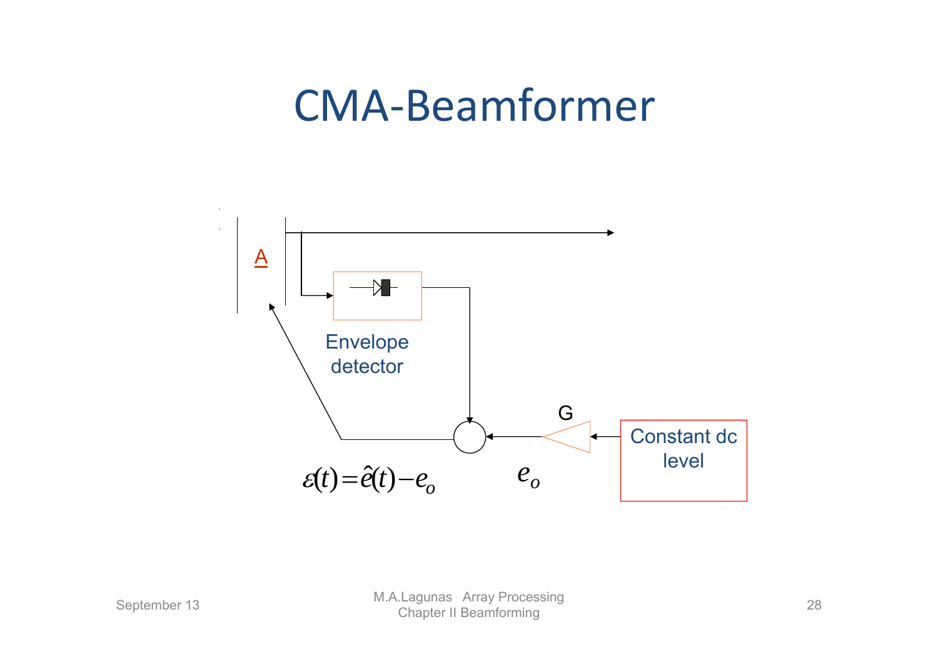#### CMA‐Beamformer

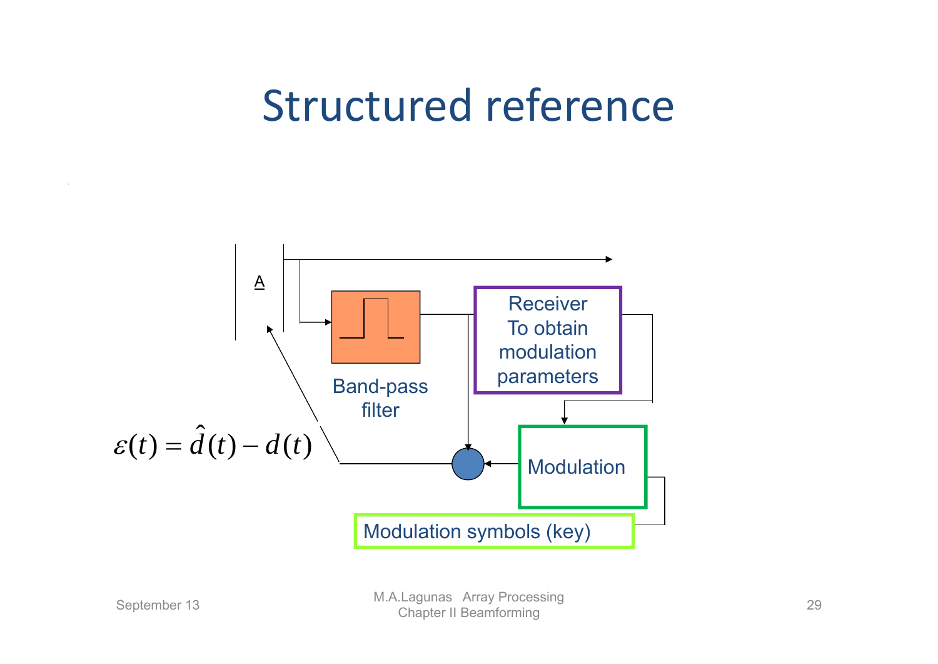## Structured reference

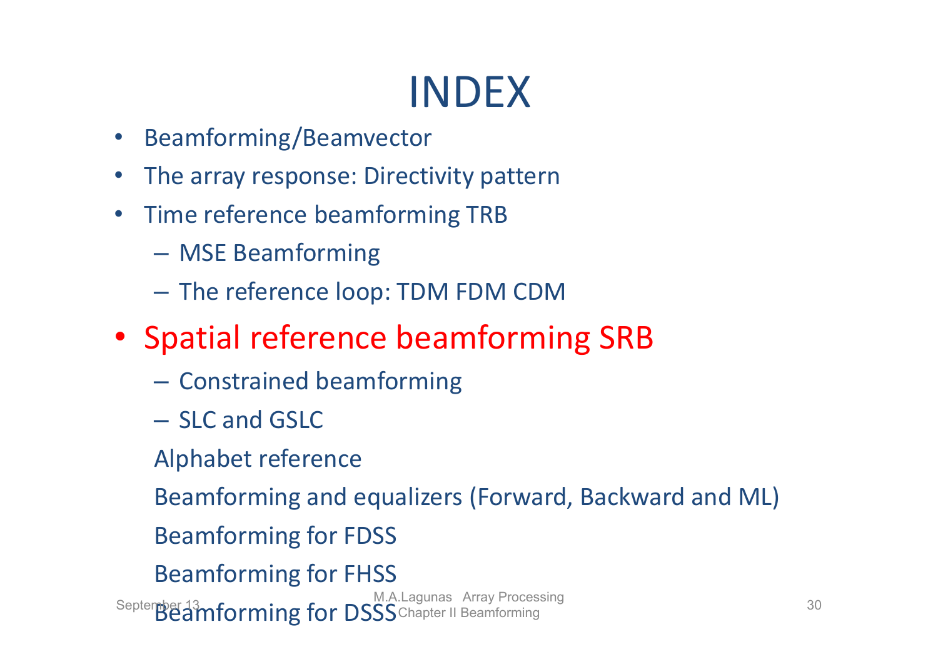- Beamforming/Beamvector
- •The array response: Directivity pattern
- $\bullet$ • Time reference beamforming TRB
	- MSE Beamforming
	- $-$  The reference loop: TDM FDM CDM
- Spatial reference beamforming SRB
	- – $-$  Constrained beamforming
	- SLC and GSLC
	- Alphabet reference

Beamforming and equalizers (Forward, Backward and ML)

- Beamforming for FDSS
- Beamforming for FHSS

September 13 M**M.A.Lagunas Array Processing** 30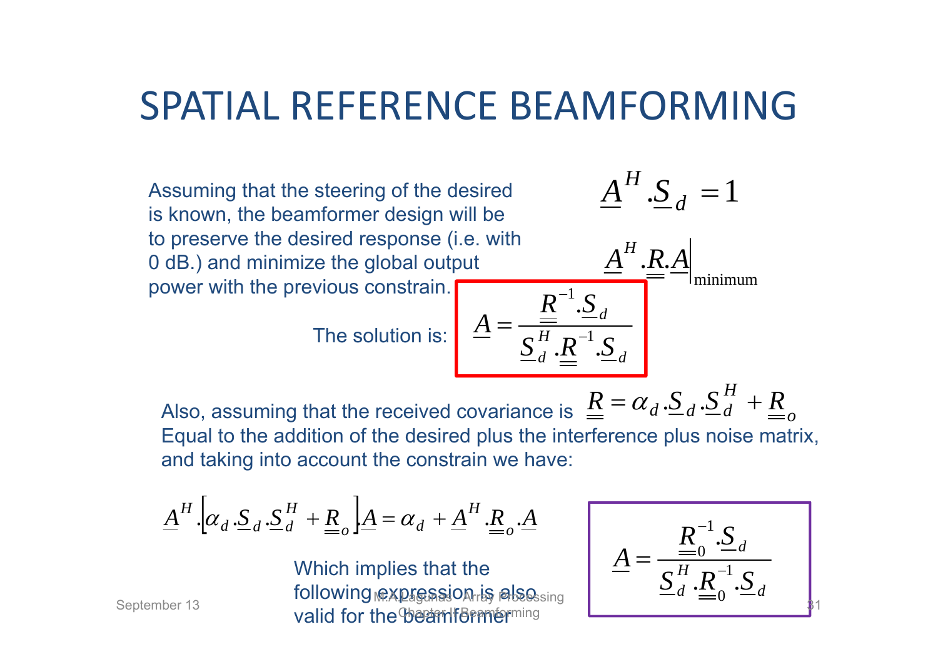#### SPATIAL REFERENCE BEAMFORMING

Assuming that the steering of the desired is known, the beamformer design will to preserve the desired response (i.e. 0 dB.) and minimize the global output power with the previous constrain.

The solution is:  $\begin{array}{|c|} \hline \end{array}$ 

$$
\underline{A}^{H} \cdot \underline{S}_{d} = 1
$$
\nwith\n
$$
\underline{A}^{H} \cdot \underline{R} \cdot \underline{A} \Big|_{\text{minimum}}
$$
\n
$$
\underline{A} = \frac{\underline{R}^{-1} \cdot \underline{S}_{d}}{\underline{S}_{d}^{H} \cdot \underline{R}^{-1} \cdot \underline{S}_{d}}
$$

Also, assuming that the received covariance is  $\Delta \equiv \alpha_d \Delta_d \Delta_d + \Delta_d$ Equal to the addition of the desired plus the interference plus noise matrix, and taking into account the constrain we have:  $\underline{R} = \alpha_d \cdot \underline{S}_d \cdot \underline{S}_d^H + \underline{R}$ 

$$
\underline{A}^H \cdot \left[ \alpha_d \cdot \underline{S}_d \cdot \underline{S}_d^H + \underline{R}_o \right] \underline{A} = \alpha_d + \underline{A}^H \cdot \underline{R}_o \cdot \underline{A}
$$

Which implies that the following **@XDf@SSjOAriS alsossing**  $S$ eptember 13 M.A.Lagunas M.A.Lagunas Array Publishing  $\begin{bmatrix} -a & -a \end{bmatrix}$ 

$$
\underline{A} = \frac{\underline{R}_0^{-1} . \underline{S}_d}{\underline{S}_d^H . \underline{R}_0^{-1} . \underline{S}_d}
$$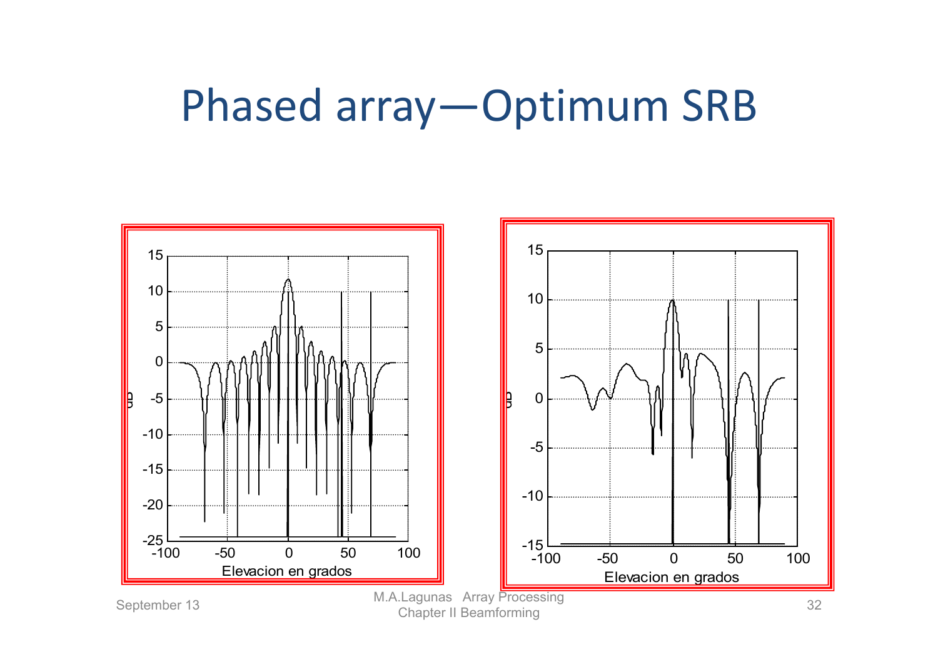#### Phased array—Optimum SRB

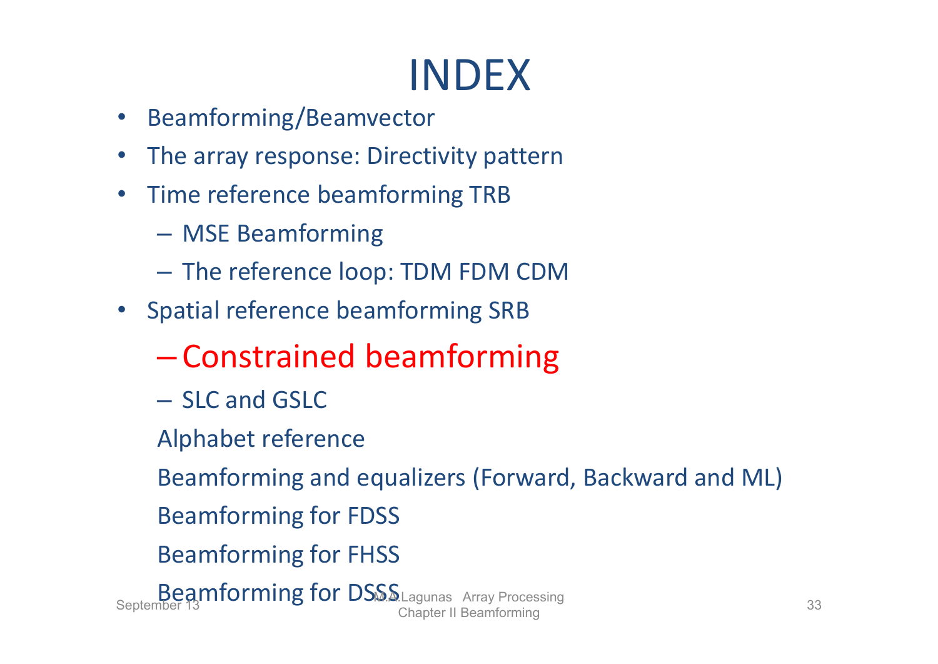- •Beamforming/Beamvector
- •The array response: Directivity pattern
- $\bullet$ • Time reference beamforming TRB
	- –MSE Beamforming
	- –The reference loop: TDM FDM CDM
- Spatial reference beamforming SRB
	- –Constrained beamforming
	- SLC and GSLC
	- Alphabet reference

Beamforming and equalizers (Forward, Backward and ML)

- Beamforming for FDSS
- Beamforming for FHSS

Beamforming for DSSS Lagunas Array Processing<br>Chapter II Beamforming 33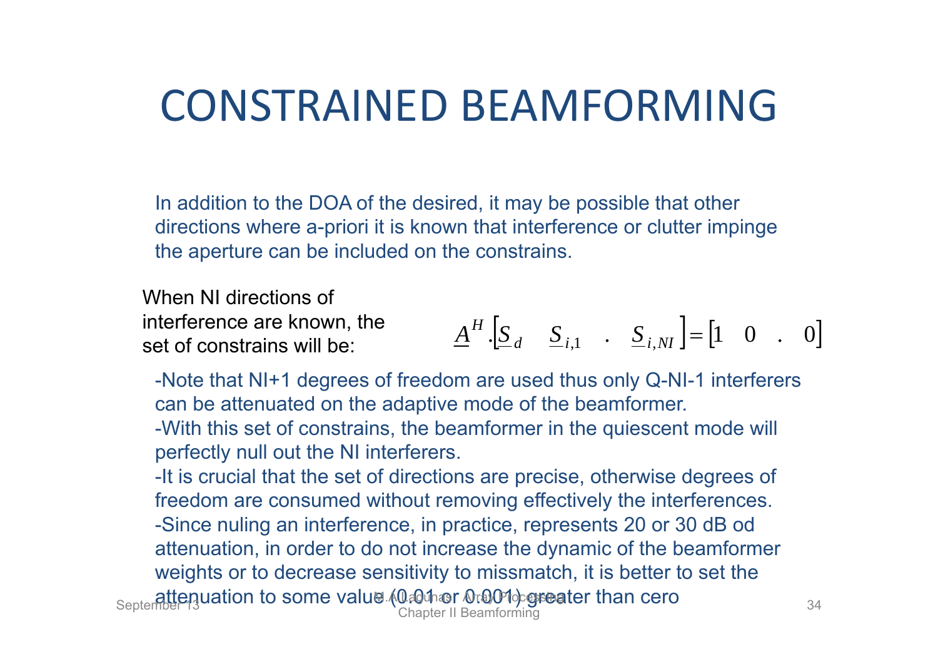### CONSTRAINED BEAMFORMING

In addition to the DOA of the desired, it may be possible that other directions where a-priori it is known that interference or clutter impinge the aperture can be included on the constrains.

When NI directions of interference are known, the set of constrains will be:

$$
\underline{A}^H \cdot [\underline{S}_d \quad \underline{S}_{i,1} \quad . \quad \underline{S}_{i,NI}] = [1 \quad 0 \quad . \quad 0]
$$

-Note that NI+1 degrees of freedom are used thus only Q-NI-1 interferers can be attenuated on the adaptive mode of the beamformer. -With this set of constrains, the beamformer in the quiescent mode will perfectly null out the NI interferers.

-It is crucial that the set of directions are precise, otherwise degrees of freedom are consumed without removing effectively the interferences. -Since nuling an interference, in practice, represents 20 or 30 dB od attenuation, in order to do not increase the dynamic of the beamformer weights or to decrease sensitivity to missmatch, it is better to set the september 134 attenuation to some value (0.01 and 0.01 or 0.01 or 0.01 or 0.01 or 0.34 Chapter II Beamforming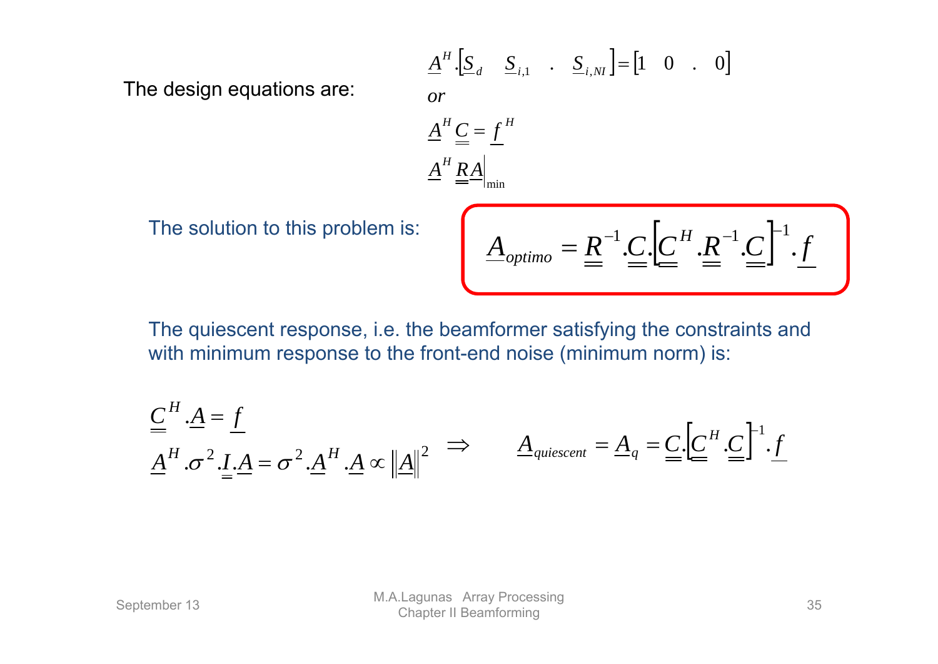The design equations are:

$$
\underline{A}^{H} \cdot \left[ \underline{S}_{d} \quad \underline{S}_{i,1} \quad . \quad \underline{S}_{i,NI} \right] = \left[ 1 \quad 0 \quad . \quad 0 \right]
$$
\n*or*\n
$$
\underline{A}^{H} \underline{C} = \underline{f}^{H}
$$
\n
$$
\underline{A}^{H} \underline{R} \underline{A} \Big|_{\text{min}}
$$

The solution to this problem is:

$$
\underline{A}_{\textit{option}} = \underline{R}^{-1} \underline{C} \underline{C}^H \underline{R}^{-1} \underline{C}^{-1} \underline{f}
$$

The quiescent response, i.e. the beamformer satisfying the constraints and with minimum response to the front-end noise (minimum norm) is:

$$
\underline{\underline{C}}^H \cdot \underline{A} = \underline{f}
$$
\n
$$
\underline{\underline{A}}^H \cdot \sigma^2 \cdot \underline{I} \cdot \underline{A} = \sigma^2 \cdot \underline{A}^H \cdot \underline{A} \propto ||\underline{A}||^2 \implies \underline{A}_{\text{quiescent}} = \underline{A}_q = \underline{C} \cdot [\underline{C}^H \cdot \underline{C}]^1 \cdot \underline{f}
$$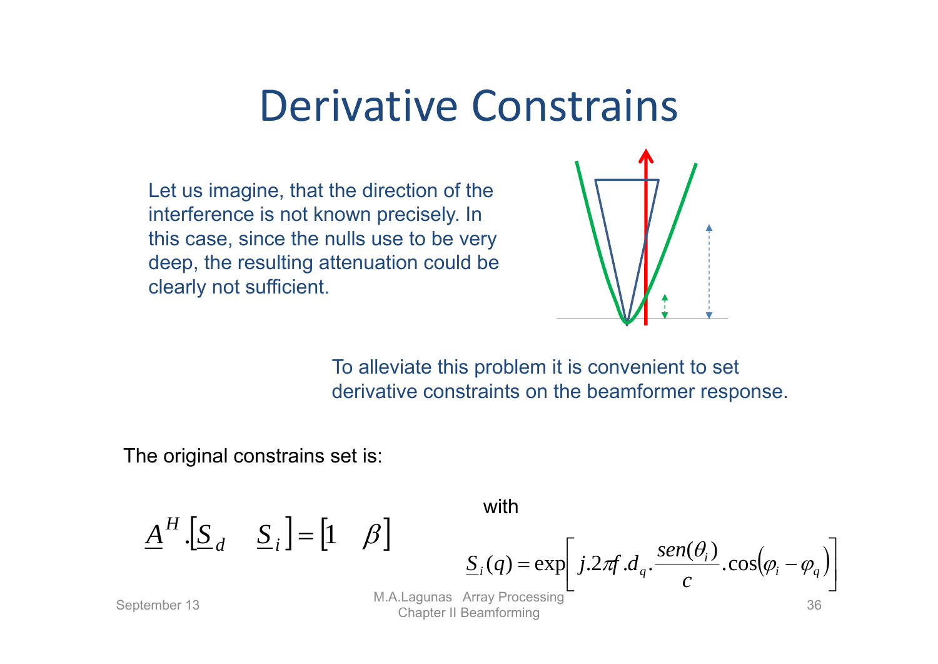#### Derivative Constrains

Let us imagine, that the direction of the interference is not known precisely. In this case, since the nulls use to be very deep, the resulting attenuation could be clearly not sufficient.



To alleviate this problem it is convenient to set derivative constraints on the beamformer response.

The original constrains set is:

$$
\underline{A}^H \cdot [\underline{S}_d \quad \underline{S}_i] = [1 \quad \beta]
$$

with

 $\underline{S}_i(q) = \exp\left[j \cdot 2\pi f \cdot d_q \cdot \frac{sen(\theta_i)}{c} \cdot cos(\varphi_i - \varphi_q)\right]$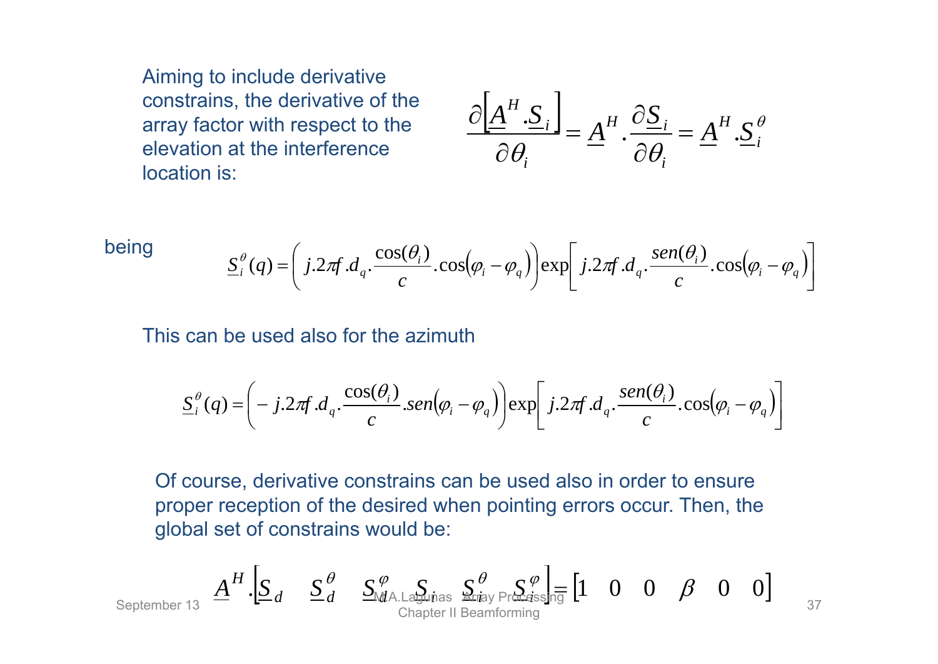Aiming to include derivative constrains, the derivative of the array factor with respect to the elevation at the interference location is:

$$
\frac{\partial \left[\underline{A}^{H} \cdot \underline{S}_{i}\right]}{\partial \theta_{i}} = \underline{A}^{H} \cdot \frac{\partial \underline{S}_{i}}{\partial \theta_{i}} = \underline{A}^{H} \cdot \underline{S}_{i}^{\theta}
$$

being 
$$
\underline{S}_{i}^{\theta}(q) = \left(j.2\pi f.d_{q} \cdot \frac{\cos(\theta_{i})}{c} \cdot \cos(\varphi_{i} - \varphi_{q})\right) \exp\left[j.2\pi f.d_{q} \cdot \frac{\sin(\theta_{i})}{c} \cdot \cos(\varphi_{i} - \varphi_{q})\right]
$$

This can be used also for the azimuth

$$
\underline{S}_i^{\theta}(q) = \left(-j.2\pi f.d_q \cdot \frac{\cos(\theta_i)}{c} \cdot \frac{\sin(\varphi_i - \varphi_q)}{c}\right) \exp\left[j.2\pi f.d_q \cdot \frac{\sin(\theta_i)}{c} \cdot \cos(\varphi_i - \varphi_q)\right]
$$

Of course, derivative constrains can be used also in order to ensure proper reception of the desired when pointing errors occur. Then, the global set of constrains would be:

September 13 
$$
\underline{A}^H
$$
  $\underline{S}_d$   $\underline{S}_d^{\theta}$   $\underline{S}_{MA.Lapinas}^{\phi}$   $\underline{S}_{ray Pr}$   $\underline{S}_{d}$   $\underline{S}_{r}$   $\underline{S}_{r}$   $\underline{S}_{r}$   $\underline{S}_{r}$   $\underline{S}_{r}$   $\underline{S}_{r}$   $\underline{S}_{r}$   $\underline{S}_{r}$   $\underline{S}_{r}$   $\underline{S}_{r}$   $\underline{S}_{r}$   $\underline{S}_{r}$   $\underline{S}_{r}$   $\underline{S}_{r}$   $\underline{S}_{r}$   $\underline{S}_{r}$   $\underline{S}_{r}$   $\underline{S}_{r}$   $\underline{S}_{r}$   $\underline{S}_{r}$   $\underline{S}_{r}$   $\underline{S}_{r}$   $\underline{S}_{r}$   $\underline{S}_{r}$   $\underline{S}_{r}$   $\underline{S}_{r}$   $\underline{S}_{r}$   $\underline{S}_{r}$   $\underline{S}_{r}$   $\underline{S}_{r}$   $\underline{S}_{r}$   $\underline{S}_{r}$   $\underline{S}_{r}$   $\underline{S}_{r}$   $\underline{S}_{r}$   $\underline{S}_{r}$   $\underline{S}_{r}$   $\underline{S}_{r}$   $\underline{S}_{r}$   $\underline{S}_{r}$   $\underline{S}_{r}$   $\underline{S}_{r}$   $\underline{S}_{r}$   $\underline{S}_{r}$   $\underline{S}_{r}$   $\underline{S}_{r}$   $\underline{S}_{r}$   $\underline{S}_{r}$   $\underline{S}_{r}$   $\underline{S}_{r}$   $\underline{S}_{r}$   $\underline{S}_{r}$   $\underline{S}_{r}$   $\underline{S}_{r}$   $\underline{S}_{r}$   $\underline{S}_{r}$   $\underline{S}_{r}$   $\underline{S}_{r}$   $\underline{S}_{r}$   $\underline{S}_{r}$   $\underline{S}_{r}$   $\underline{S}_{r}$  <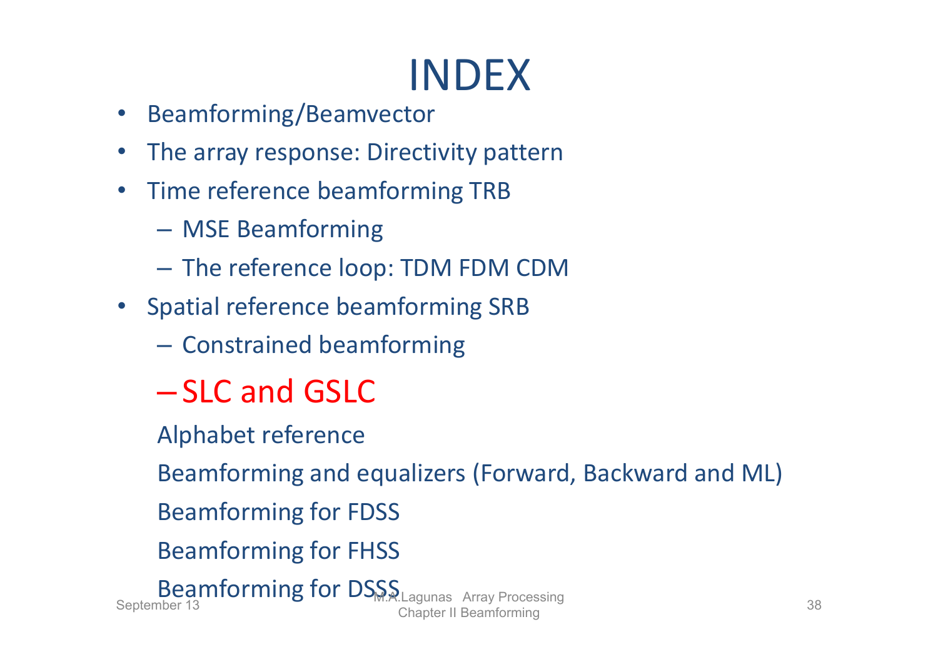# INDEX

- •Beamforming/Beamvector
- $\bullet$ The array response: Directivity pattern
- $\bullet$ • Time reference beamforming TRB
	- MSE Beamforming
	- $-$  The reference loop: TDM FDM CDM
- Spatial reference beamforming SRB
	- $-$  Constrained beamforming
	- SLC and GSLC
	- Alphabet reference

Beamforming and equalizers (Forward, Backward and ML)

- Beamforming for FDSS
- Beamforming for FHSS

Beamforming for DSSS Lagunas Array Processing<br>Chapter II Beamforming 38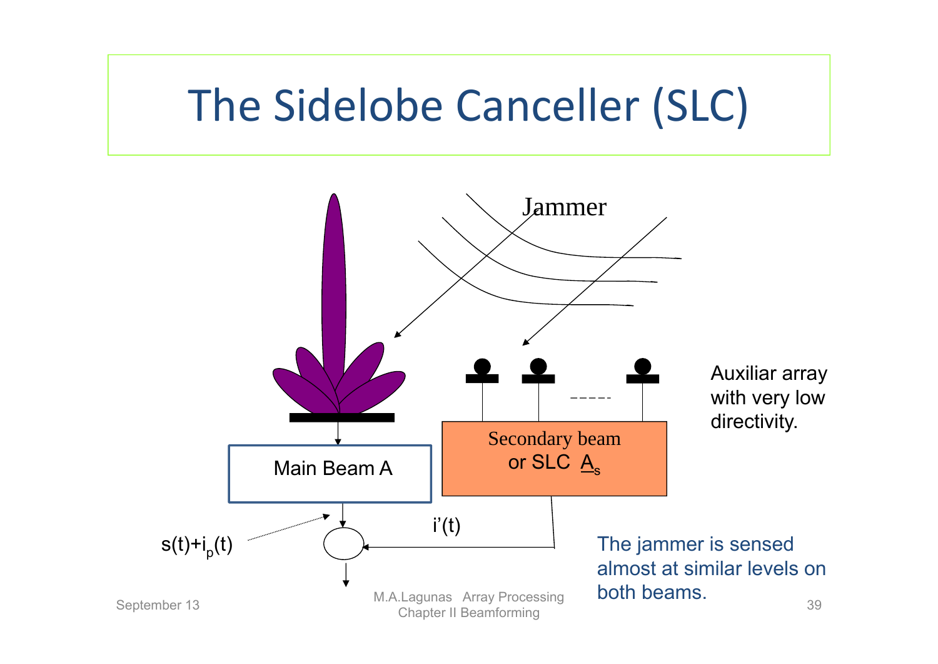# The Sidelobe Canceller (SLC)

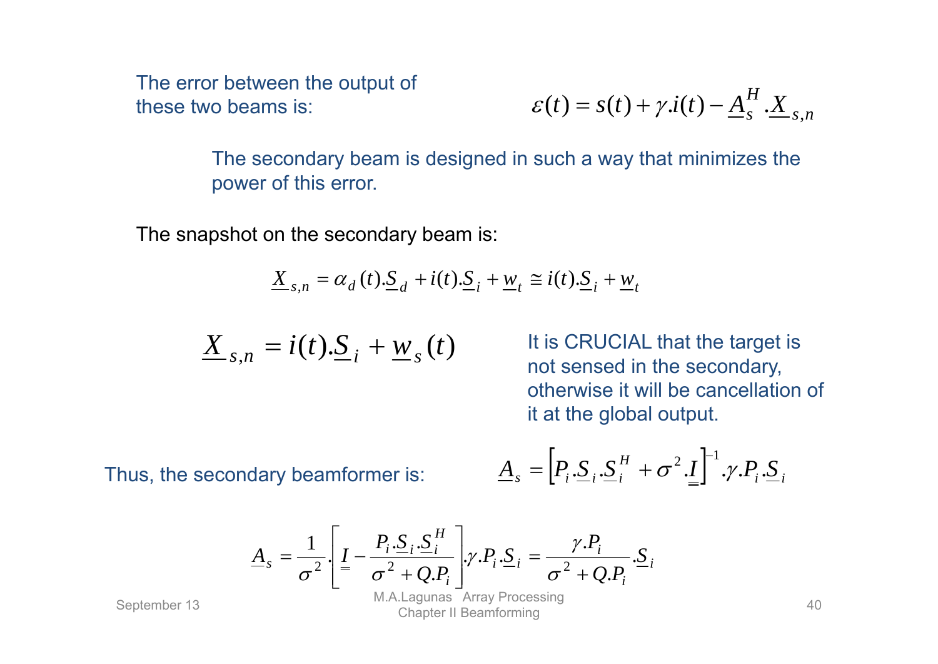The error between the output of these two beams is:

$$
\varepsilon(t) = s(t) + \gamma \dot{x}(t) - \underline{A}_s^H \cdot \underline{X}_{s,n}
$$

The secondary beam is designed in such a way that minimizes the power of this error.

The snapshot on the secondary beam is:

$$
\underline{X}_{s,n} = \alpha_d(t).\underline{S}_d + i(t).\underline{S}_i + \underline{w}_t \cong i(t).\underline{S}_i + \underline{w}_t
$$

$$
\underline{X}_{s,n} = i(t).\underline{S}_i + \underline{w}_s(t)
$$

It is CRUCIAL that the target is not sensed in the secondary, otherwise it will be cancellation of it at the global output.

Thus, the secondary beamformer is:

$$
\underline{A}_{s} = [P_{i} \cdot \underline{S}_{i} \cdot \underline{S}_{i}^{H} + \sigma^{2} \cdot \underline{I}]^{-1} \cdot \gamma \cdot P_{i} \cdot \underline{S}_{i}
$$

$$
\underline{A}_s = \frac{1}{\sigma^2} \left[ \underline{I} - \frac{P_i \cdot S_i \cdot S_i^H}{\sigma^2 + Q \cdot P_i} \right] \gamma \cdot P_i \cdot S_i = \frac{\gamma \cdot P_i}{\sigma^2 + Q \cdot P_i} \cdot S_i
$$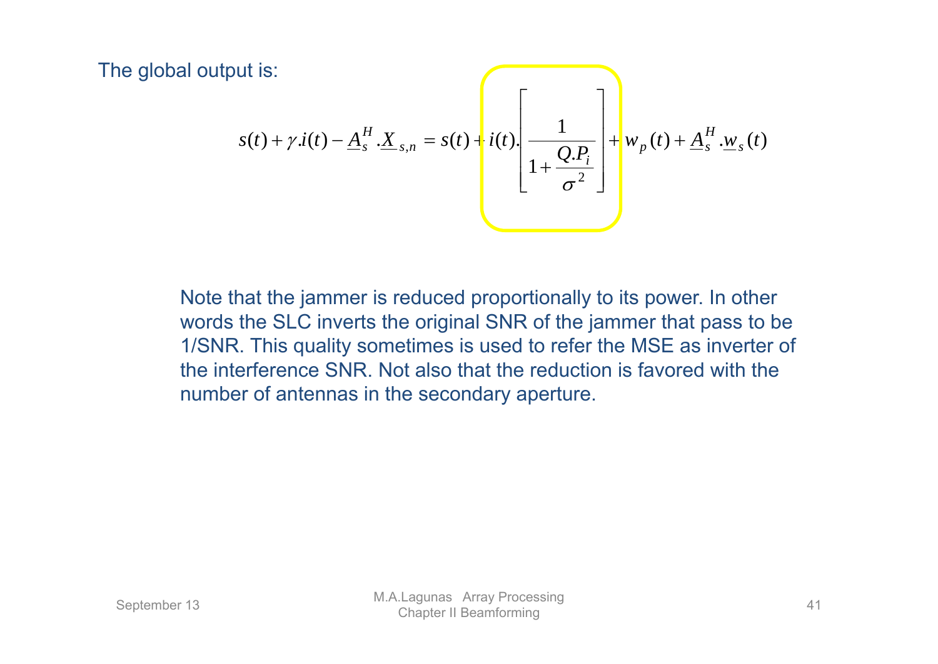The global output is:

$$
s(t) + \gamma \dot{I}(t) - \underline{A}_s^H \cdot \underline{X}_{s,n} = s(t) + i(t) \cdot \left[ \frac{1}{1 + \frac{Q \cdot P_i}{\sigma^2}} \right] + w_p(t) + \underline{A}_s^H \cdot \underline{w}_s(t)
$$

Note that the jammer is reduced proportionally to its power. In other words the SLC inverts the original SNR of the jammer that pass to be 1/SNR. This quality sometimes is used to refer the MSE as inverter of the interference SNR. Not also that the reduction is favored with the number of antennas in the secondary aperture.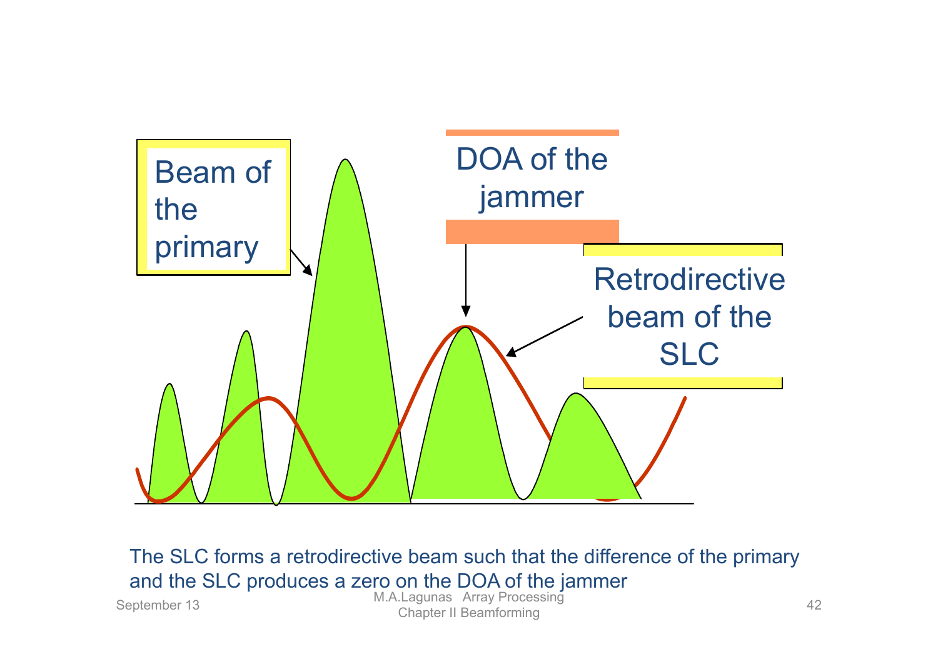

The SLC forms a retrodirective beam such that the difference of the primary and the SLC produces a zero on the DOA of the jammer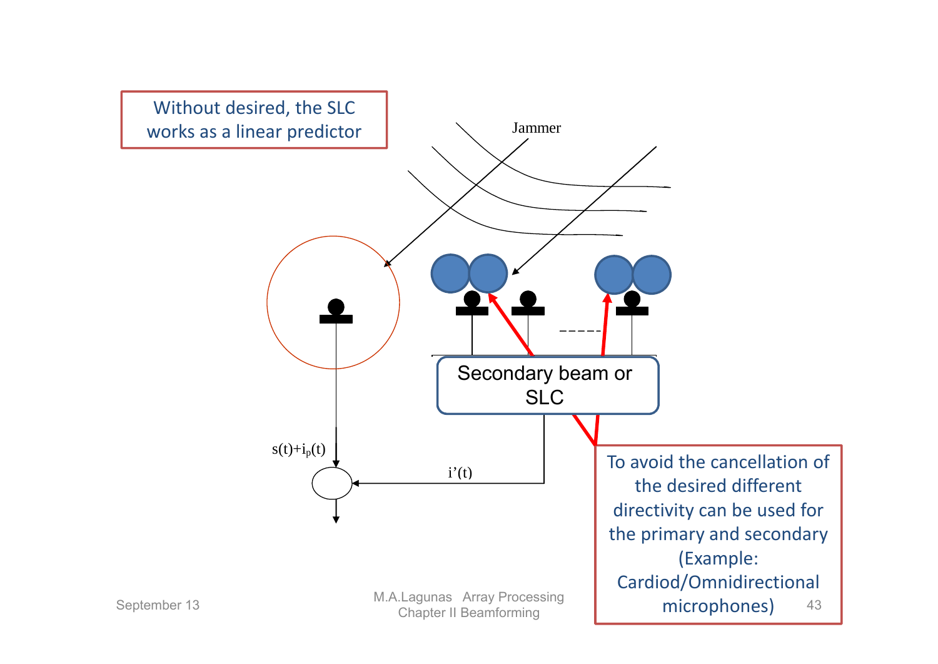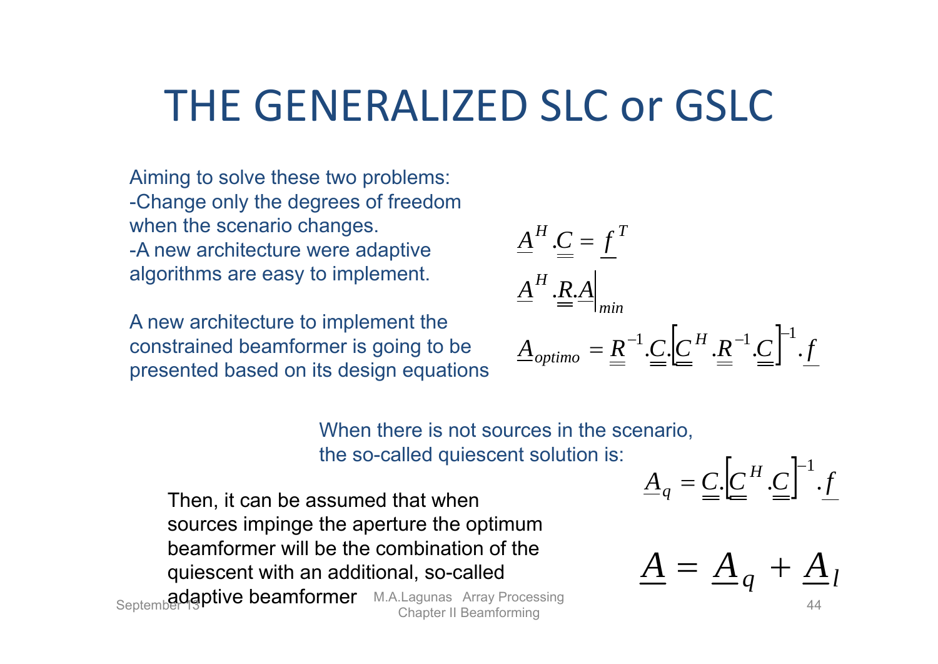# THE GENERALIZED SLC or GSLC

Aiming to solve these two problems: -Change only the degrees of freedom when the scenario changes. -A new architecture were adaptive algorithms are easy to implement.

A new architecture to implement the constrained beamformer is going to be presented based on its design equations

$$
\underline{A}^{H} \cdot \underline{\underline{C}} = \underline{f}^{T}
$$
\n
$$
\underline{A}^{H} \cdot \underline{\underline{R}} \cdot \underline{A}\Big|_{min}
$$
\n
$$
\underline{A}_{optimo} = \underline{R}^{-1} \cdot \underline{C} \cdot \left[\underline{C}^{H} \cdot \underline{R}^{-1} \cdot \underline{C}\right]^{-1} \cdot \underline{f}
$$

When there is not sources in the scenario. the so-called quiescent solution is:

Then, it can be assumed that when sources impinge the aperture the optimum beamformer will be the combination of the quiescent with an additional, so-called September **diagptive beamformer** M.A.Lagunas Array Processing **Chapter 11 M.A.Lagunas Array Processing** 44

$$
\underline{A}_q = \underline{C} \cdot \left[ \underline{C}^H \cdot \underline{C} \right]^{-1} \cdot f
$$

$$
\underline{A} = \underline{A}_q + \underline{A}_l
$$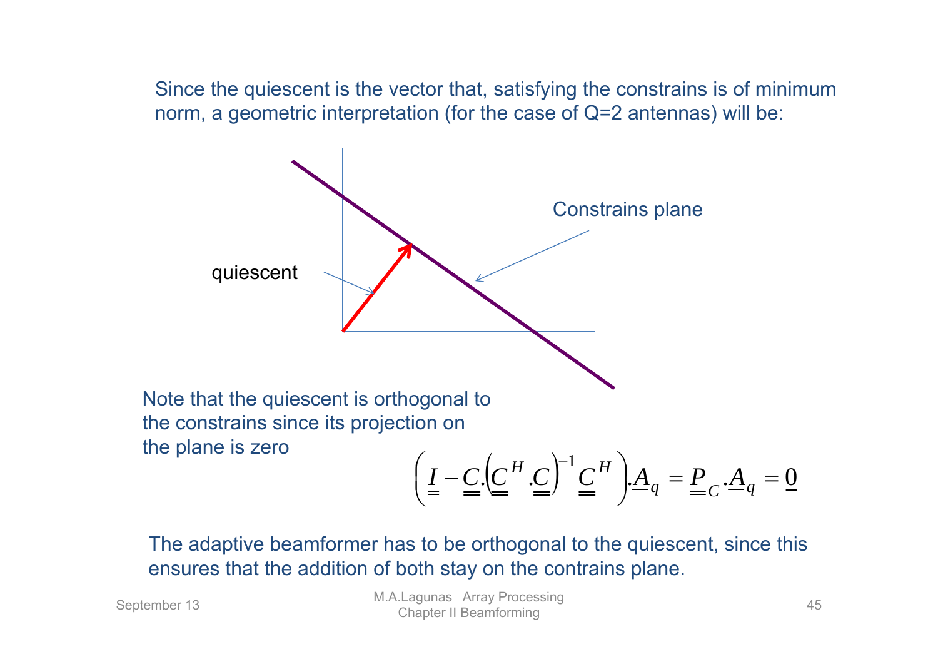Since the quiescent is the vector that, satisfying the constrains is of minimum norm, a geometric interpretation (for the case of Q=2 antennas) will be:



The adaptive beamformer has to be orthogonal to the quiescent, since this ensures that the addition of both stay on the contrains plane.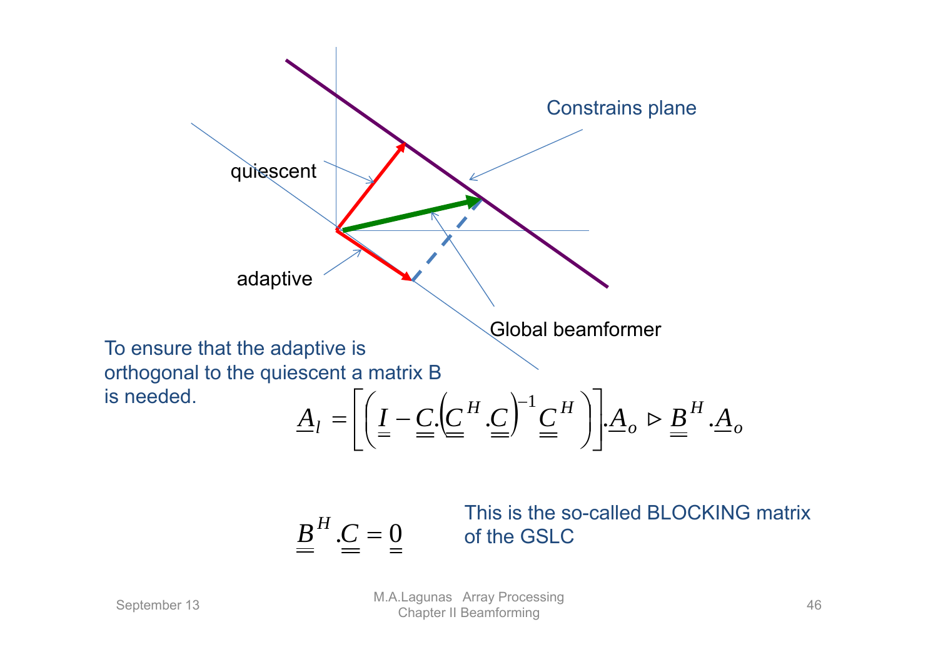

 $B^H.C = 0$ 

This is the so-called BLOCKING matrix of the GSLC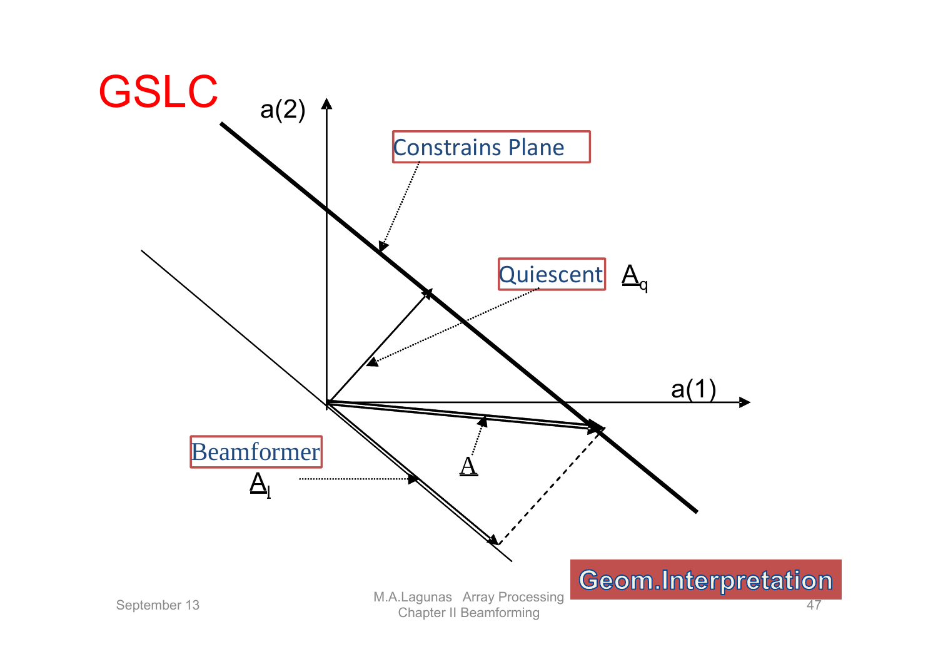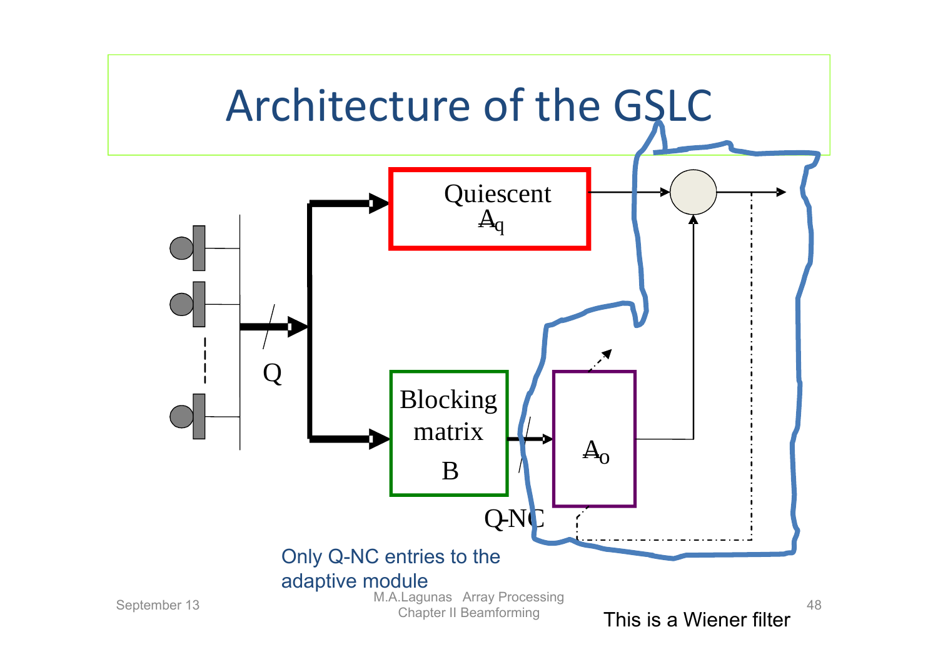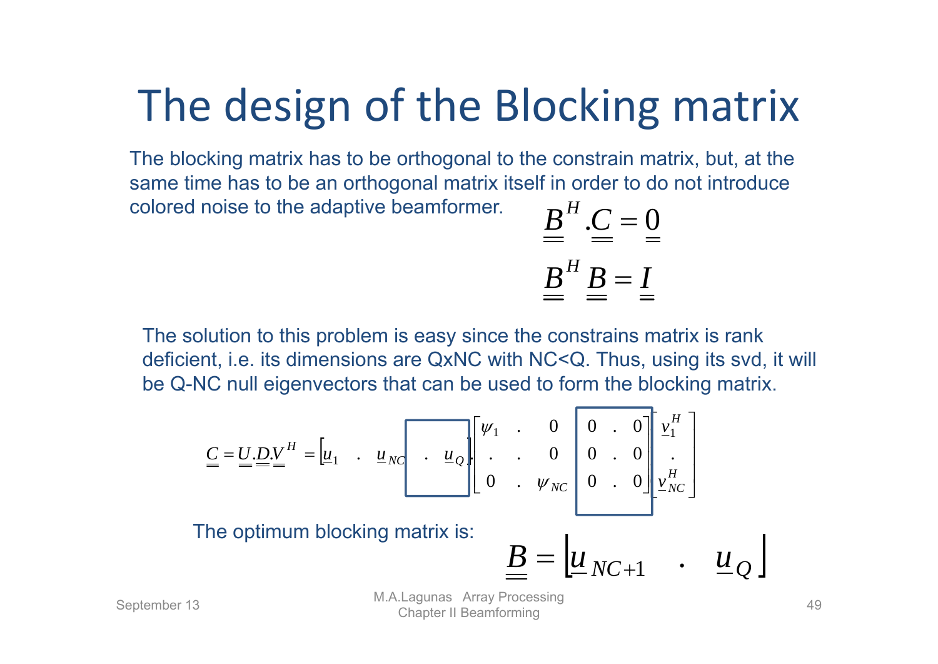# The design of the Blocking matrix

 $B^H$ . $C=0$ The blocking matrix has to be orthogonal to the constrain matrix, but, at the same time has to be an orthogonal matrix itself in order to do not introduce colored noise to the adaptive beamformer.

$$
\stackrel{2}{=} \stackrel{3}{=} \stackrel{3}{=} \stackrel{4}{=} \stackrel{5}{=} \stackrel{6}{=} \stackrel{7}{=} \stackrel{8}{=} \stackrel{8}{=} \stackrel{9}{=} \stackrel{1}{=} \stackrel{1}{=} \stackrel{1}{=} \stackrel{1}{=} \stackrel{1}{=} \stackrel{1}{=} \stackrel{1}{=} \stackrel{1}{=} \stackrel{1}{=} \stackrel{1}{=} \stackrel{1}{=} \stackrel{1}{=} \stackrel{1}{=} \stackrel{1}{=} \stackrel{1}{=} \stackrel{1}{=} \stackrel{1}{=} \stackrel{1}{=} \stackrel{1}{=} \stackrel{1}{=} \stackrel{1}{=} \stackrel{1}{=} \stackrel{1}{=} \stackrel{1}{=} \stackrel{1}{=} \stackrel{1}{=} \stackrel{1}{=} \stackrel{1}{=} \stackrel{1}{=} \stackrel{1}{=} \stackrel{1}{=} \stackrel{1}{=} \stackrel{1}{=} \stackrel{1}{=} \stackrel{1}{=} \stackrel{1}{=} \stackrel{1}{=} \stackrel{1}{=} \stackrel{1}{=} \stackrel{1}{=} \stackrel{1}{=} \stackrel{1}{=} \stackrel{1}{=} \stackrel{1}{=} \stackrel{1}{=} \stackrel{1}{=} \stackrel{1}{=} \stackrel{1}{=} \stackrel{1}{=} \stackrel{1}{=} \stackrel{1}{=} \stackrel{1}{=} \stackrel{1}{=} \stackrel{1}{=} \stackrel{1}{=} \stackrel{1}{=} \stackrel{1}{=} \stackrel{1}{=} \stackrel{1}{=} \stackrel{1}{=} \stackrel{1}{=} \stackrel{1}{=} \stackrel{1}{=} \stackrel{1}{=} \stackrel{1}{=} \stackrel{1}{=} \stackrel{1}{=} \stackrel{1}{=} \stackrel{1}{=} \stackrel{1}{=} \stackrel{1}{=} \stackrel{1}{=} \stackrel{1}{=} \stackrel{1}{=} \stackrel{1}{=} \stackrel{1}{=} \stackrel{1}{=} \stackrel{1}{=} \stackrel{1}{=} \stackrel{1}{=} \stackrel{1}{=} \stackrel{1}{=} \stackrel{1}{=} \stackrel{1}{=} \stackrel{1}{=} \stackrel{1}{=} \stackrel{1}{=} \stackrel{1}{=} \stackrel{1}{=} \stackrel{1}{=} \stackrel{1}{=} \stackrel{1}{=} \stackrel{1}{=} \stackrel{1}{=} \stackrel{1}{=} \stackrel{1}{=} \stackrel{1}{=} \stackrel{1}{=} \stackrel{
$$

The solution to this problem is easy since the constrains matrix is rank deficient, i.e. its dimensions are QxNC with NC<Q. Thus, using its svd, it will be Q-NC null eigenvectors that can be used to form the blocking matrix.

$$
\underline{\underline{C}} = \underline{\underline{U}} \cdot \underline{\underline{D}} \underline{\underline{V}}^H = \left[\underline{\underline{u}}_1 \quad \underline{\underline{u}}_{NC} \right] \cdot \left[\underline{\underline{u}}_2\right] \left[\begin{array}{ccc} \underline{\underline{v}}_1 & \cdot & 0 & 0 & \cdot & 0 \\ \cdot & \cdot & 0 & 0 & \cdot & 0 \\ \cdot & \cdot & \underline{\underline{v}}_{NC} & 0 & \cdot & 0 \\ \cdot & \cdot & \underline{\underline{v}}_{NC} & 0 & \cdot & 0 \end{array}\right] \left[\begin{array}{c} \underline{\underline{v}}^H \\ \underline{\underline{v}}^H \\ \underline{\underline{v}}^H \\ \underline{\underline{v}}^H \end{array}\right]
$$
\nThe optimum blocking matrix is:

\n
$$
\underline{\underline{\underline{B}}} = \left[\underline{\underline{\underline{u}}}_{NC+1} \quad \underline{\underline{u}}_{Q}\right]
$$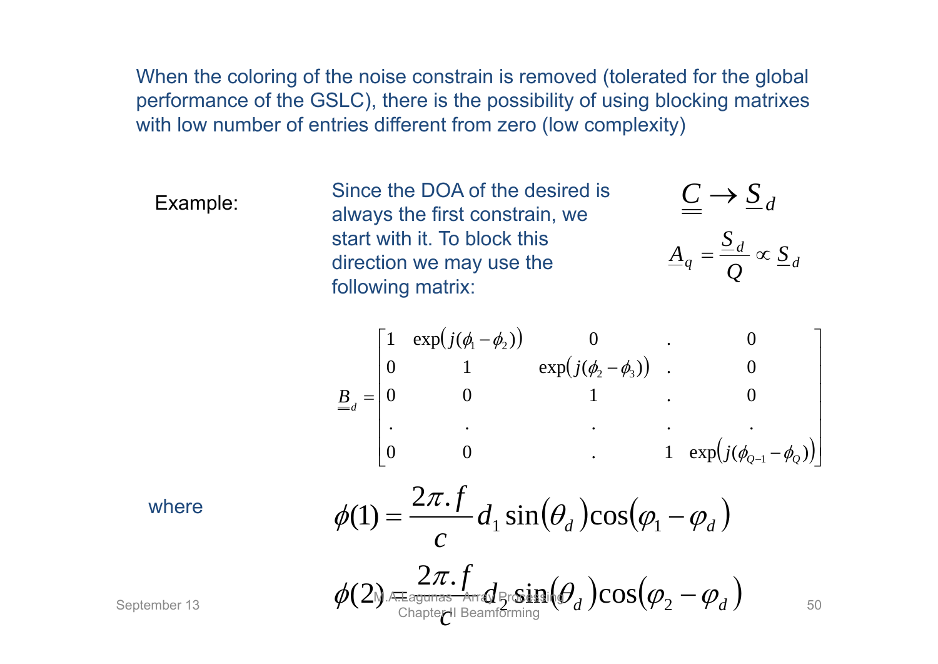When the coloring of the noise constrain is removed (tolerated for the global performance of the GSLC), there is the possibility of using blocking matrixes with low number of entries different from zero (low complexity)

Example:<br>
Since the DOA of the desired is<br>
always the first constrain, we start with it. To block this direction we may use the following matrix:

*f*

$$
\underline{\underline{C}} \longrightarrow \underline{S}_d
$$

$$
\underline{A}_q = \frac{\underline{S}_d}{Q} \propto \underline{S}_d
$$

$$
\underline{B}_{d} = \begin{bmatrix} 1 & \exp(j(\phi_{1} - \phi_{2})) & 0 & \cdots & 0 \\ 0 & 1 & \exp(j(\phi_{2} - \phi_{3})) & \cdots & 0 \\ 0 & 0 & 1 & \cdots & 0 \\ \vdots & \vdots & \vdots & \ddots & \vdots \\ 0 & 0 & \cdots & 1 & \exp(j(\phi_{Q-1} - \phi_{Q})) \end{bmatrix}
$$

where

where  
\n
$$
\phi(1) = \frac{2\pi f}{c} d_1 \sin(\theta_d) \cos(\varphi_1 - \varphi_d)
$$
\n
$$
\phi(2) = \frac{2\pi f}{c_1 \sin(\theta_d)} \sin(\theta_d) \cos(\varphi_2 - \varphi_d)
$$
\nSeptember 13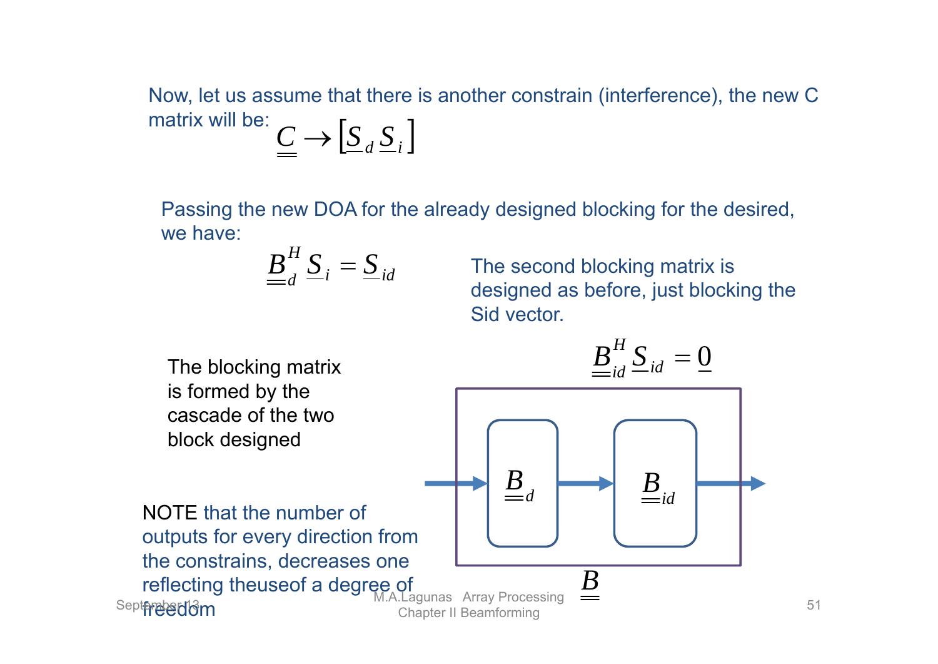Now, let us assume that there is another constrain (interference), the new C matrix will be: $\underline{C} \rightarrow \left[ \underline{S}_d \, \underline{S}_i \right]$ 

Passing the new DOA for the already designed blocking for the desired, we have:

$$
\underline{\underline{B}}_d^H \underline{S}_i = \underline{S}_{id}
$$

 The second blocking matrix is designed as before, just blocking the Sid vector.

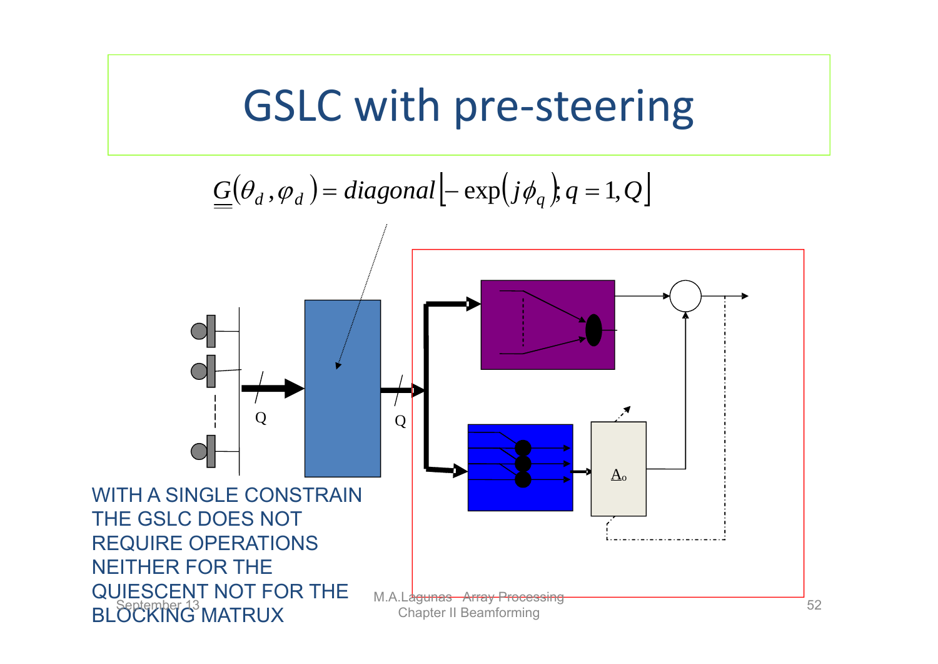### GSLC with pre‐steering

$$
\underline{G}(\theta_d, \varphi_d) = diagonal \left[ -\exp(j\phi_q), q = 1, Q \right]
$$

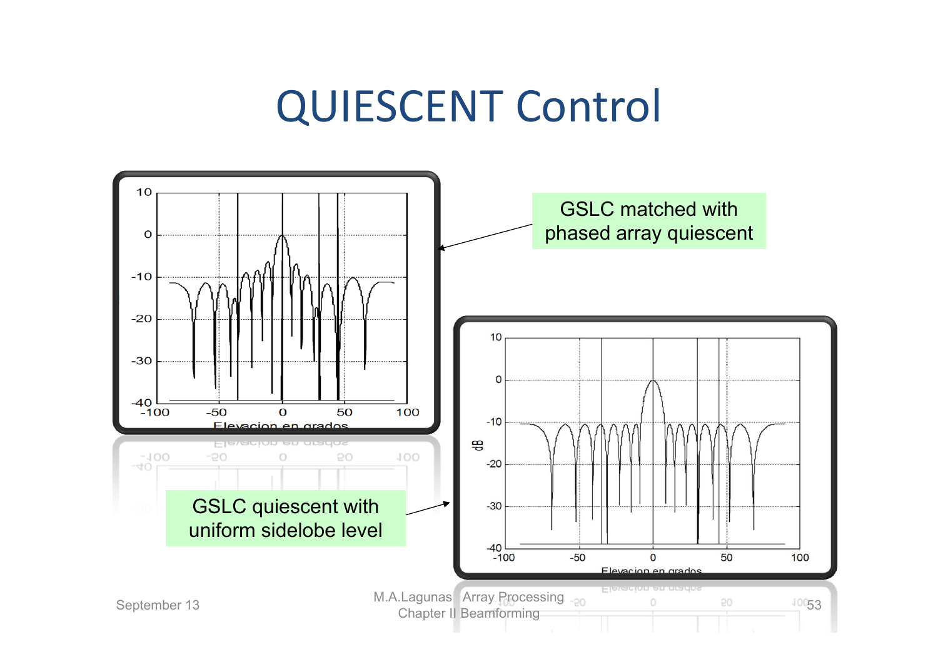## QUIESCENT Control

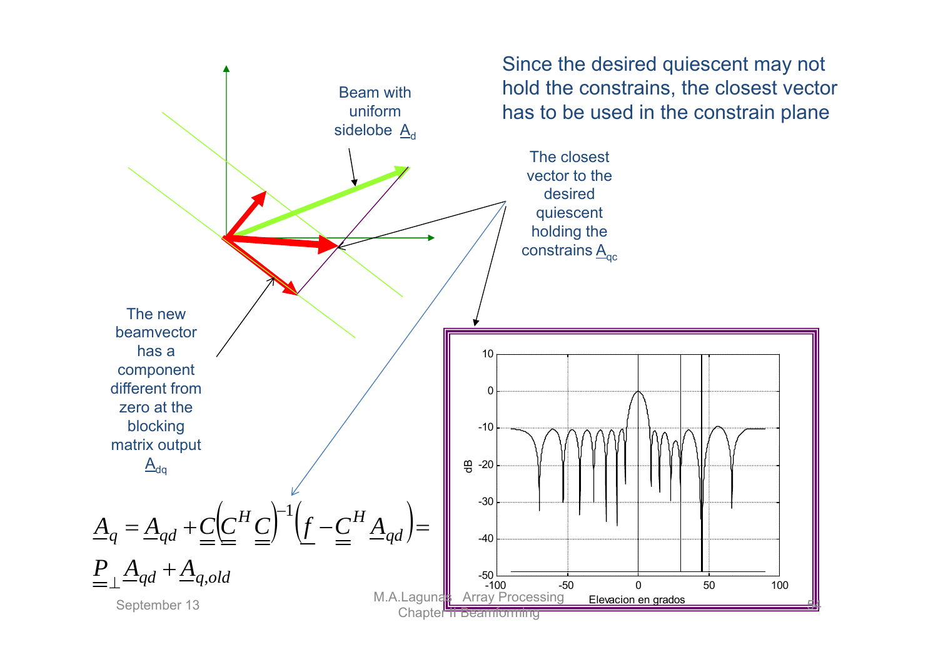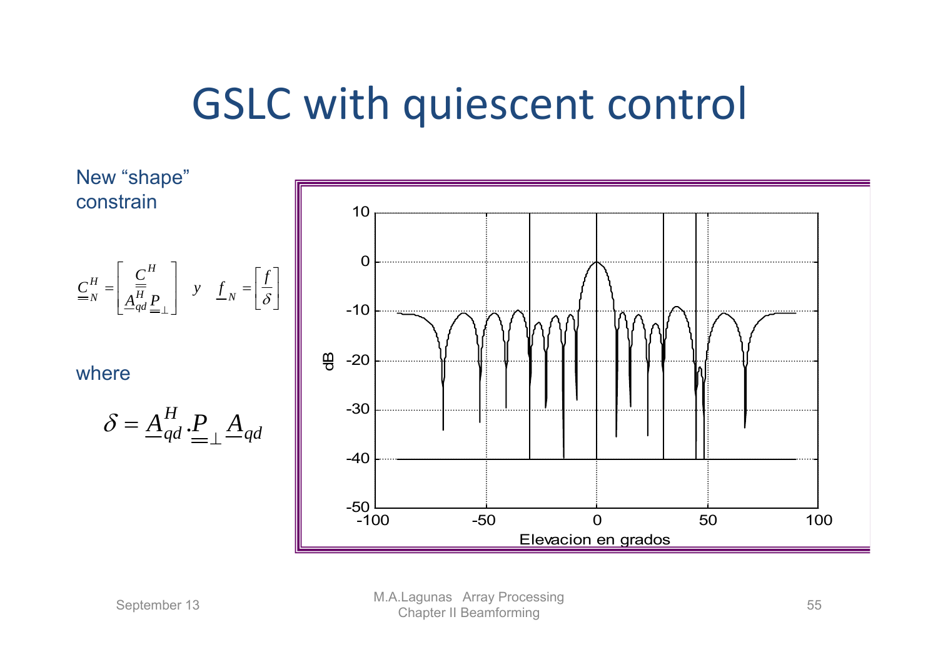# GSLC with quiescent control

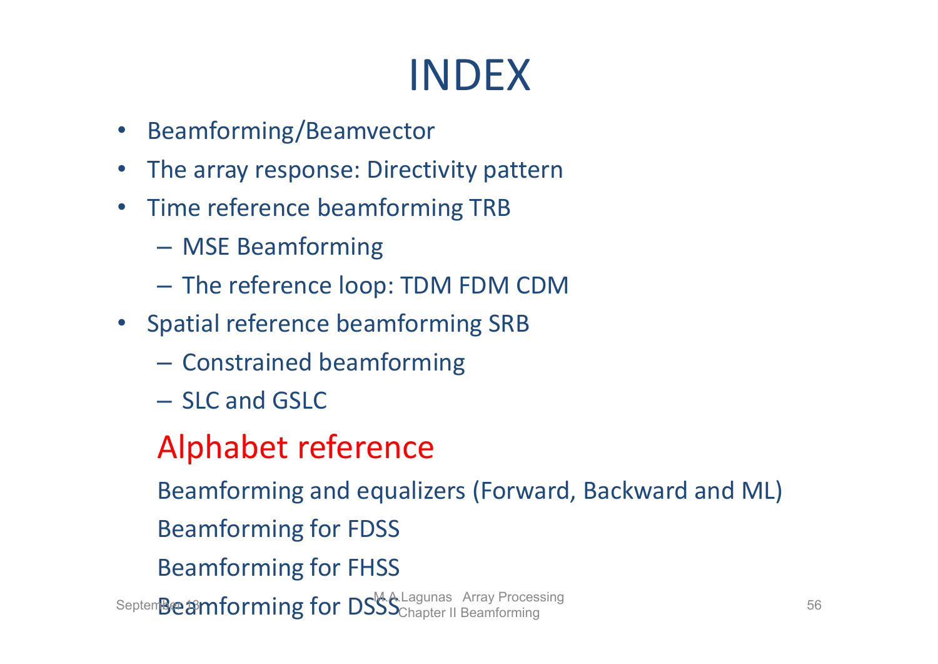# INDEX

- Beamforming/Beamvector
- $\bullet$ The array response: Directivity pattern
- •• Time reference beamforming TRB
	- –MSE Beamforming
	- –The reference loop: TDM FDM CDM
- Spatial reference beamforming SRB
	- – $-$  Constrained beamforming
	- SLC and GSLC

#### Alphabet reference

Beamforming and equalizers (Forward, Backward and ML) Beamforming for FDSS Beamforming for FHSS Septem**Beamforming for DSSS**Chapter II Beamforming 56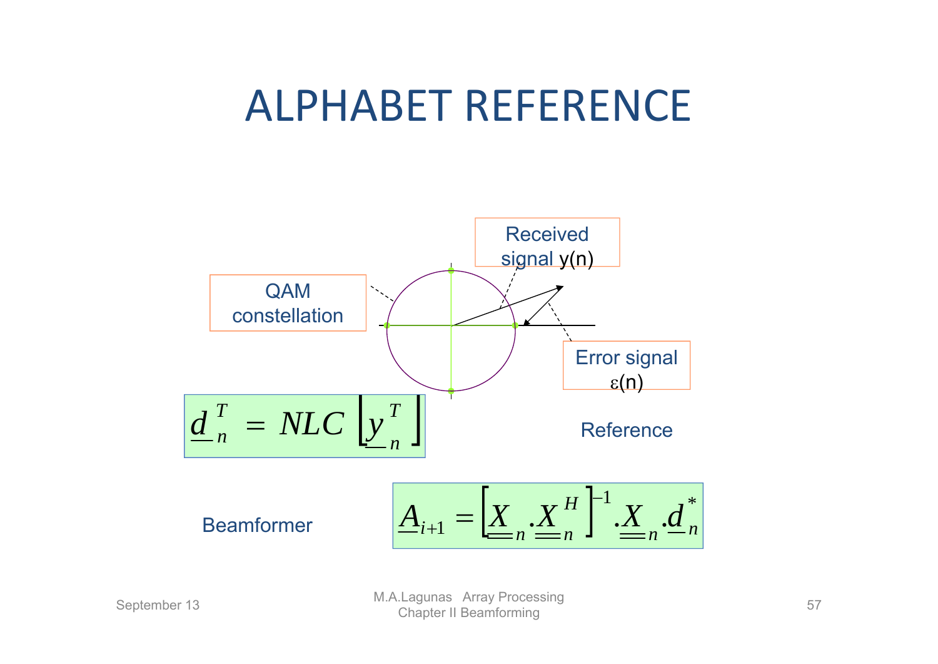# ALPHABET REFERENCE

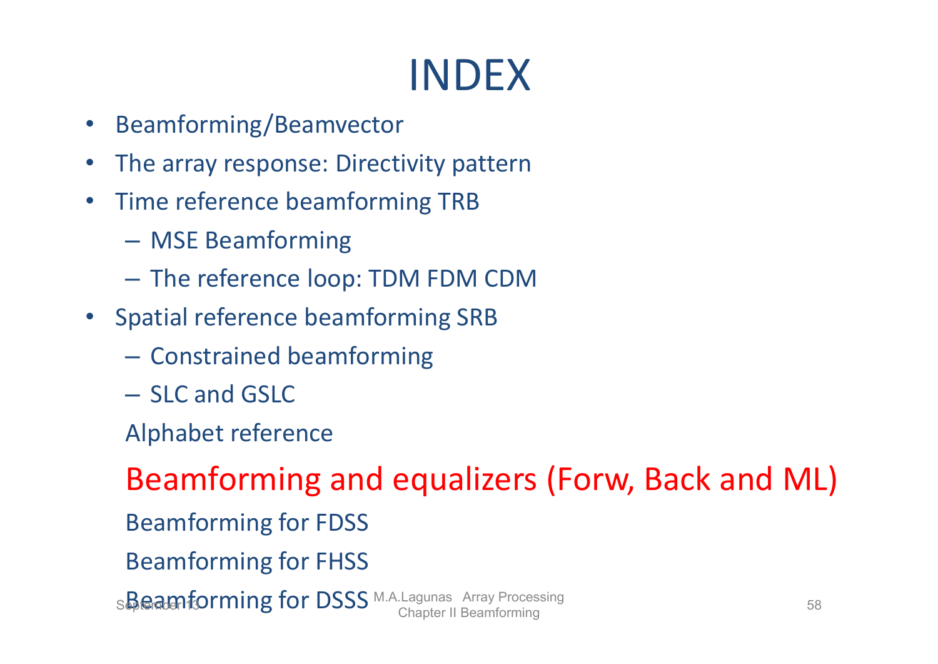# INDEX

- •Beamforming/Beamvector
- •The array response: Directivity pattern
- Time reference beamforming TRB
	- MSE Beamforming
	- The reference loop: TDM FDM CDM
- Spatial reference beamforming SRB
	- $-$  Constrained beamforming
	- SLC and GSLC
	- Alphabet reference

Beamforming and equalizers (Forw, Back and ML) Beamforming for FDSS Beamforming for FHSS

S**Beamforming for DSSS** M.A.Lagunas Array Processing 58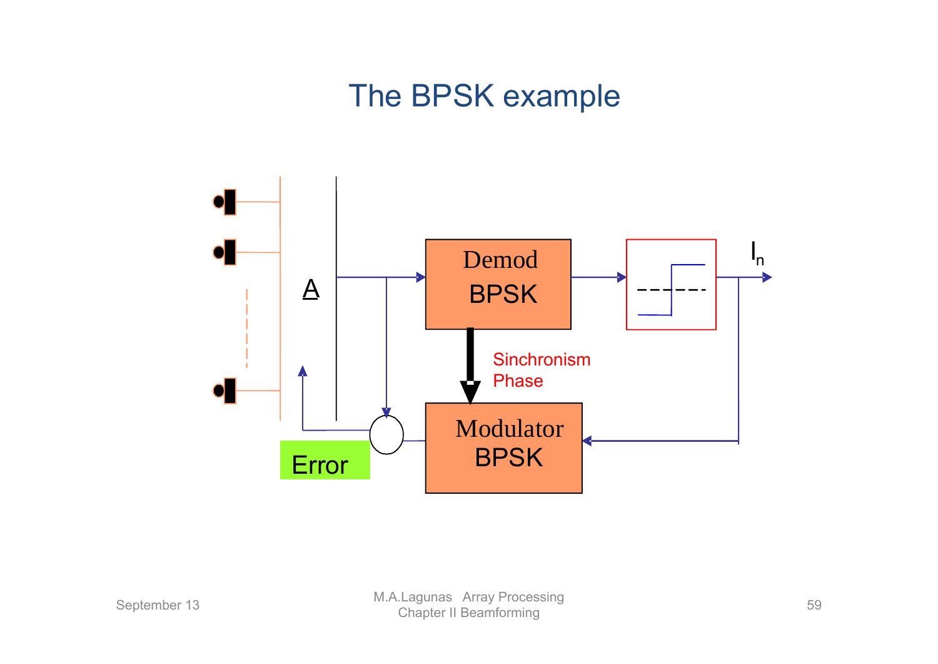#### The BPSK example

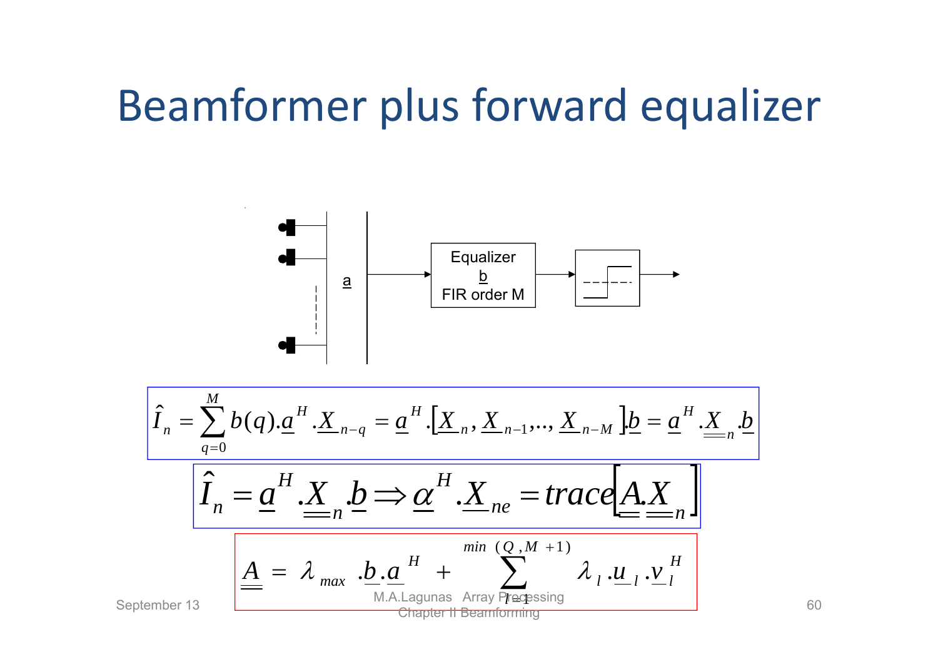# Beamformer plus forward equalizer

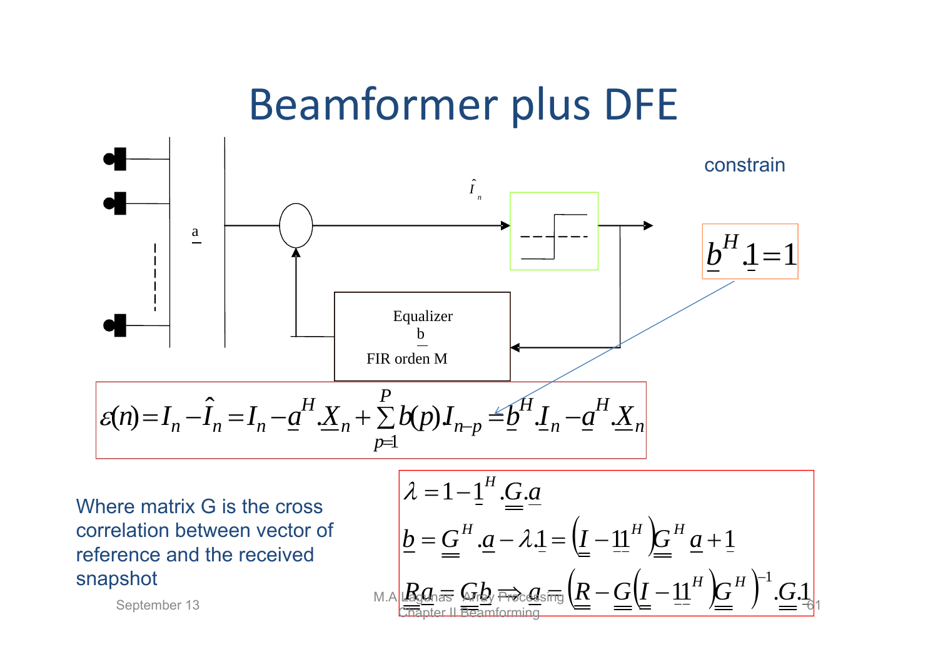## Beamformer plus DFE



Where matrix G is the cross correlation between vector of reference and the received snapshot

re matrix G is the cross  
\nrelation between vector of  
\nspace and the received  
\nshot  
\n
$$
h = \underline{G}^{H} \cdot \underline{a} - \lambda \cdot \underline{1} = \left( \underline{I} - \underline{11}^{H} \right) \underline{G}^{H} \cdot \underline{a} + \underline{1}
$$
\n
$$
h = \underline{G}^{H} \cdot \underline{a} - \lambda \cdot \underline{1} = \left( \underline{I} - \underline{11}^{H} \right) \underline{G}^{H} \cdot \underline{a} + \underline{1}
$$
\n
$$
\underline{R}_{Q} \cdot \underline{a}_{\text{as}} \cdot \underline{G}_{\text{at}} \underline{b}_{\text{at}} \cdot \underline{b}_{\text{at}} \cdot \underline{b}_{\text{at}} \cdot \underline{b}_{\text{at}} \cdot \underline{b}_{\text{at}} \cdot \underline{b}_{\text{at}} \cdot \underline{b}_{\text{at}} \cdot \underline{b}_{\text{at}} \cdot \underline{b}_{\text{at}} \cdot \underline{b}_{\text{at}} \cdot \underline{b}_{\text{at}} \cdot \underline{b}_{\text{at}} \cdot \underline{b}_{\text{at}} \cdot \underline{b}_{\text{at}} \cdot \underline{b}_{\text{at}} \cdot \underline{b}_{\text{at}} \cdot \underline{b}_{\text{at}} \cdot \underline{b}_{\text{at}} \cdot \underline{b}_{\text{at}} \cdot \underline{b}_{\text{at}} \cdot \underline{b}_{\text{at}} \cdot \underline{b}_{\text{at}} \cdot \underline{b}_{\text{at}} \cdot \underline{b}_{\text{at}} \cdot \underline{b}_{\text{at}} \cdot \underline{b}_{\text{at}} \cdot \underline{b}_{\text{at}} \cdot \underline{b}_{\text{at}} \cdot \underline{b}_{\text{at}} \cdot \underline{b}_{\text{at}} \cdot \underline{b}_{\text{at}} \cdot \underline{b}_{\text{at}} \cdot \underline{b}_{\text{at}} \cdot \underline{b}_{\text{at}} \cdot \underline{b}_{\text{at}} \cdot \underline{b}_{\text{at}} \cdot \underline{b}_{\text{at}} \cdot \underline{b}_{\text{at}} \cdot \underline{b}_{\text{at}} \cdot \underline{b}_{\text{at}} \cdot \underline{b}_{\text{at}} \cdot \underline{b}_{\text{at}} \cdot \underline{b}_{\text{at}} \cdot \underline{b}_{\text{at}} \cdot \underline{b}_{\text{at}} \cdot \underline{b
$$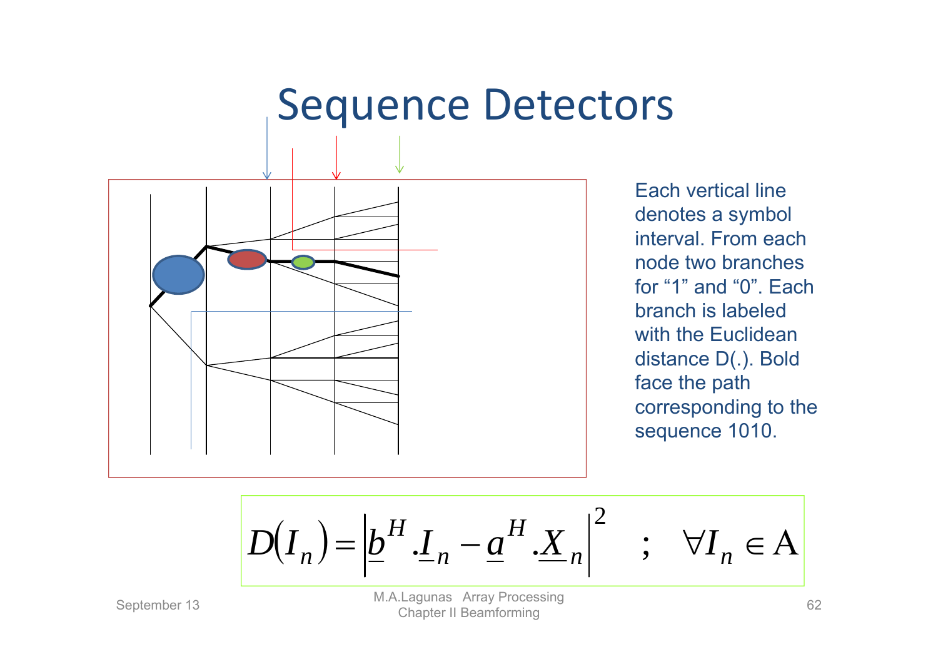### Sequence Detectors



Each vertical line denotes a symbol interval. From each node two branches for "1" and "0". Each branch is labeled with the Euclidean distance D(.). Bold face the path corresponding to the sequence 1010.

$$
D(I_n) = \left| \underline{b}^H \cdot \underline{I}_n - \underline{a}^H \cdot \underline{X}_n \right|^2 \quad ; \quad \forall I_n \in A
$$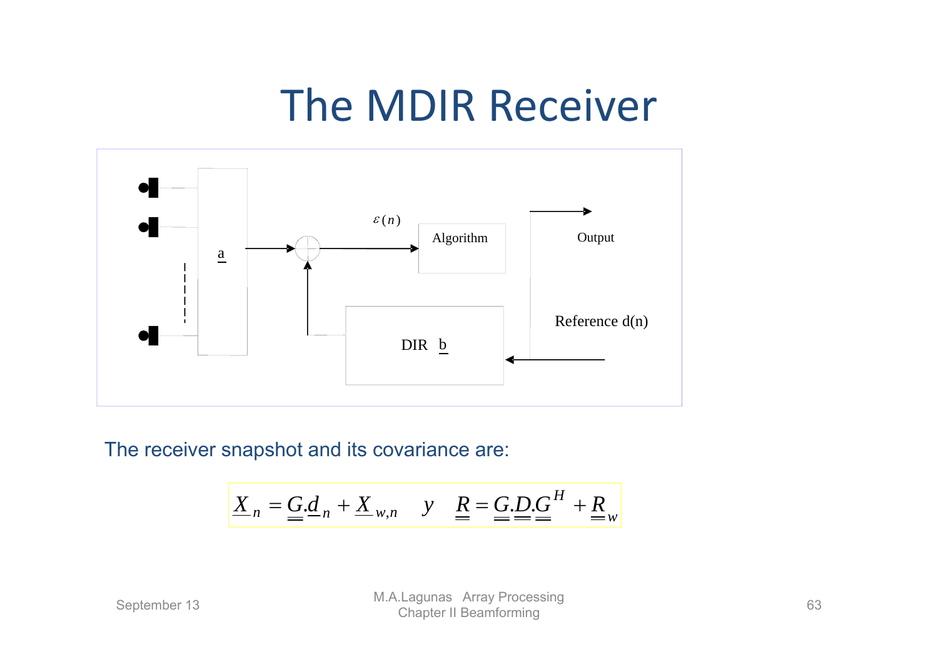# The MDIR Receiver



The receiver snapshot and its covariance are:

$$
\underline{X}_n = \underline{G} \cdot \underline{d}_n + \underline{X}_{w,n} \quad y \quad \underline{R} = \underline{G} \cdot \underline{D} \cdot \underline{G}^H + \underline{R}_w
$$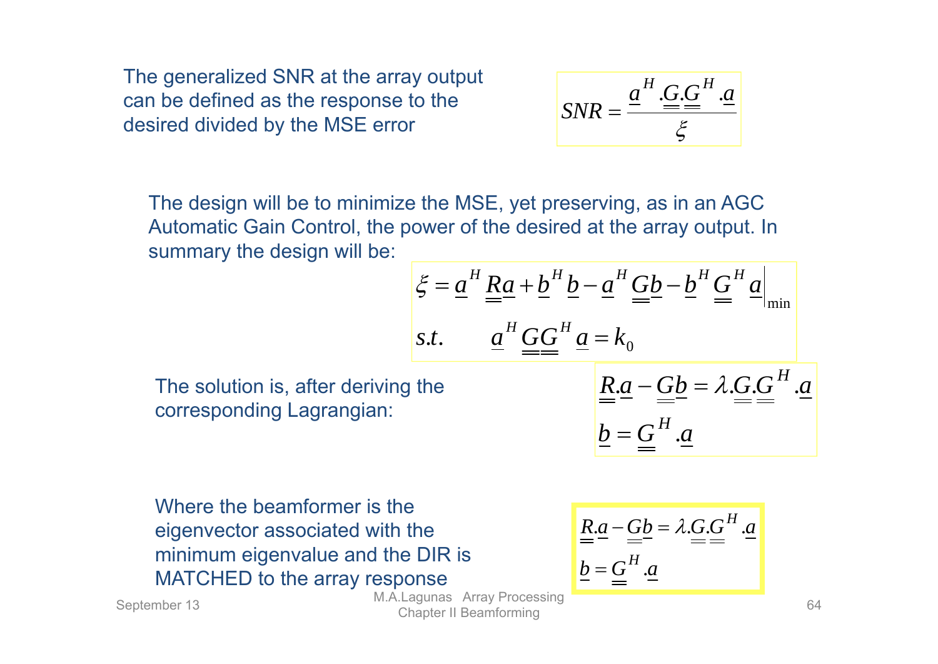The generalized SNR at the array output can be defined as the response to the desired divided by the MSE error

$$
SNR = \frac{\underline{a}^H \cdot \underline{G} \cdot \underline{G}^H \cdot \underline{a}}{\xi}
$$

The design will be to minimize the MSE, yet preserving, as in an AGC Automatic Gain Control, the power of the desired at the array output. In summary the design will be:

$$
\xi = \underline{a}^H \underline{R} \underline{a} + \underline{b}^H \underline{b} - \underline{a}^H \underline{G} \underline{b} - \underline{b}^H \underline{G}^H \underline{a}
$$
  
s.t. 
$$
\underline{a}^H \underline{G} \underline{G}^H \underline{a} = k_0
$$

The solution is, after deriving the corresponding Lagrangian:

$$
\underline{\underline{R} \cdot \underline{a} - \underline{G} \underline{b}} = \lambda \cdot \underline{G} \cdot \underline{G}^H \cdot \underline{a}
$$

$$
\underline{b} = \underline{G}^H \cdot \underline{a}
$$

Where the beamformer is the eigenvector associated with the minimum eigenvalue and the DIR is MATCHED to the array response

$$
\underline{\underline{R} \cdot \underline{a} - \underline{G} \underline{b}} = \lambda \cdot \underline{G} \cdot \underline{G}^H \cdot \underline{a}}{\underline{b} = \underline{G}^H \cdot \underline{a}}
$$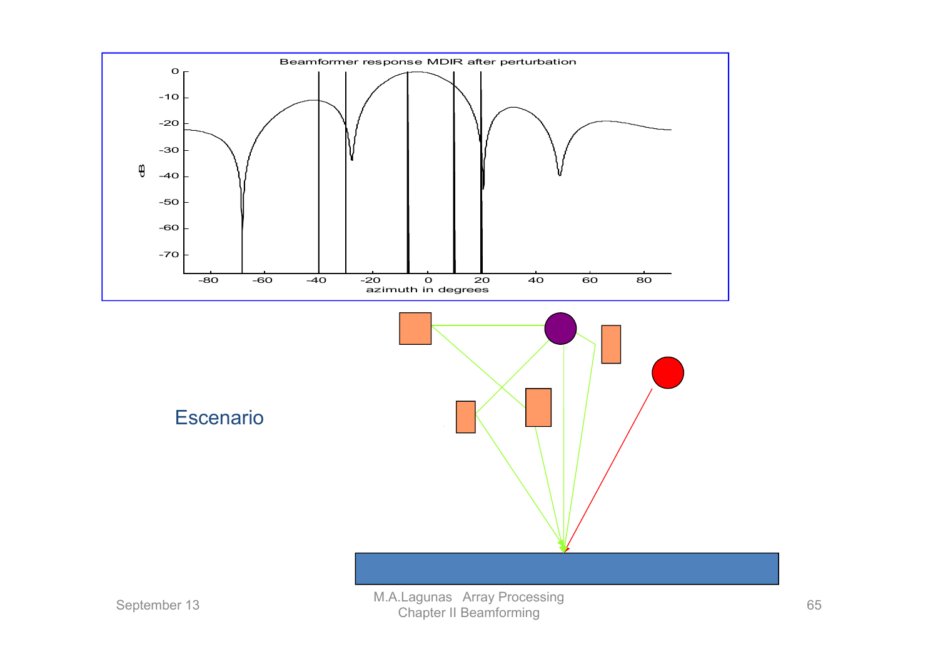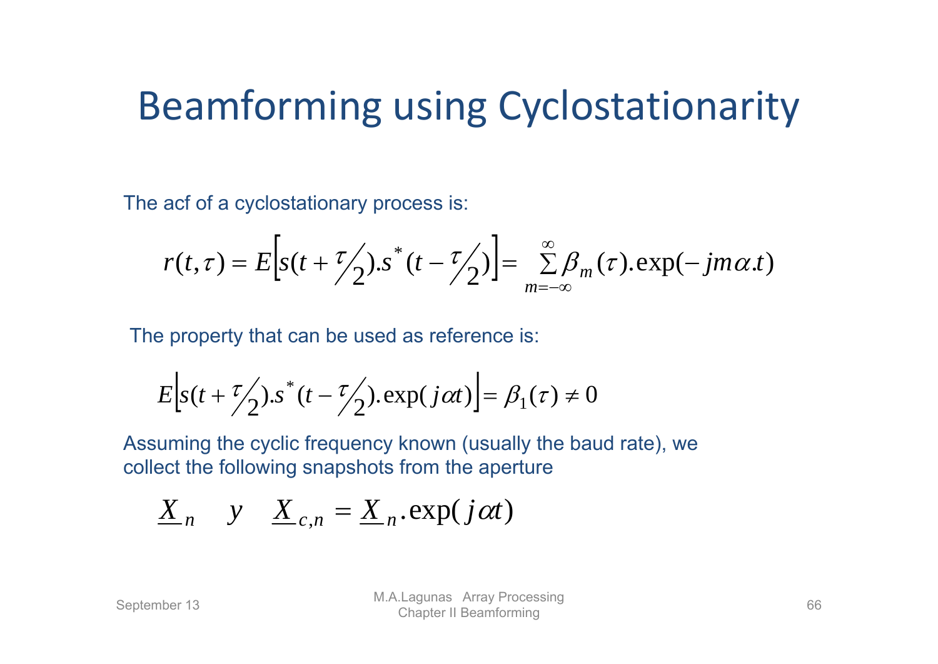## Beamforming using Cyclostationarity

The acf of a cyclostationary process is:

$$
r(t,\tau) = E\Big[s(t+\frac{\tau}{2}), s^*(t-\frac{\tau}{2})\Big] = \sum_{m=-\infty}^{\infty} \beta_m(\tau). \exp(-jm\alpha.t)
$$

The property that can be used as reference is:

$$
E\Big[s(t+\frac{\tau}{2})\cdot s^*(t-\frac{\tau}{2})\cdot \exp(j\alpha t)\Big] = \beta_1(\tau) \neq 0
$$

Assuming the cyclic frequency known (usually the baud rate), we collect the following snapshots from the aperture

$$
\underline{X}_n \quad y \quad \underline{X}_{c,n} = \underline{X}_n.\exp(j\alpha t)
$$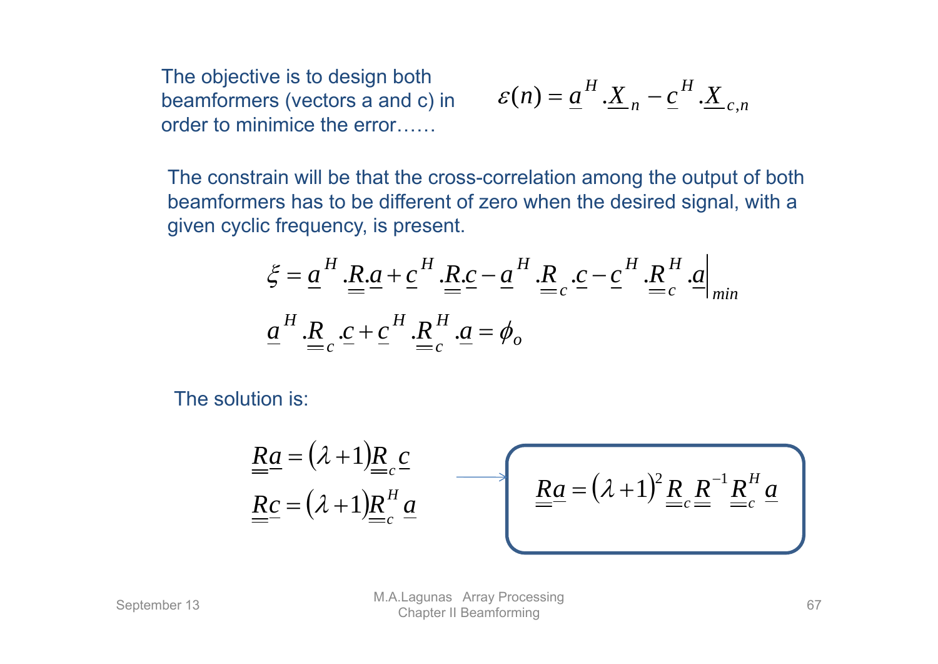The objective is to design both<br>beamformers (vectors a and c) in order to minimice the error……

$$
\varepsilon(n) = \underline{a}^H \cdot \underline{X}_n - \underline{c}^H \cdot \underline{X}_{c,n}
$$

The constrain will be that the cross-correlation among the output of both beamformers has to be different of zero when the desired signal, with a given cyclic frequency, is present.

$$
\xi = \underline{a}^H \cdot \underline{R} \cdot \underline{a} + \underline{c}^H \cdot \underline{R} \cdot \underline{c} - \underline{a}^H \cdot \underline{R} \cdot \underline{c} - \underline{c}^H \cdot \underline{R}^H \cdot \underline{a}
$$
  

$$
\underline{a}^H \cdot \underline{R} \cdot \underline{c} + \underline{c}^H \cdot \underline{R}^H \cdot \underline{a} = \phi_o
$$

The solution is:

$$
\underline{\underline{R}\underline{a}} = (\lambda + 1)\underline{\underline{R}}_{cc} \underline{c}
$$
\n
$$
\underline{\underline{R}\underline{c}} = (\lambda + 1)\underline{\underline{R}}_{cc}^H \underline{a}
$$
\n
$$
\underline{\underline{R}\underline{a}} = (\lambda + 1)^2 \underline{\underline{R}}_{cc} \underline{\underline{R}}^{-1} \underline{\underline{R}}_{cc}^H \underline{a}
$$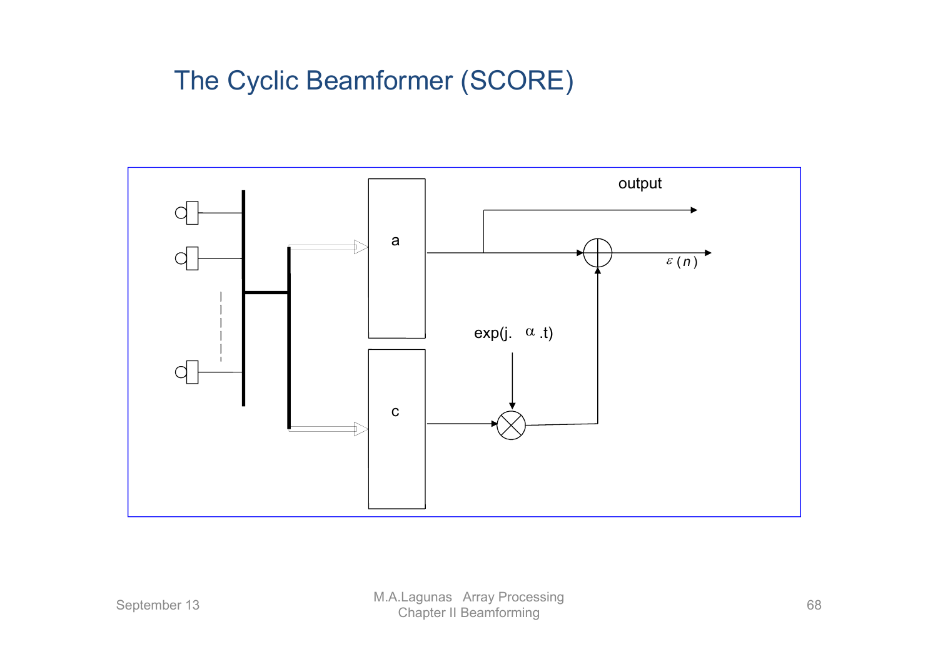#### The Cyclic Beamformer (SCORE)

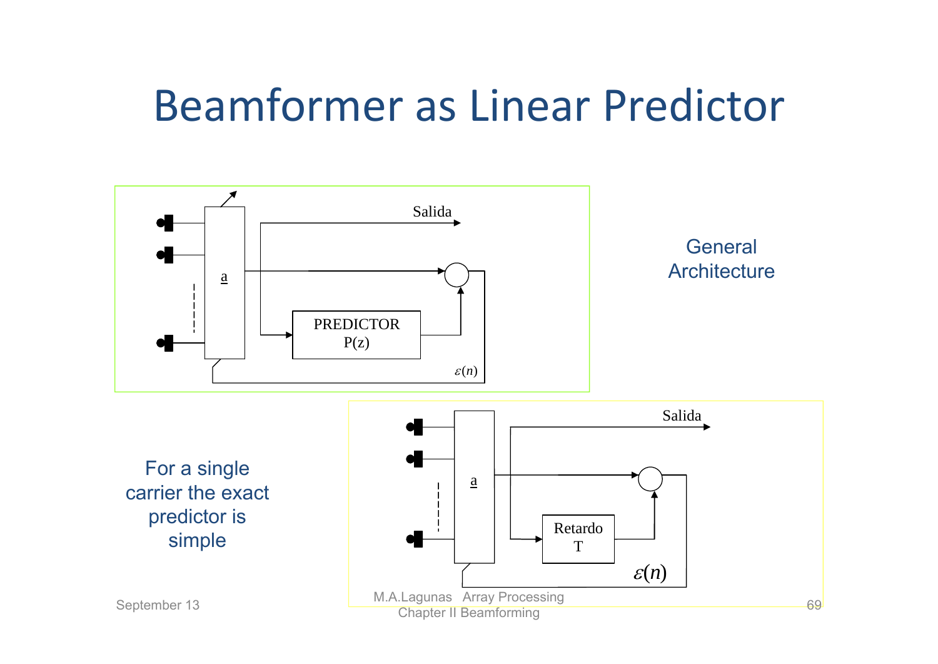# Beamformer as Linear Predictor

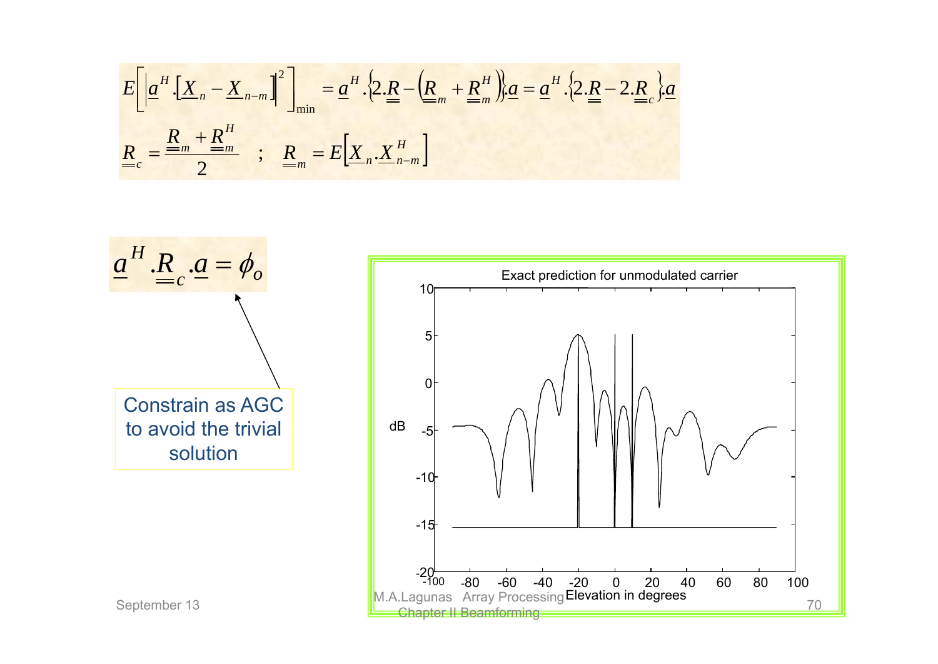$$
E\left[\left|\underline{a}^{H}.\left[\underline{X}_{n}-\underline{X}_{n-m}\right]^{2}\right]\right|_{\min} = \underline{a}^{H}.\left\{2.\underline{R}-\left(\underline{R}_{m}+\underline{R}_{m}^{H}\right)\right\}\underline{a} = \underline{a}^{H}.\left\{2.\underline{R}-2.\underline{R}_{c}\right\}\underline{a}
$$

$$
\underline{R}_{c} = \frac{\underline{R}_{m} + \underline{R}_{m}^{H}}{2} \quad ; \quad \underline{R}_{m} = E\left[\underline{X}_{n}.\underline{X}_{n-m}^{H}\right]
$$

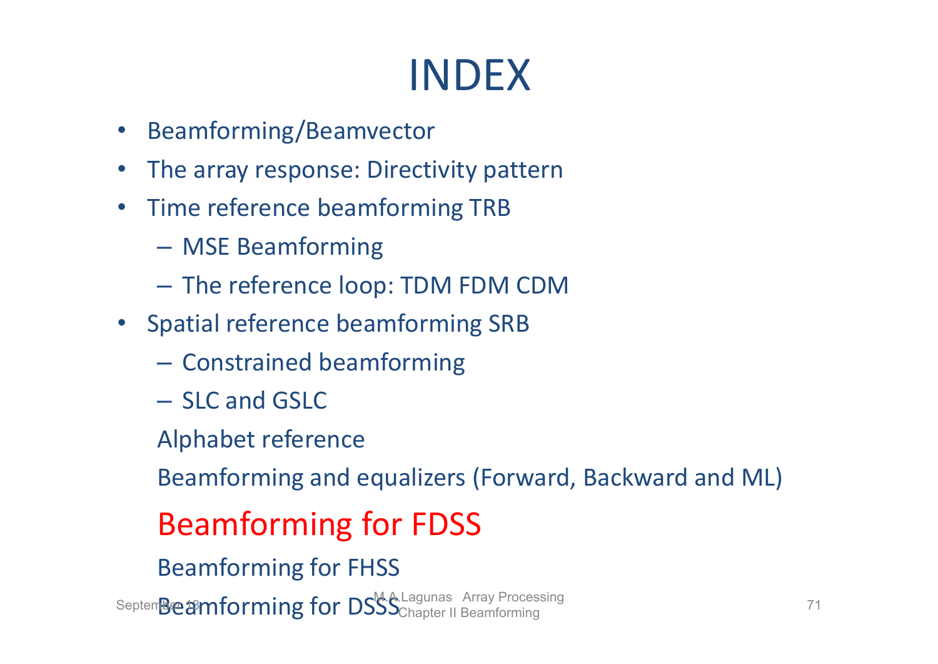# INDEX

- Beamforming/Beamvector
- $\bullet$ The array response: Directivity pattern
- •• Time reference beamforming TRB
	- –MSE Beamforming
	- –The reference loop: TDM FDM CDM
- Spatial reference beamforming SRB
	- – $-$  Constrained beamforming
	- SLC and GSLC
	- Alphabet reference

Beamforming and equalizers (Forward, Backward and ML)

#### Beamforming for FDSS

Beamforming for FHSS

Septem**Beamforming for DSSS** Chapter II Beamforming **Chapter 11** Beamforming 71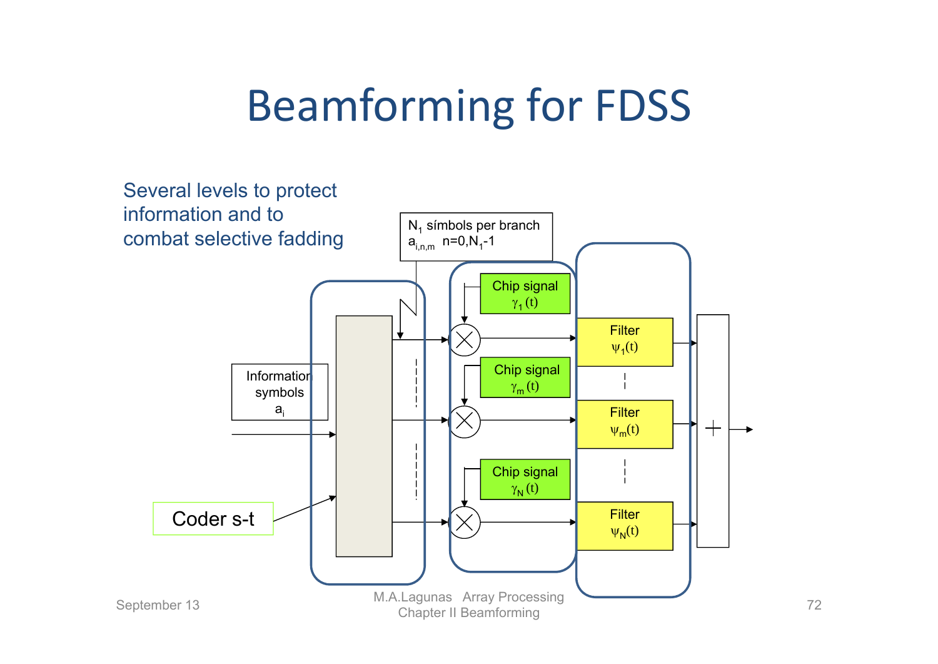# Beamforming for FDSS

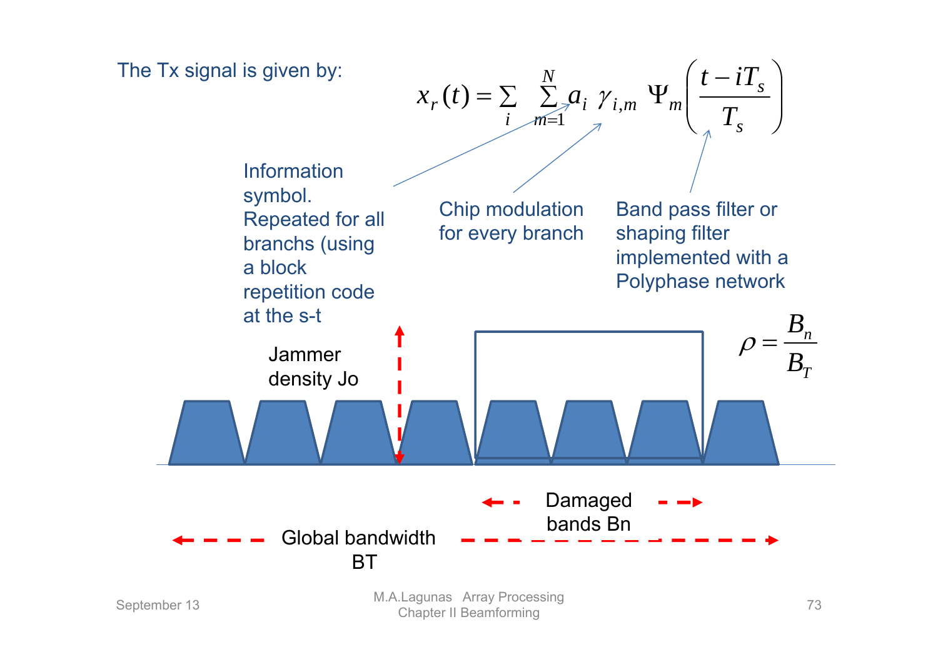

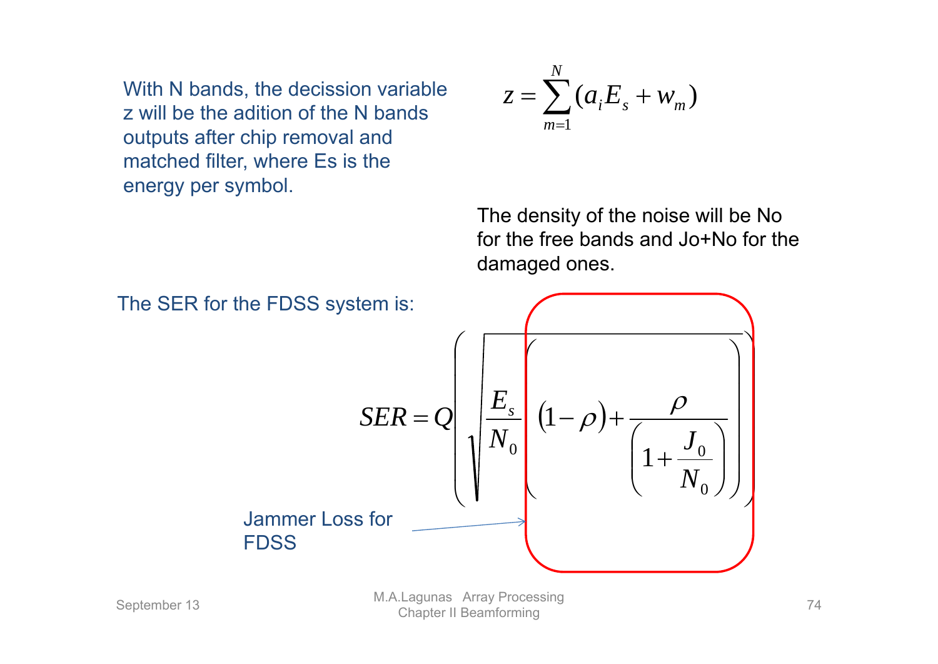With N bands, the decission variable z will be the adition of the N bands outputs after chip removal and matched filter, where Es is the energy per symbol.

$$
z = \sum_{m=1}^{N} (a_i E_s + w_m)
$$

The density of the noise will be No for the free bands and Jo+No for the damaged ones.

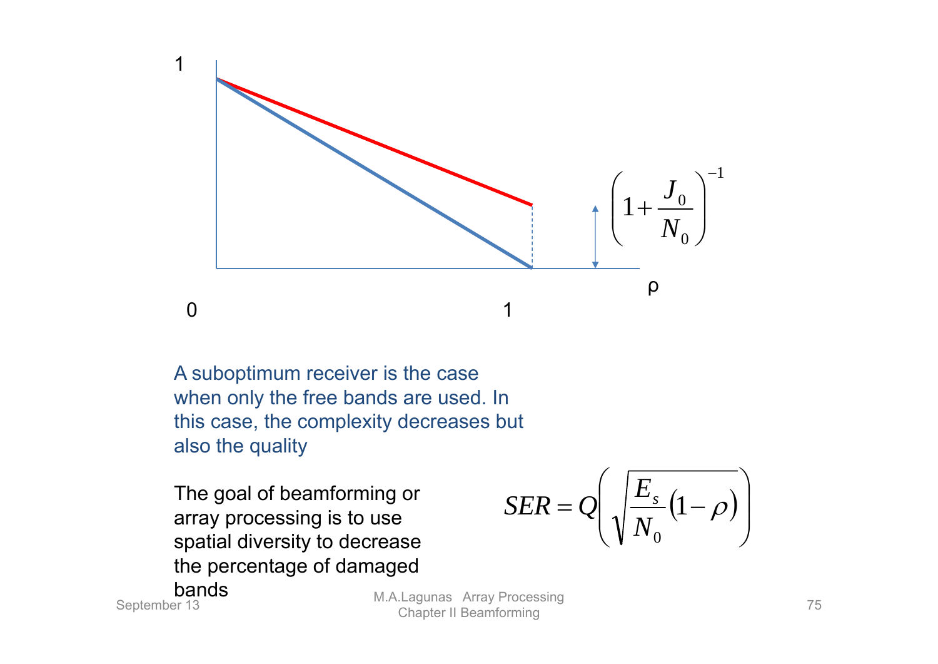

A suboptimum receiver is the case when only the free bands are used. In this case, the complexity decreases but also the quality

The goal of beamforming or array processing is to use spatial diversity to decrease the percentage of damaged

$$
SER = Q\left(\sqrt{\frac{E_s}{N_0}\left(1-\rho\right)}\right)
$$

bands

**September 13**<br>September 13 **M.A.Lagunas Array Processing Chapter II Beamforming** 75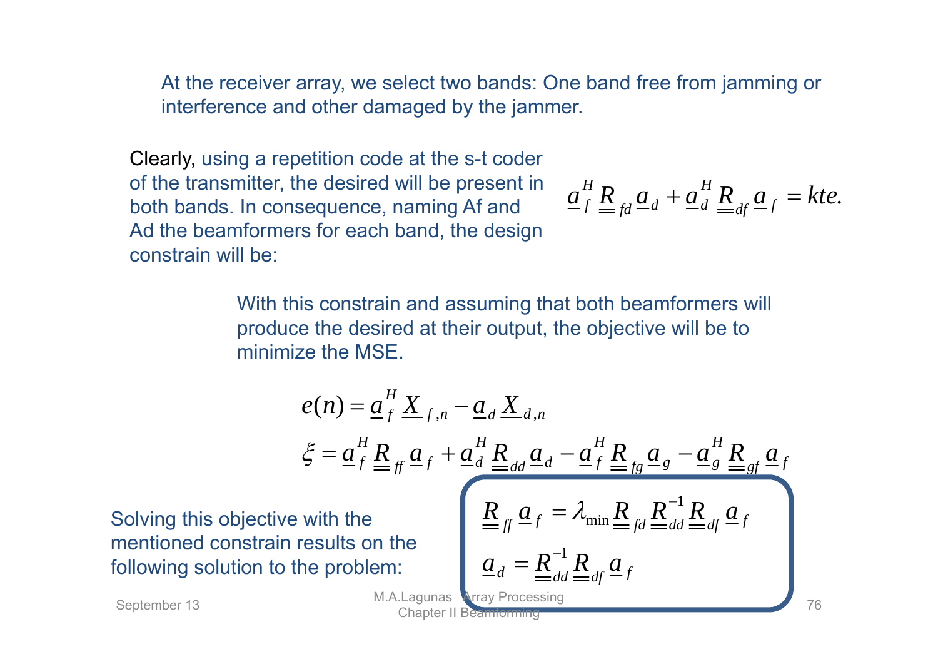At the receiver array, we select two bands: One band free from jamming or interference and other damaged by the jammer.

Clearly, using a repetition code at the s-t coder of the transmitter, the desired will be present in both bands. In consequence, naming Af and Ad the beamformers for each band, the design constrain will be:

$$
\underline{a}_{f}^{H} \underline{R}_{fd} \underline{a}_{d} + \underline{a}_{d}^{H} \underline{R}_{df} \underline{a}_{f} = kte.
$$

With this constrain and assuming that both beamformers will produce the desired at their output, the objective will be to minimize the MSE.

$$
e(n) = \underbrace{a_f^H X_{f,n} - a_d X_{d,n}}_{\xi = a_f^H \underbrace{R}_{\text{eff}} a_f + \underbrace{a_d^H \underbrace{R}_{\text{add}} a_d - \underbrace{a_f^H \underbrace{R}_{\text{fg}} a_s - \underbrace{a_g^H \underbrace{R}_{\text{eff}} a_f}_{\text{Equation of the problem:}} + \underbrace{a_f^H \underbrace{R}_{\text{diff}} a_f}_{\text{Equation of the problem:}} = \underbrace{a_d = R_{\text{add}}^{-1} R_{\text{diag}} a_f}_{\text{Equation of the problem:}} + \underbrace{a_d = R_{\text{add}}^{-1} R_{\text{diag}} a_f}_{\text{Capter II} \text{Begerriuming}}.
$$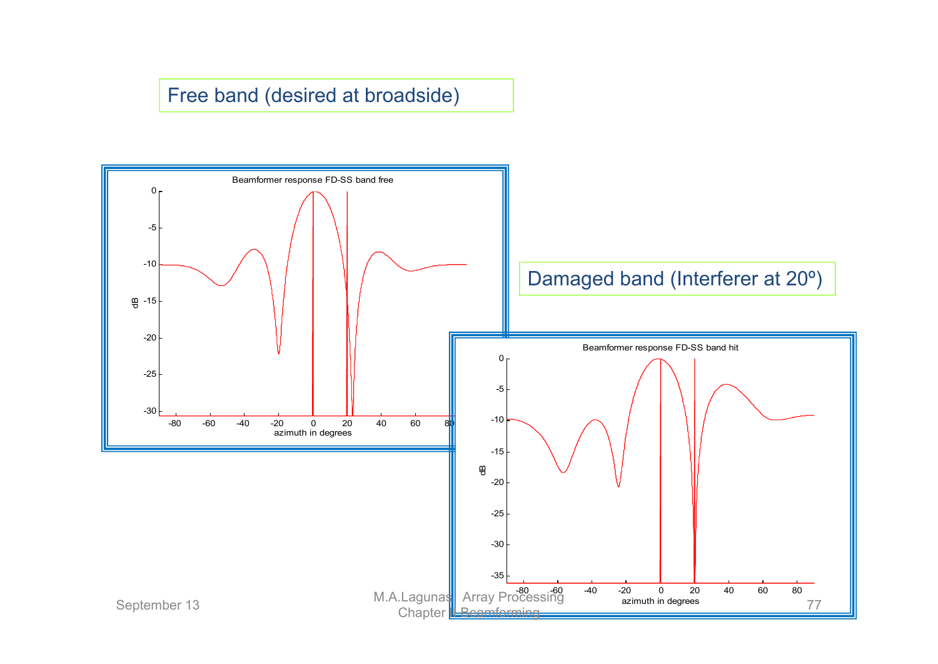#### Free band (desired at broadside)

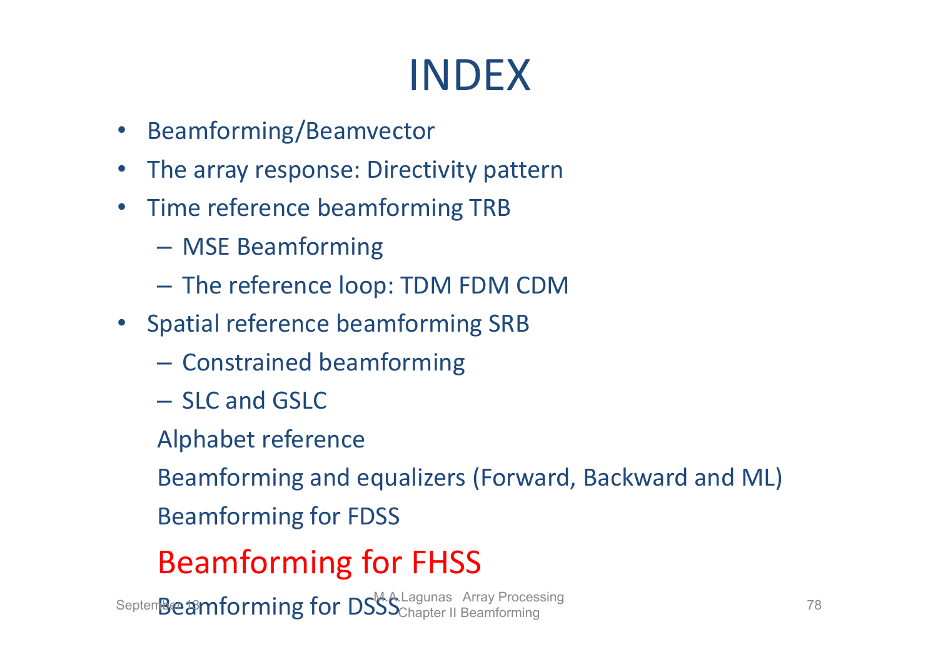# INDEX

- Beamforming/Beamvector
- $\bullet$ The array response: Directivity pattern
- •• Time reference beamforming TRB
	- –MSE Beamforming
	- –The reference loop: TDM FDM CDM
- Spatial reference beamforming SRB
	- – $-$  Constrained beamforming
	- SLC and GSLC
	- Alphabet reference

Beamforming and equalizers (Forward, Backward and ML)

Beamforming for FDSS

### Beamforming for FHSS

Septem**Beamforming for DSSS** Chapter II Beamforming **Chapter 11 Beamforming** 78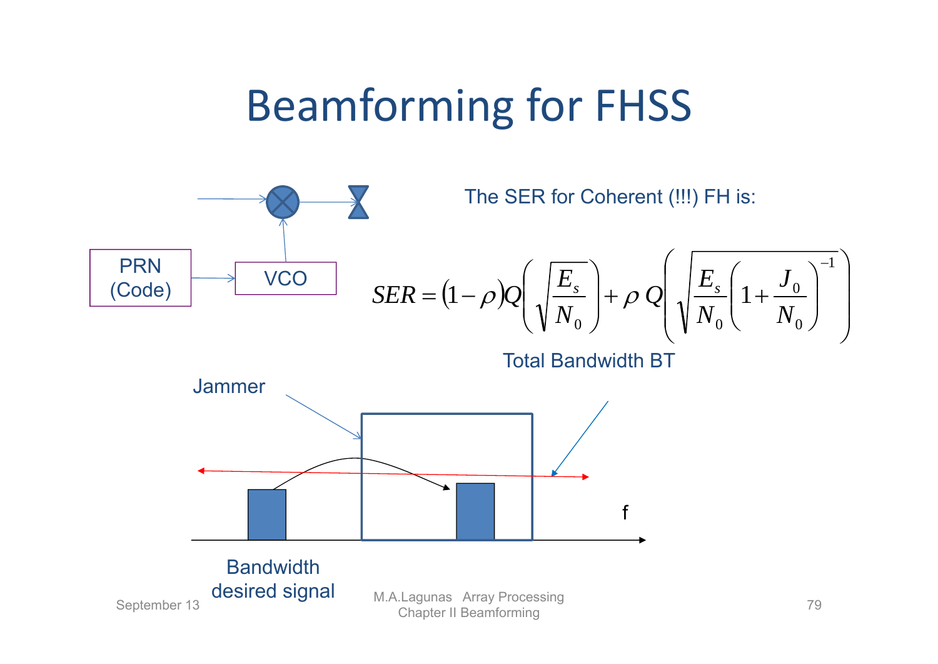## Beamforming for FHSS

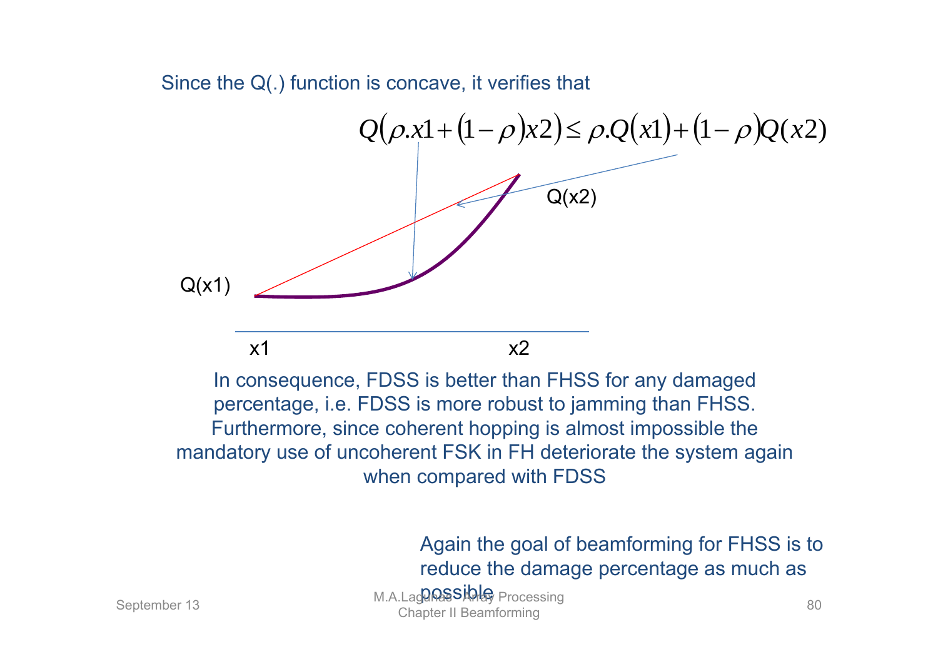Since the Q(.) function is concave, it verifies that

 $Q(\rho x1 + (1 - \rho)x2) \leq \rho Q(x1) + (1 - \rho)Q(x2)$  $Q(x2)$  $Q(x1)$  $x1$  x2 In consequence, FDSS is better than FHSS for any damaged

percentage, i.e. FDSS is more robust to jamming than FHSS. Furthermore, since coherent hopping is almost impossible the mandatory use of uncoherent FSK in FH deteriorate the system again when compared with FDSS

> Again the goal of beamforming for FHSS is to reduce the damage percentage as much as

**Possible September 13** M.A.Lagunas September 13 Chapter II Beamforming 80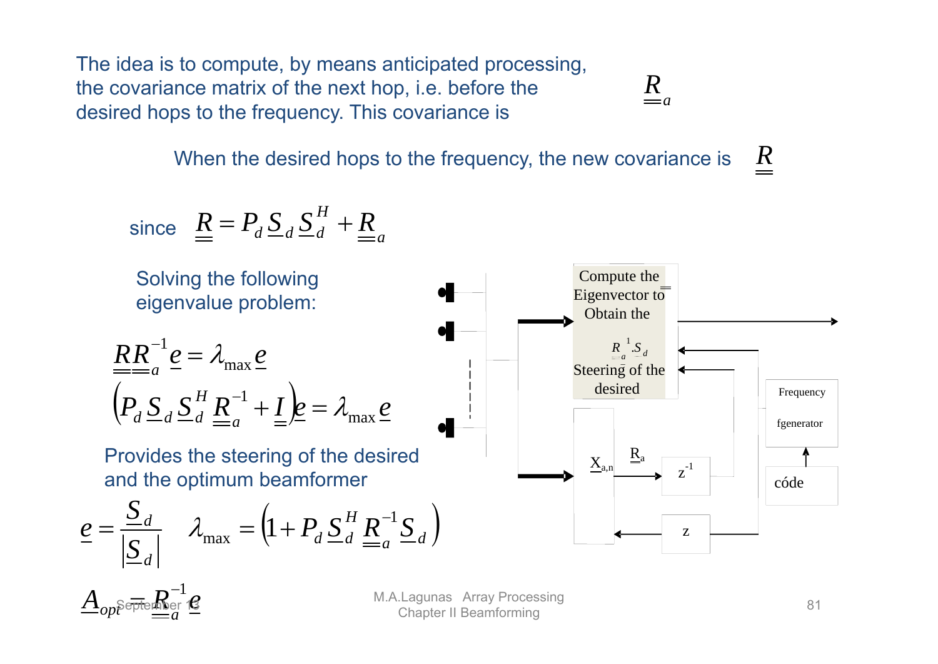The idea is to compute, by means anticipated processing, the covariance matrix of the next hop, i.e. before the desired hops to the frequency. This covariance is

 $=a$ *R*

When the desired hops to the frequency, the new covariance is *R*

since 
$$
\underline{R} = P_d \underline{S}_d \underline{S}_d^H + \underline{R}_a
$$



 $A$  . September 16  $op^{\mathrm{ppc}}_{\scriptscriptstyle{\mu\mu}} = a$ <del>...</del> $R_{\rm inter}^{-1}$ 

M.A.Lagunas Array Processing 21 M.A.Lagunas Array Processing 31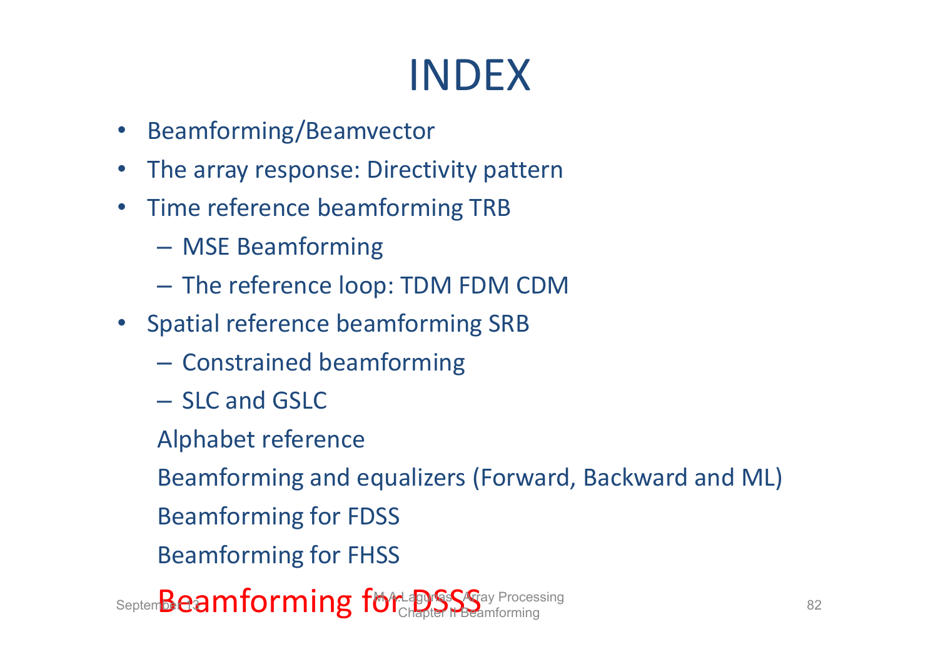# INDEX

- Beamforming/Beamvector
- $\bullet$ The array response: Directivity pattern
- $\bullet$ • Time reference beamforming TRB
	- –MSE Beamforming
	- –The reference loop: TDM FDM CDM
- Spatial reference beamforming SRB
	- – $-$  Constrained beamforming
	- SLC and GSLC
	- Alphabet reference

Beamforming and equalizers (Forward, Backward and ML)

- Beamforming for FDSS
- Beamforming for FHSS

Septem**Beamforming for Laguis Seg**ay Processing 82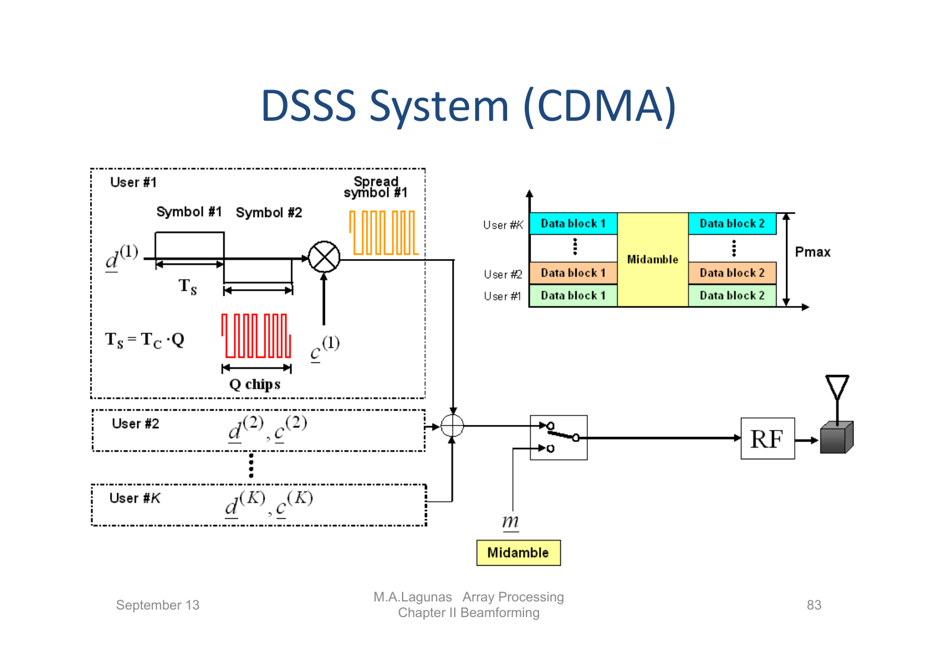### DSSS System (CDMA)

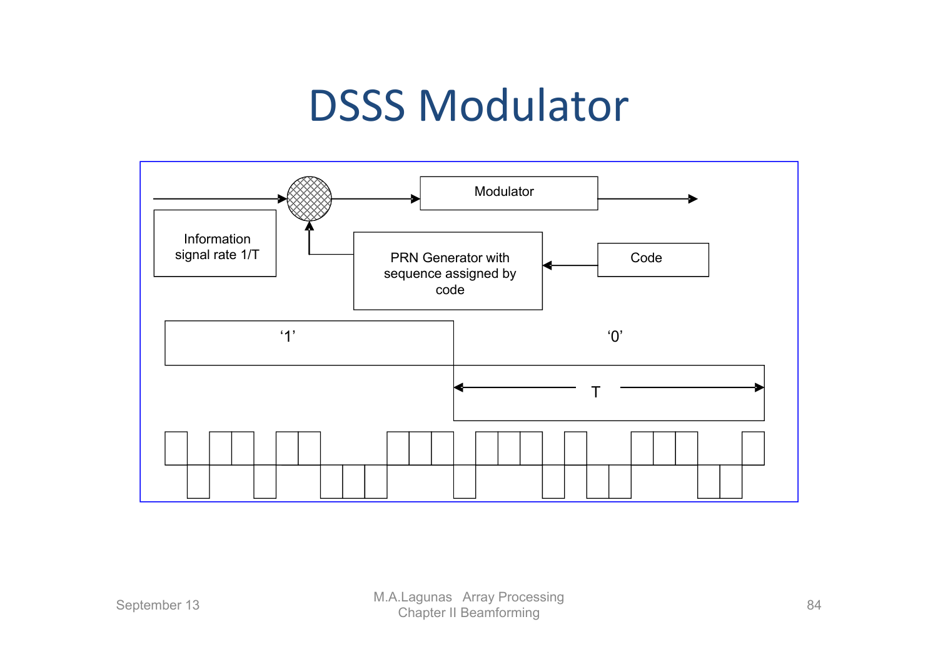### DSSS Modulator

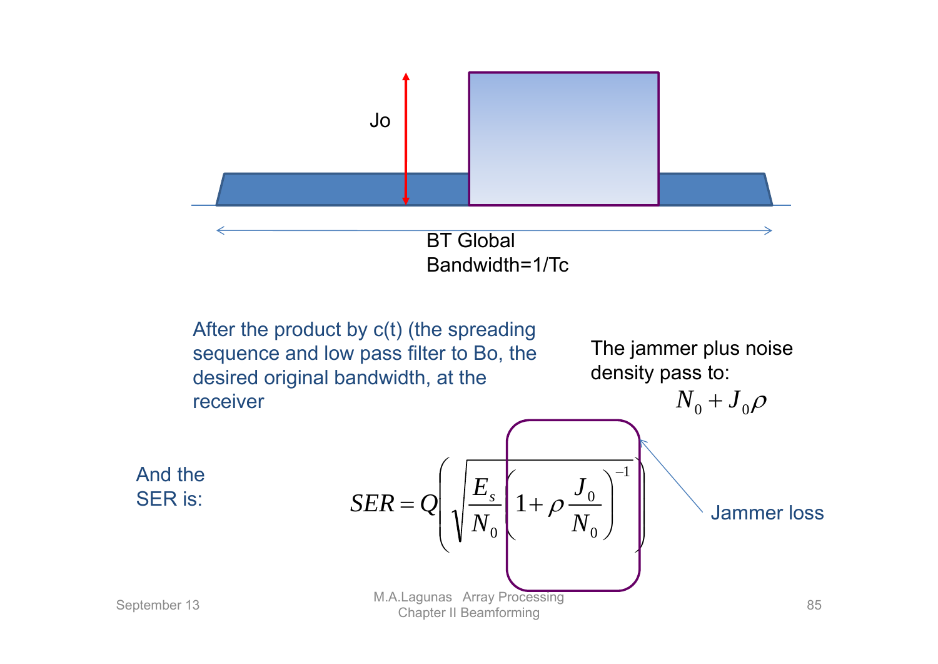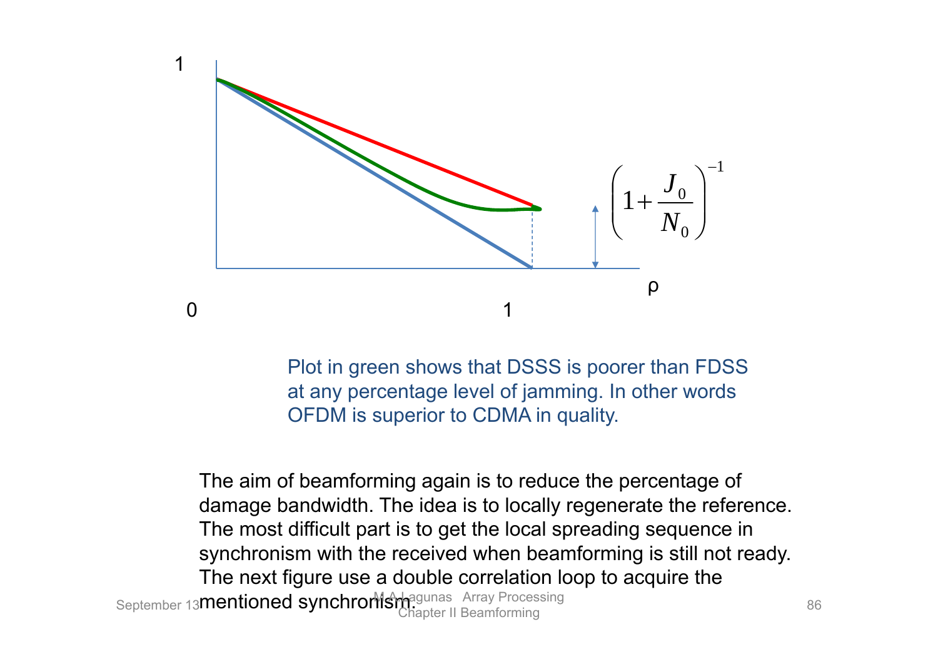

Plot in green shows that DSSS is poorer than FDSS at any percentage level of jamming. In other words OFDM is superior to CDMA in quality.

The aim of beamforming again is to reduce the percentage of damage bandwidth. The idea is to locally regenerate the reference. The most difficult part is to get the local spreading sequence in synchronism with the received when beamforming is still not ready. The next figure use a double correlation loop to acquire the September 13**mentioned synchronisher and Array Processing** 86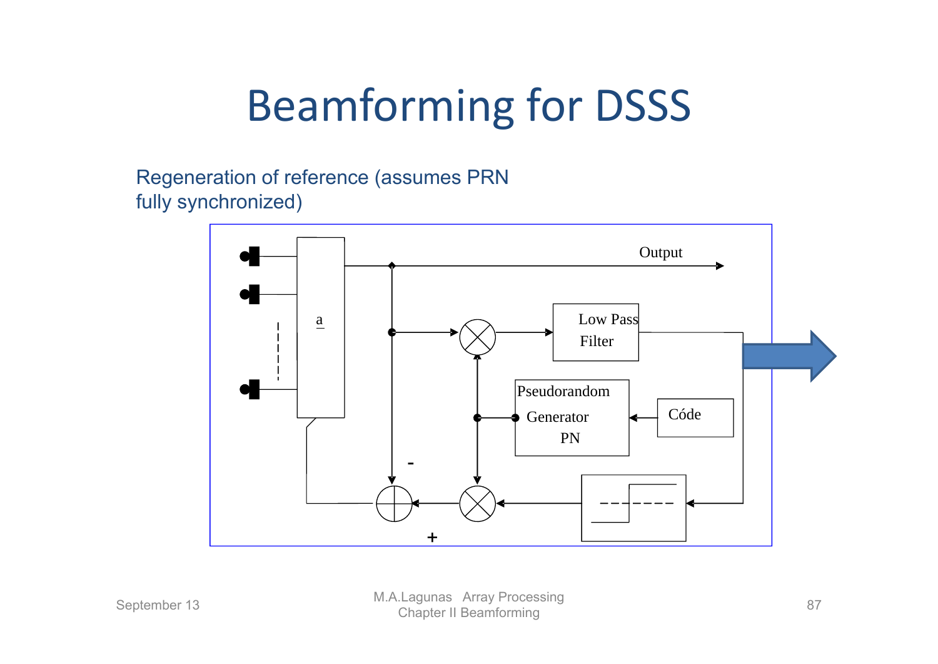# Beamforming for DSSS

Regeneration of reference (assumes PRN fully synchronized)

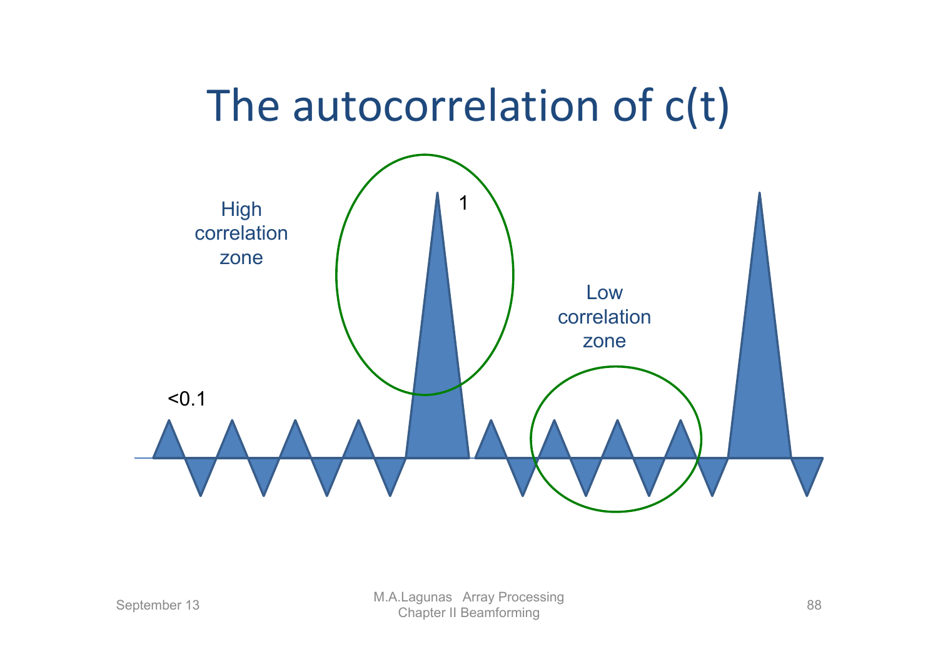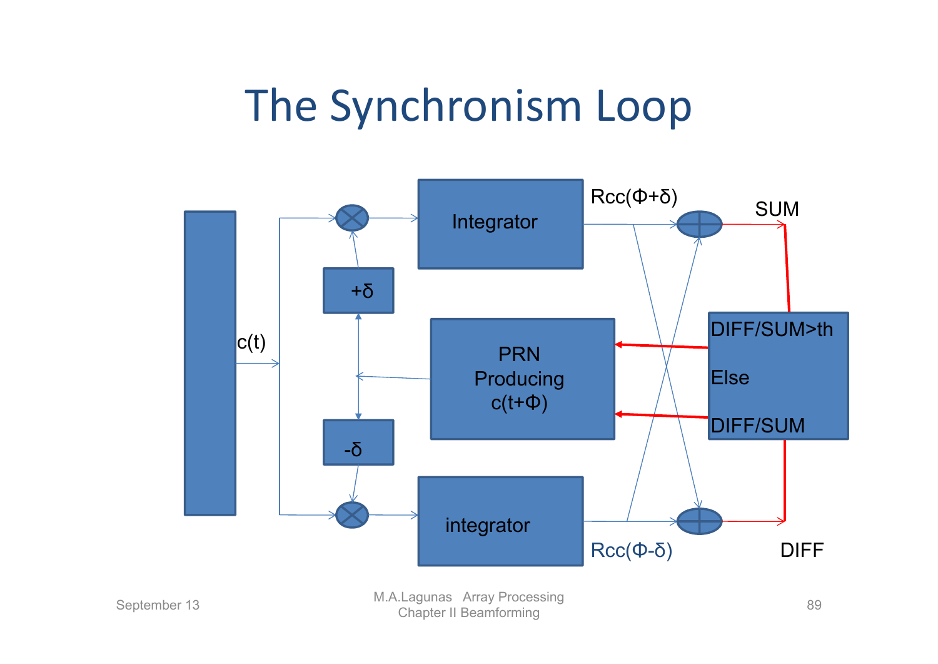### The Synchronism Loop

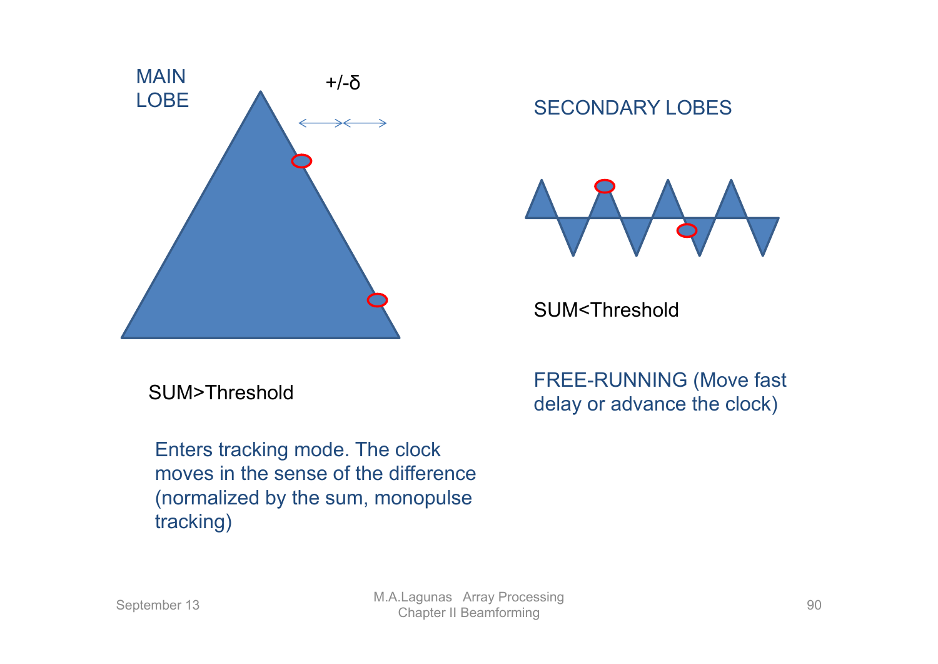

#### SECONDARY LOBES



SUM<Threshold

Enters tracking mode. The clock moves in the sense of the difference (normalized by the sum, monopulse tracking)

FREE-RUNNING (Move fast SUM>Threshold<br>delay or advance the clock)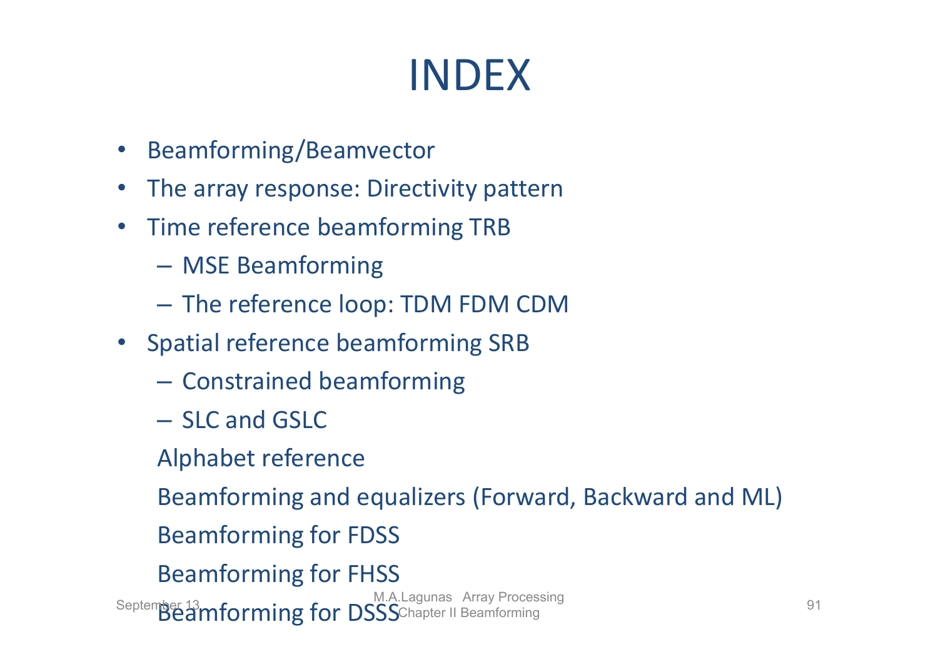# INDEX

- $\bullet$ Beamforming/Beamvector
- •The array response: Directivity pattern
- •• Time reference beamforming TRB
	- MSE Beamforming
	- $-$  The reference loop: TDM FDM CDM
- Spatial reference beamforming SRB
	- $-$  Constrained beamforming
	- SLC and GSLC
	- Alphabet reference

Beamforming and equalizers (Forward, Backward and ML)

- Beamforming for FDSS
- Beamforming for FHSS

September 13<br>Beamforming for DSSS Chapter II Beamforming 91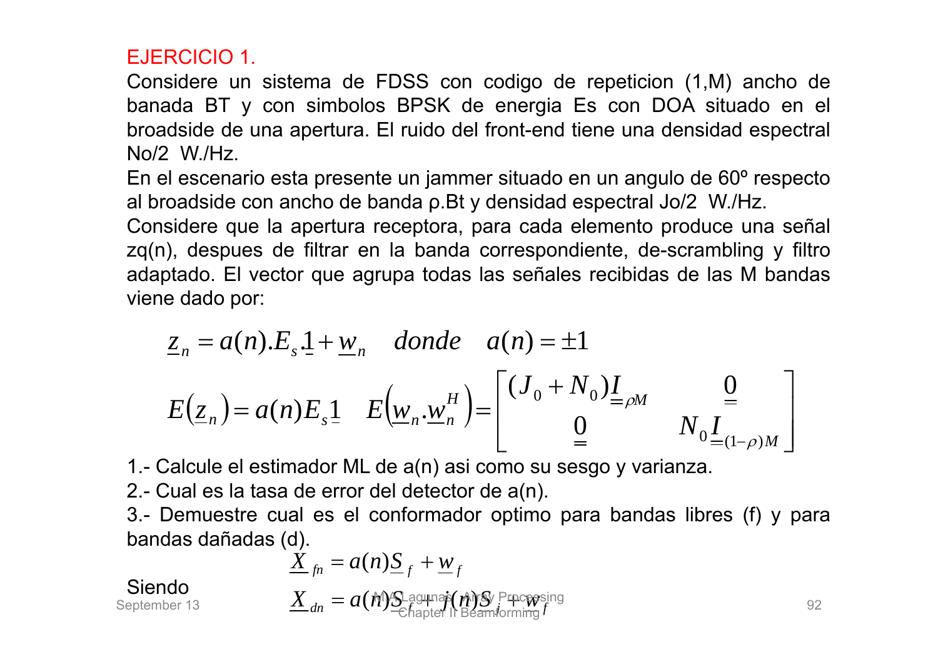#### EJERCICIO 1.

Considere un sistema de FDSS con codigo de repeticion (1,M) ancho de banada BT y con simbolos BPSK de energia Es con DOA situado en el broadside de una apertura. El ruido del front-end tiene una densidad espectral No/2 W./Hz.

En el escenario esta presente un jammer situado en un angulo de 60º respecto al broadside con ancho de banda ρ.Bt y densidad espectral Jo/2 W./Hz.

Considere que la apertura receptora, para cada elemento produce una señal zq(n), despues de filtrar en la banda correspondiente, de-scrambling y filtro adaptado. El vector que agrupa todas las señales recibidas de las M bandas viene dado por:

$$
\underline{z}_{n} = a(n).E_{s}.1 + \underline{w}_{n} \quad \text{donde} \quad a(n) = \pm 1
$$
\n
$$
E(\underline{z}_{n}) = a(n)E_{s}.1 \quad E(\underline{w}_{n}. \underline{w}_{n}^{H}) = \begin{bmatrix} (J_{0} + N_{0})I_{=\rho M} & 0\\ 0 & N_{0}I_{=(1-\rho)M} \end{bmatrix}
$$

1.- Calcule el estimador ML de a(n) asi como su sesgo y varianza.

2.- Cual es la tasa de error del detector de a(n).

3.- Demuestre cual es el conformador optimo para bandas libres (f) y para bandas dañadas (d).

$$
\underline{\acute{X}}_{fn} = a(n)\underline{S}_{f} + \underline{w}_{f}
$$

Siendo

| Siendo | $X_{dn} = a(M) \sum_{\text{chapter}} \hat{f}(M) \sum_{\text{Chapter 1}} \text{Percepsing}$ |
|--------|--------------------------------------------------------------------------------------------|
|--------|--------------------------------------------------------------------------------------------|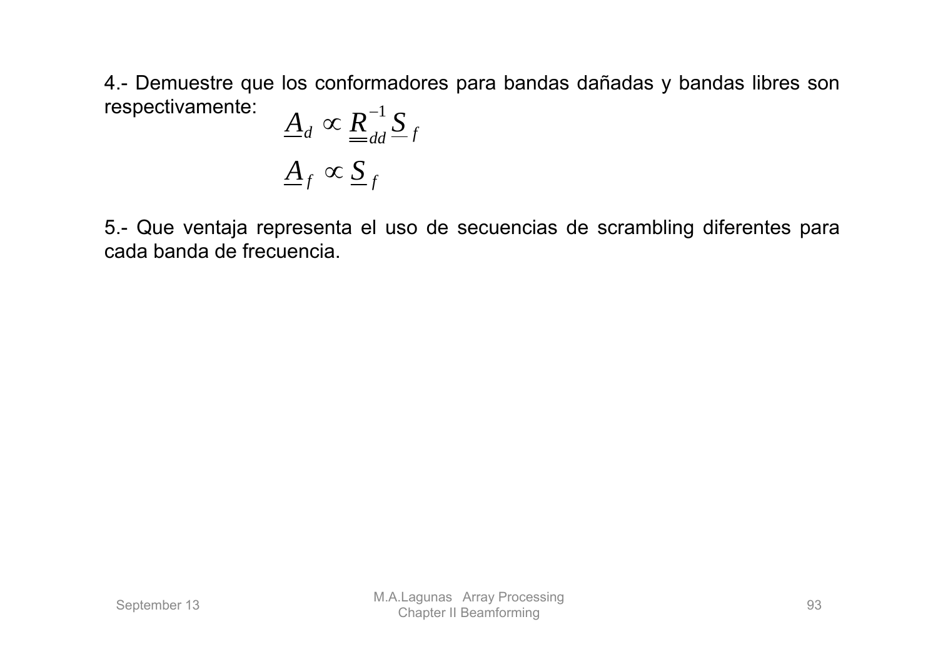4.- Demuestre que los conformadores para bandas dañadas y bandas libres son respectivamente: *A*

$$
\underline{A}_d \propto \underline{R}_{dd}^{-1} \underline{S}_f
$$
  

$$
\underline{A}_f \propto \underline{S}_f
$$

5.- Que ventaja representa el uso de secuencias de scrambling diferentes para cada banda de frecuencia.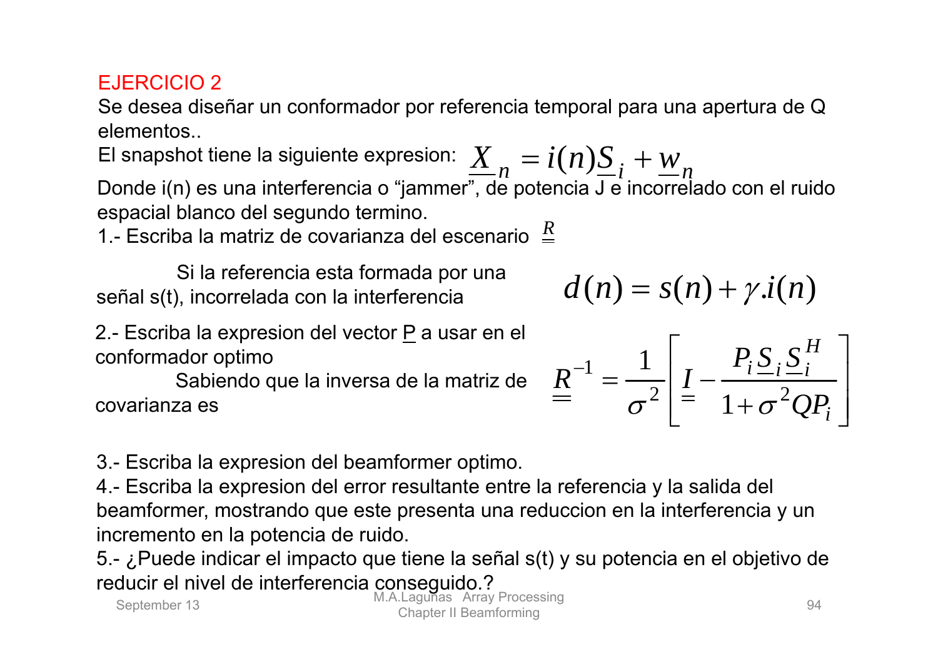#### EJERCICIO 2

Se desea diseñar un conformador por referencia temporal para una apertura de Q elementos..

El snapshot tiene la siguiente expresion:  $\frac{X}{n} = i(n)\underline{S}_i + \underline{w}_n$ Donde i(n) es una interferencia o "jammer", de potencia J e incorrelado con el ruido espacial blanco del segundo termino.

1.- Escriba la matriz de covarianza del escenario  $\frac{R}{q}$ 

Si la referencia esta formada por una señal s(t), incorrelada con la interferencia

2.- Escriba la expresion del vector P a usar en el conformador optimo

Sabiendo que la inversa de la matriz de covarianza es

3.- Escriba la expresion del beamformer optimo.

4.- Escriba la expresion del error resultante entre la referencia y la salida del beamformer, mostrando que este presenta una reduccion en la interferencia y un incremento en la potencia de ruido.

5.- ¿Puede indicar el impacto que tiene la señal s(t) y su potencia en el objetivo de reducir el nivel de interferencia conseguido.?

$$
d(n) = s(n) + \gamma \cdot i(n)
$$

optimo  
jetindo que la inversa de la matrix de 
$$
\frac{R}{\sigma^2} = \frac{1}{\sigma^2} \left[ \frac{P_i S_i S_i^H}{1 + \sigma^2 Q P_i} \right]
$$